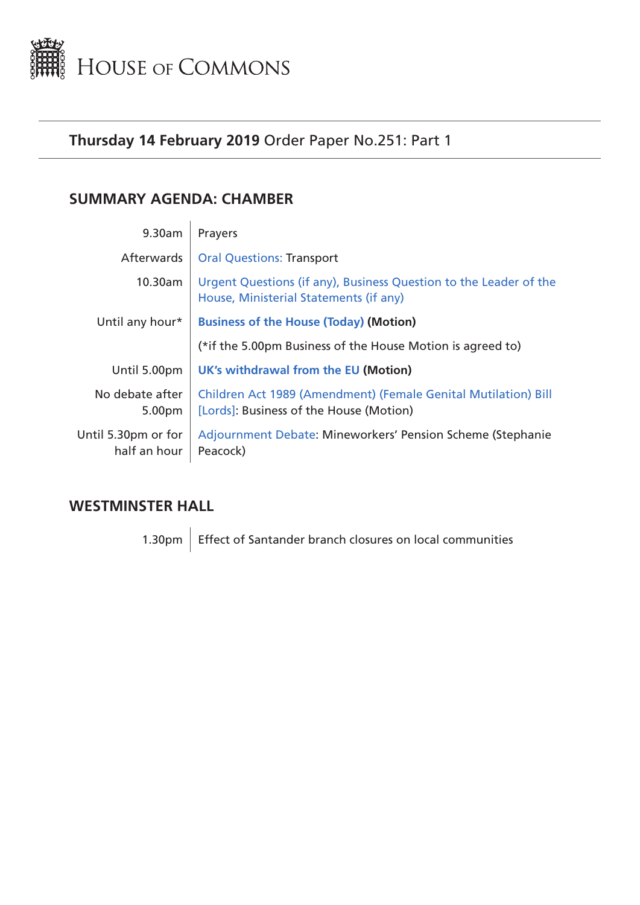<span id="page-0-0"></span>

# **Thursday 14 February 2019** Order Paper No.251: Part 1

# **SUMMARY AGENDA: CHAMBER**

| 9.30am                              | Prayers                                                                                                     |  |
|-------------------------------------|-------------------------------------------------------------------------------------------------------------|--|
| Afterwards                          | <b>Oral Questions: Transport</b>                                                                            |  |
| 10.30am                             | Urgent Questions (if any), Business Question to the Leader of the<br>House, Ministerial Statements (if any) |  |
| Until any hour*                     | <b>Business of the House (Today) (Motion)</b>                                                               |  |
|                                     | (*if the 5.00pm Business of the House Motion is agreed to)                                                  |  |
| Until 5.00pm                        | <b>UK's withdrawal from the EU (Motion)</b>                                                                 |  |
| No debate after<br>5.00pm           | Children Act 1989 (Amendment) (Female Genital Mutilation) Bill<br>[Lords]: Business of the House (Motion)   |  |
| Until 5.30pm or for<br>half an hour | Adjournment Debate: Mineworkers' Pension Scheme (Stephanie<br>Peacock)                                      |  |

# **WESTMINSTER HALL**

1.30pm  $\Big|$  Effect of Santander branch closures on local communities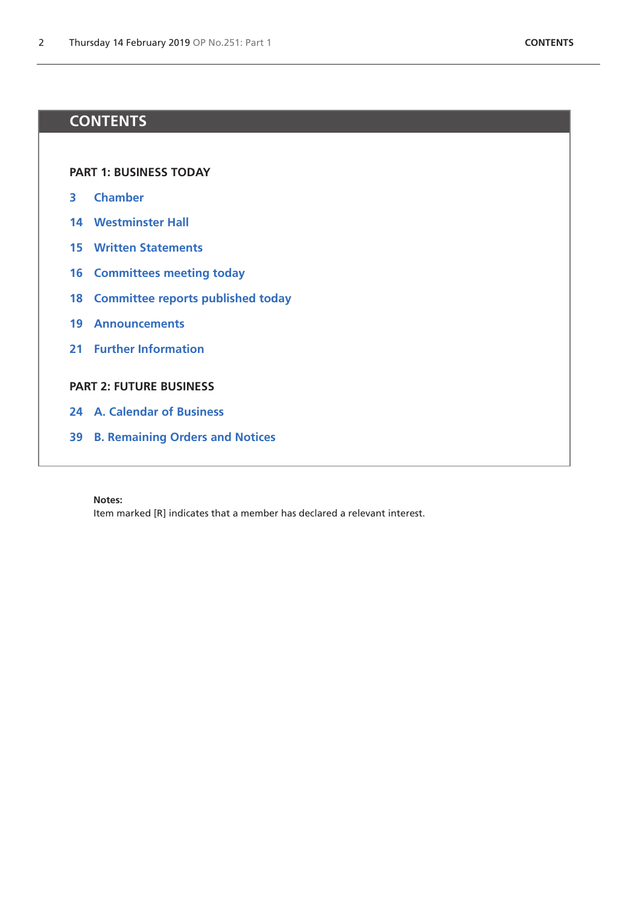# **CONTENTS**

**[PART 1: BUSINESS TODAY](#page-0-0)**

- **[Chamber](#page-2-1)**
- **[Westminster Hall](#page-13-0)**
- **[Written Statements](#page-14-0)**
- **[Committees meeting today](#page-15-0)**
- **[Committee reports published today](#page-17-0)**
- **[Announcements](#page-18-0)**
- **[Further Information](#page-20-0)**

# **[PART 2: FUTURE BUSINESS](#page-22-0)**

- **[A. Calendar of Business](#page-23-0)**
- **[B. Remaining Orders and Notices](#page-38-0)**

#### **Notes:**

Item marked [R] indicates that a member has declared a relevant interest.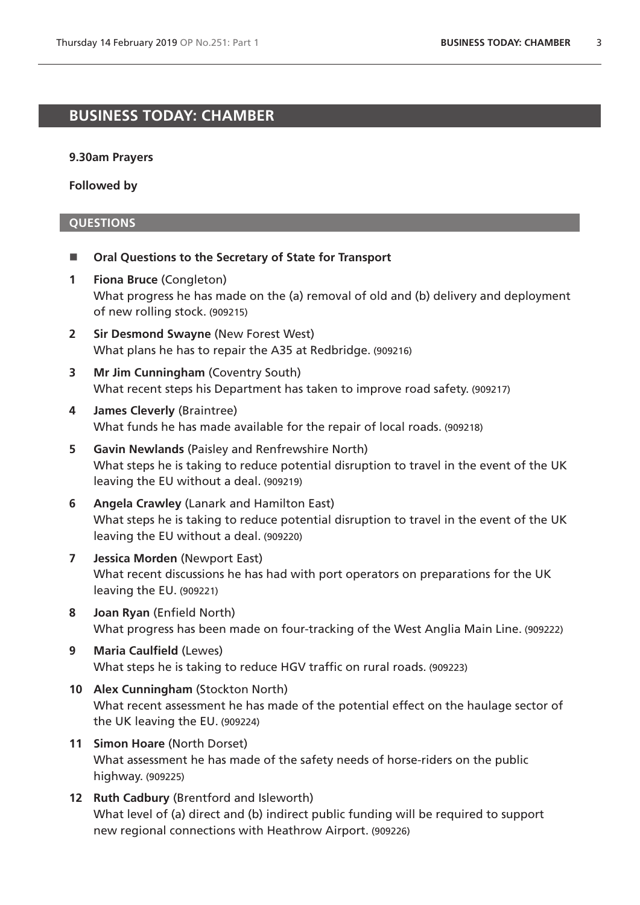# <span id="page-2-1"></span>**BUSINESS TODAY: CHAMBER**

### **9.30am Prayers**

**Followed by**

### <span id="page-2-0"></span>**QUESTIONS**

- Oral Questions to the Secretary of State for Transport
- **1 Fiona Bruce** (Congleton) What progress he has made on the (a) removal of old and (b) delivery and deployment of new rolling stock. (909215)
- **2 Sir Desmond Swayne** (New Forest West) What plans he has to repair the A35 at Redbridge. (909216)
- **3 Mr Jim Cunningham** (Coventry South) What recent steps his Department has taken to improve road safety. (909217)
- **4 James Cleverly** (Braintree) What funds he has made available for the repair of local roads. (909218)
- **5 Gavin Newlands** (Paisley and Renfrewshire North) What steps he is taking to reduce potential disruption to travel in the event of the UK leaving the EU without a deal. (909219)
- **6 Angela Crawley** (Lanark and Hamilton East) What steps he is taking to reduce potential disruption to travel in the event of the UK leaving the EU without a deal. (909220)
- **7 Jessica Morden** (Newport East) What recent discussions he has had with port operators on preparations for the UK leaving the EU. (909221)
- **8 Joan Ryan** (Enfield North) What progress has been made on four-tracking of the West Anglia Main Line. (909222)
- **9 Maria Caulfield** (Lewes) What steps he is taking to reduce HGV traffic on rural roads. (909223)
- **10 Alex Cunningham** (Stockton North) What recent assessment he has made of the potential effect on the haulage sector of the UK leaving the EU. (909224)
- **11 Simon Hoare** (North Dorset) What assessment he has made of the safety needs of horse-riders on the public highway. (909225)
- **12 Ruth Cadbury** (Brentford and Isleworth) What level of (a) direct and (b) indirect public funding will be required to support new regional connections with Heathrow Airport. (909226)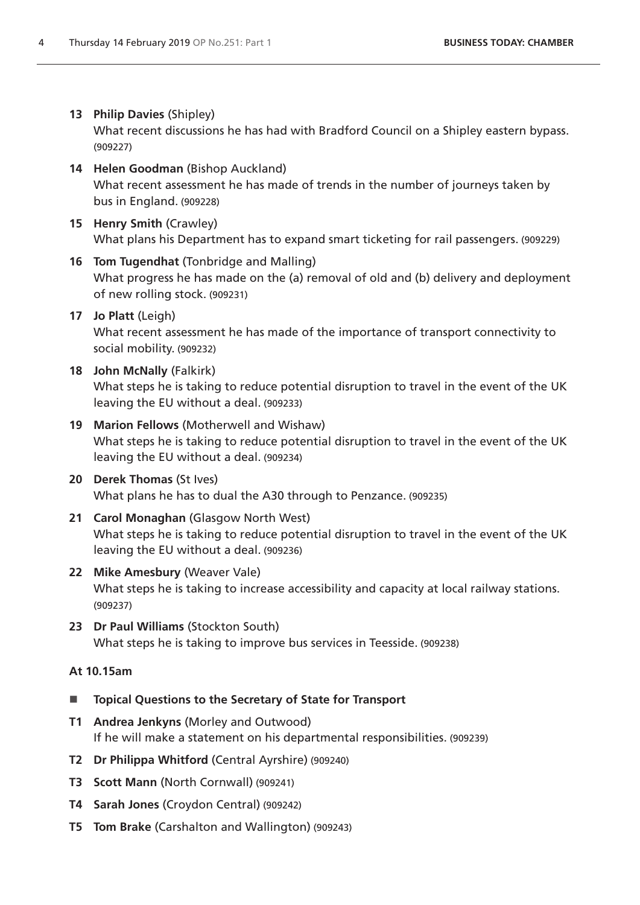# **13 Philip Davies** (Shipley)

What recent discussions he has had with Bradford Council on a Shipley eastern bypass. (909227)

- **14 Helen Goodman** (Bishop Auckland) What recent assessment he has made of trends in the number of journeys taken by bus in England. (909228)
- **15 Henry Smith** (Crawley) What plans his Department has to expand smart ticketing for rail passengers. (909229)
- **16 Tom Tugendhat** (Tonbridge and Malling) What progress he has made on the (a) removal of old and (b) delivery and deployment of new rolling stock. (909231)
- **17 Jo Platt** (Leigh) What recent assessment he has made of the importance of transport connectivity to social mobility. (909232)
- **18 John McNally** (Falkirk) What steps he is taking to reduce potential disruption to travel in the event of the UK leaving the EU without a deal. (909233)
- **19 Marion Fellows** (Motherwell and Wishaw) What steps he is taking to reduce potential disruption to travel in the event of the UK leaving the EU without a deal. (909234)
- **20 Derek Thomas** (St Ives) What plans he has to dual the A30 through to Penzance. (909235)
- **21 Carol Monaghan** (Glasgow North West) What steps he is taking to reduce potential disruption to travel in the event of the UK leaving the EU without a deal. (909236)
- **22 Mike Amesbury** (Weaver Vale) What steps he is taking to increase accessibility and capacity at local railway stations. (909237)
- **23 Dr Paul Williams** (Stockton South) What steps he is taking to improve bus services in Teesside. (909238)

# **At 10.15am**

- **Topical Questions to the Secretary of State for Transport**
- **T1 Andrea Jenkyns** (Morley and Outwood) If he will make a statement on his departmental responsibilities. (909239)
- **T2 Dr Philippa Whitford** (Central Ayrshire) (909240)
- **T3 Scott Mann** (North Cornwall) (909241)
- **T4 Sarah Jones** (Croydon Central) (909242)
- **T5 Tom Brake** (Carshalton and Wallington) (909243)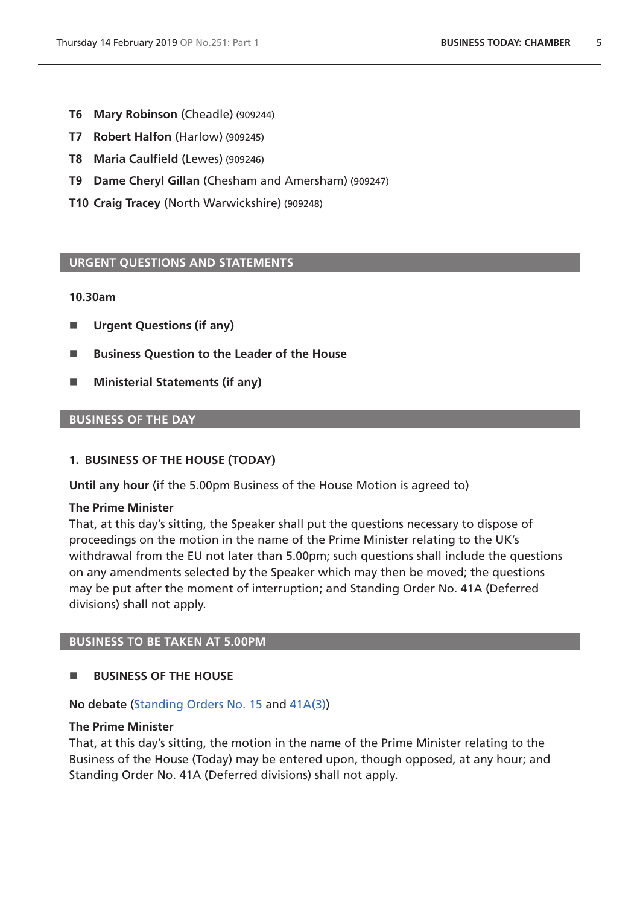- **T6 Mary Robinson** (Cheadle) (909244)
- **T7 Robert Halfon** (Harlow) (909245)
- **T8 Maria Caulfield** (Lewes) (909246)
- **T9 Dame Cheryl Gillan** (Chesham and Amersham) (909247)
- **T10 Craig Tracey** (North Warwickshire) (909248)

### <span id="page-4-0"></span>**URGENT QUESTIONS AND STATEMENTS**

#### **10.30am**

- **Urgent Questions (if any)**
- Business Ouestion to the Leader of the House
- **Ministerial Statements (if any)**

### **BUSINESS OF THE DAY**

#### <span id="page-4-1"></span>**1. BUSINESS OF THE HOUSE (TODAY)**

**Until any hour** (if the 5.00pm Business of the House Motion is agreed to)

### **The Prime Minister**

That, at this day's sitting, the Speaker shall put the questions necessary to dispose of proceedings on the motion in the name of the Prime Minister relating to the UK's withdrawal from the EU not later than 5.00pm; such questions shall include the questions on any amendments selected by the Speaker which may then be moved; the questions may be put after the moment of interruption; and Standing Order No. 41A (Deferred divisions) shall not apply.

#### **BUSINESS TO BE TAKEN AT 5.00PM**

### **BUSINESS OF THE HOUSE**

#### **No debate** ([Standing Orders No. 15](https://www.publications.parliament.uk/pa/cm201719/cmstords/1020/body.html#15) and [41A\(3\)](https://www.publications.parliament.uk/pa/cm201719/cmstords/1020/body.html#41A(3)))

### **The Prime Minister**

That, at this day's sitting, the motion in the name of the Prime Minister relating to the Business of the House (Today) may be entered upon, though opposed, at any hour; and Standing Order No. 41A (Deferred divisions) shall not apply.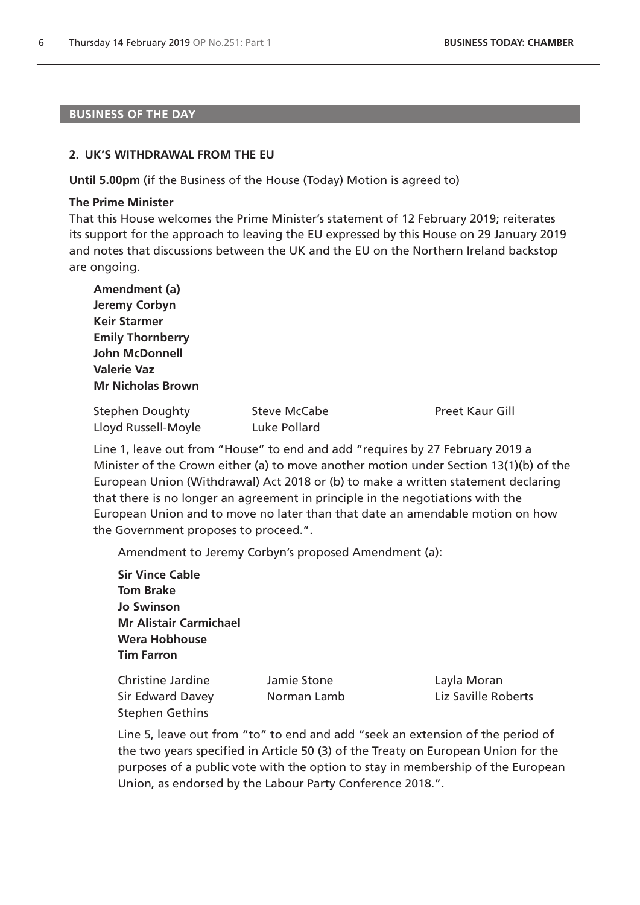#### **BUSINESS OF THE DAY**

#### **2. UK'S WITHDRAWAL FROM THE EU**

**Until 5.00pm** (if the Business of the House (Today) Motion is agreed to)

#### **The Prime Minister**

That this House welcomes the Prime Minister's statement of 12 February 2019; reiterates its support for the approach to leaving the EU expressed by this House on 29 January 2019 and notes that discussions between the UK and the EU on the Northern Ireland backstop are ongoing.

| Amendment (a)            |                     |                 |
|--------------------------|---------------------|-----------------|
| Jeremy Corbyn            |                     |                 |
| <b>Keir Starmer</b>      |                     |                 |
| <b>Emily Thornberry</b>  |                     |                 |
| <b>John McDonnell</b>    |                     |                 |
| <b>Valerie Vaz</b>       |                     |                 |
| <b>Mr Nicholas Brown</b> |                     |                 |
| <b>Stephen Doughty</b>   | <b>Steve McCabe</b> | Preet Kaur Gill |

Line 1, leave out from "House" to end and add "requires by 27 February 2019 a Minister of the Crown either (a) to move another motion under Section 13(1)(b) of the European Union (Withdrawal) Act 2018 or (b) to make a written statement declaring that there is no longer an agreement in principle in the negotiations with the European Union and to move no later than that date an amendable motion on how the Government proposes to proceed.".

Amendment to Jeremy Corbyn's proposed Amendment (a):

**Sir Vince Cable Tom Brake Jo Swinson Mr Alistair Carmichael Wera Hobhouse Tim Farron**

Lloyd Russell-Moyle Luke Pollard

Christine Jardine Jamie Stone Layla Moran Sir Edward Davey Norman Lamb Liz Saville Roberts Stephen Gethins

Line 5, leave out from "to" to end and add "seek an extension of the period of the two years specified in Article 50 (3) of the Treaty on European Union for the purposes of a public vote with the option to stay in membership of the European Union, as endorsed by the Labour Party Conference 2018.".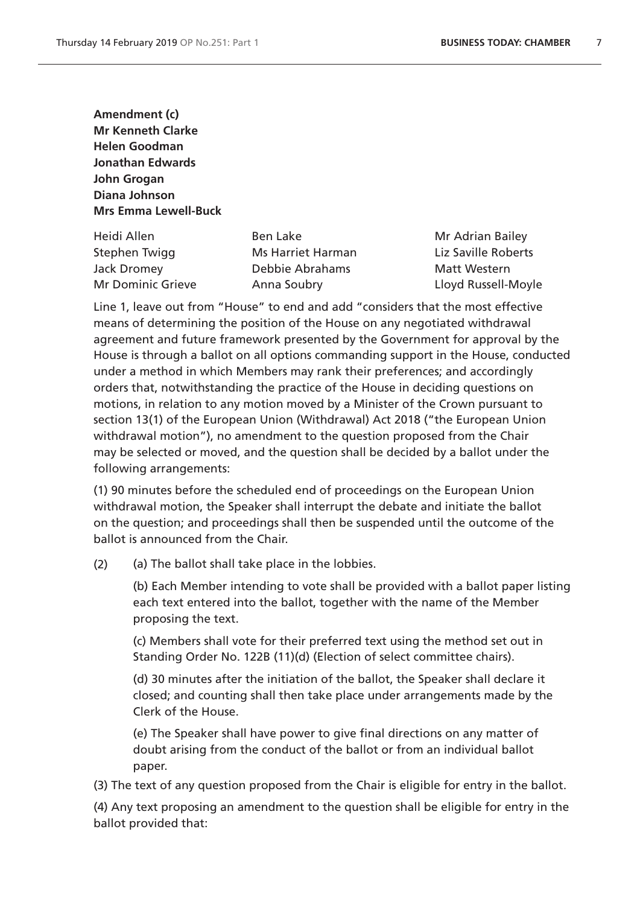**Amendment (c) Mr Kenneth Clarke Helen Goodman Jonathan Edwards John Grogan Diana Johnson Mrs Emma Lewell-Buck**

Heidi Allen and Ben Lake Mr Adrian Bailey Stephen Twigg **Ms Harriet Harman** Liz Saville Roberts Jack Dromey Debbie Abrahams Matt Western Mr Dominic Grieve Anna Soubry **Anna Soubry** Lloyd Russell-Moyle

Line 1, leave out from "House" to end and add "considers that the most effective means of determining the position of the House on any negotiated withdrawal agreement and future framework presented by the Government for approval by the House is through a ballot on all options commanding support in the House, conducted under a method in which Members may rank their preferences; and accordingly orders that, notwithstanding the practice of the House in deciding questions on motions, in relation to any motion moved by a Minister of the Crown pursuant to section 13(1) of the European Union (Withdrawal) Act 2018 ("the European Union withdrawal motion"), no amendment to the question proposed from the Chair may be selected or moved, and the question shall be decided by a ballot under the following arrangements:

(1) 90 minutes before the scheduled end of proceedings on the European Union withdrawal motion, the Speaker shall interrupt the debate and initiate the ballot on the question; and proceedings shall then be suspended until the outcome of the ballot is announced from the Chair.

(2) (a) The ballot shall take place in the lobbies.

(b) Each Member intending to vote shall be provided with a ballot paper listing each text entered into the ballot, together with the name of the Member proposing the text.

(c) Members shall vote for their preferred text using the method set out in Standing Order No. 122B (11)(d) (Election of select committee chairs).

(d) 30 minutes after the initiation of the ballot, the Speaker shall declare it closed; and counting shall then take place under arrangements made by the Clerk of the House.

(e) The Speaker shall have power to give final directions on any matter of doubt arising from the conduct of the ballot or from an individual ballot paper.

(3) The text of any question proposed from the Chair is eligible for entry in the ballot.

(4) Any text proposing an amendment to the question shall be eligible for entry in the ballot provided that: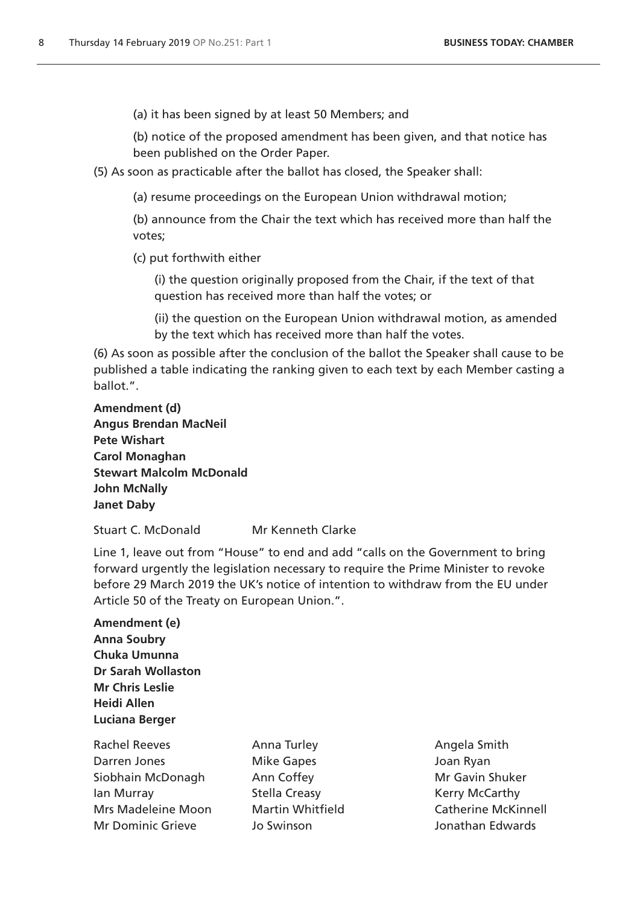(a) it has been signed by at least 50 Members; and

(b) notice of the proposed amendment has been given, and that notice has been published on the Order Paper.

- (5) As soon as practicable after the ballot has closed, the Speaker shall:
	- (a) resume proceedings on the European Union withdrawal motion;

(b) announce from the Chair the text which has received more than half the votes;

(c) put forthwith either

(i) the question originally proposed from the Chair, if the text of that question has received more than half the votes; or

(ii) the question on the European Union withdrawal motion, as amended by the text which has received more than half the votes.

(6) As soon as possible after the conclusion of the ballot the Speaker shall cause to be published a table indicating the ranking given to each text by each Member casting a ballot.".

**Amendment (d) Angus Brendan MacNeil Pete Wishart Carol Monaghan Stewart Malcolm McDonald John McNally Janet Daby**

Stuart C. McDonald Mr Kenneth Clarke

Line 1, leave out from "House" to end and add "calls on the Government to bring forward urgently the legislation necessary to require the Prime Minister to revoke before 29 March 2019 the UK's notice of intention to withdraw from the EU under Article 50 of the Treaty on European Union.".

**Amendment (e) Anna Soubry Chuka Umunna Dr Sarah Wollaston Mr Chris Leslie Heidi Allen Luciana Berger**

Rachel Reeves **Anna Turley Anna Turley** Angela Smith Darren Jones Mike Gapes Joan Ryan Siobhain McDonagh Ann Coffey **Mr Gavin Shuker** Mr Gavin Shuker Ian Murray **Stella Creasy Communist Control** Creasy Kerry McCarthy Mrs Madeleine Moon Martin Whitfield Catherine McKinnell Mr Dominic Grieve Jo Swinson Jonathan Edwards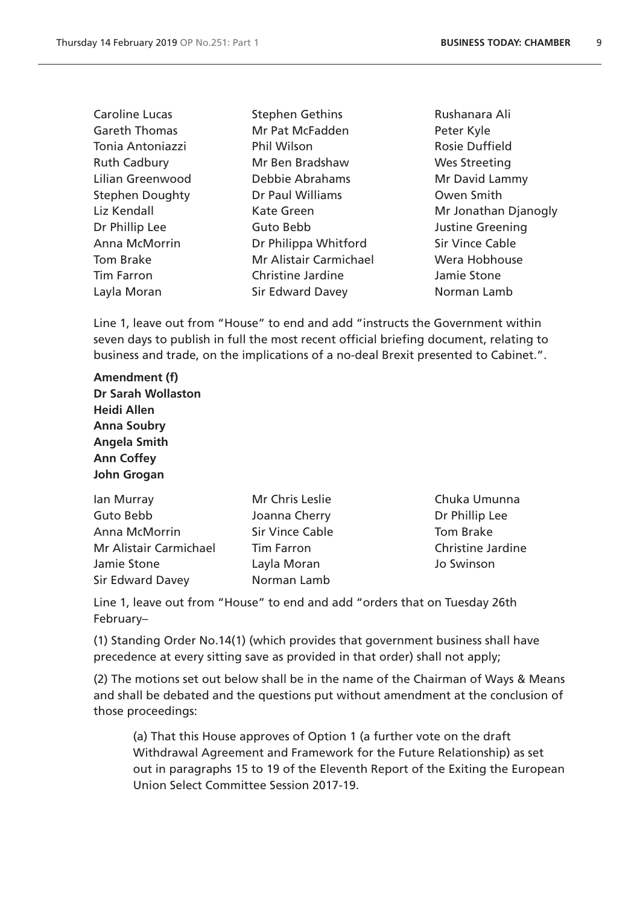| <b>Caroline Lucas</b>  | <b>Stephen Gethins</b>   | Rushanara Ali          |
|------------------------|--------------------------|------------------------|
| <b>Gareth Thomas</b>   | Mr Pat McFadden          | Peter Kyle             |
| Tonia Antoniazzi       | <b>Phil Wilson</b>       | <b>Rosie Duffield</b>  |
| <b>Ruth Cadbury</b>    | Mr Ben Bradshaw          | <b>Wes Streeting</b>   |
| Lilian Greenwood       | Debbie Abrahams          | Mr David Lammy         |
| <b>Stephen Doughty</b> | Dr Paul Williams         | Owen Smith             |
| Liz Kendall            | <b>Kate Green</b>        | Mr Jonathan Djanogly   |
| Dr Phillip Lee         | Guto Bebb                | Justine Greening       |
| Anna McMorrin          | Dr Philippa Whitford     | <b>Sir Vince Cable</b> |
| Tom Brake              | Mr Alistair Carmichael   | Wera Hobhouse          |
| <b>Tim Farron</b>      | <b>Christine Jardine</b> | Jamie Stone            |
| Layla Moran            | <b>Sir Edward Davey</b>  | Norman Lamb            |

Line 1, leave out from "House" to end and add "instructs the Government within seven days to publish in full the most recent official briefing document, relating to business and trade, on the implications of a no-deal Brexit presented to Cabinet.".

**Amendment (f) Dr Sarah Wollaston Heidi Allen Anna Soubry Angela Smith Ann Coffey John Grogan**

Guto Bebb **Joanna Cherry Dr Phillip Lee** Anna McMorrin Sir Vince Cable Tom Brake Mr Alistair Carmichael Tim Farron Christine Jardine Jamie Stone Layla Moran Jo Swinson Sir Edward Davey Norman Lamb

- 
- Ian Murray **Mr Chris Leslie** Chuka Umunna

Line 1, leave out from "House" to end and add "orders that on Tuesday 26th February–

(1) Standing Order No.14(1) (which provides that government business shall have precedence at every sitting save as provided in that order) shall not apply;

(2) The motions set out below shall be in the name of the Chairman of Ways & Means and shall be debated and the questions put without amendment at the conclusion of those proceedings:

(a) That this House approves of Option 1 (a further vote on the draft Withdrawal Agreement and Framework for the Future Relationship) as set out in paragraphs 15 to 19 of the Eleventh Report of the Exiting the European Union Select Committee Session 2017-19.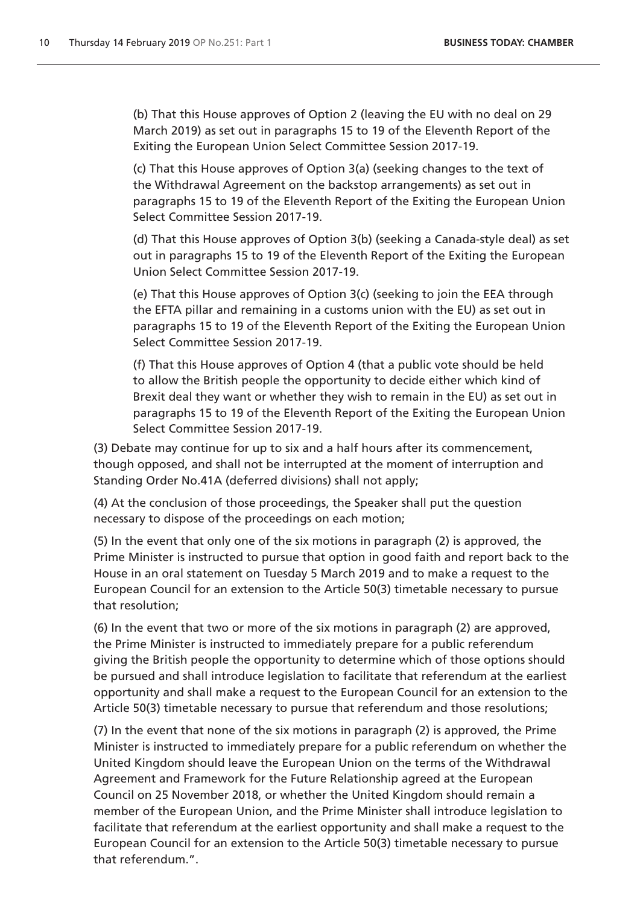(b) That this House approves of Option 2 (leaving the EU with no deal on 29 March 2019) as set out in paragraphs 15 to 19 of the Eleventh Report of the Exiting the European Union Select Committee Session 2017-19.

(c) That this House approves of Option 3(a) (seeking changes to the text of the Withdrawal Agreement on the backstop arrangements) as set out in paragraphs 15 to 19 of the Eleventh Report of the Exiting the European Union Select Committee Session 2017-19.

(d) That this House approves of Option 3(b) (seeking a Canada-style deal) as set out in paragraphs 15 to 19 of the Eleventh Report of the Exiting the European Union Select Committee Session 2017-19.

(e) That this House approves of Option 3(c) (seeking to join the EEA through the EFTA pillar and remaining in a customs union with the EU) as set out in paragraphs 15 to 19 of the Eleventh Report of the Exiting the European Union Select Committee Session 2017-19.

(f) That this House approves of Option 4 (that a public vote should be held to allow the British people the opportunity to decide either which kind of Brexit deal they want or whether they wish to remain in the EU) as set out in paragraphs 15 to 19 of the Eleventh Report of the Exiting the European Union Select Committee Session 2017-19.

(3) Debate may continue for up to six and a half hours after its commencement, though opposed, and shall not be interrupted at the moment of interruption and Standing Order No.41A (deferred divisions) shall not apply;

(4) At the conclusion of those proceedings, the Speaker shall put the question necessary to dispose of the proceedings on each motion;

(5) In the event that only one of the six motions in paragraph (2) is approved, the Prime Minister is instructed to pursue that option in good faith and report back to the House in an oral statement on Tuesday 5 March 2019 and to make a request to the European Council for an extension to the Article 50(3) timetable necessary to pursue that resolution;

(6) In the event that two or more of the six motions in paragraph (2) are approved, the Prime Minister is instructed to immediately prepare for a public referendum giving the British people the opportunity to determine which of those options should be pursued and shall introduce legislation to facilitate that referendum at the earliest opportunity and shall make a request to the European Council for an extension to the Article 50(3) timetable necessary to pursue that referendum and those resolutions;

(7) In the event that none of the six motions in paragraph (2) is approved, the Prime Minister is instructed to immediately prepare for a public referendum on whether the United Kingdom should leave the European Union on the terms of the Withdrawal Agreement and Framework for the Future Relationship agreed at the European Council on 25 November 2018, or whether the United Kingdom should remain a member of the European Union, and the Prime Minister shall introduce legislation to facilitate that referendum at the earliest opportunity and shall make a request to the European Council for an extension to the Article 50(3) timetable necessary to pursue that referendum.".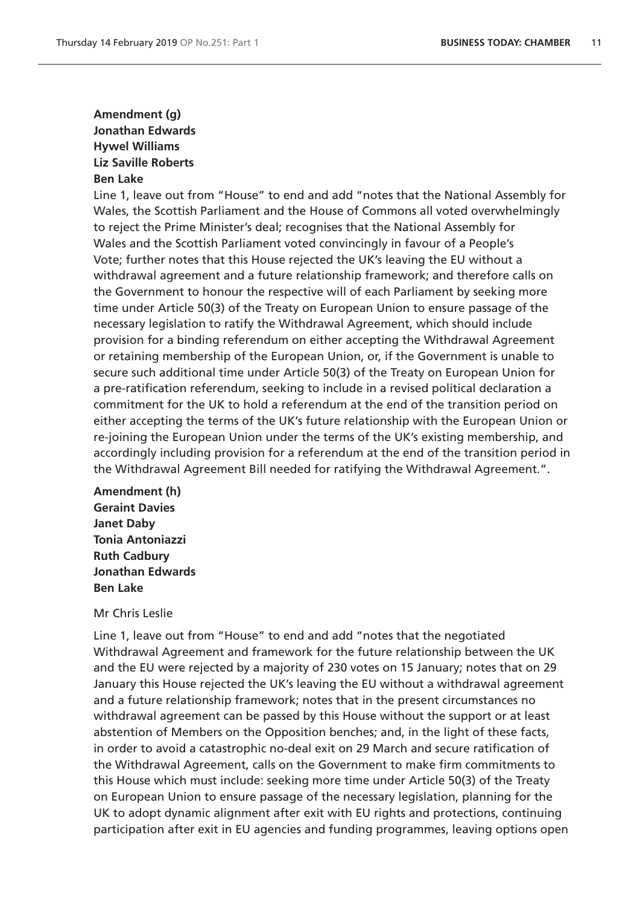# **Amendment (g) Jonathan Edwards Hywel Williams Liz Saville Roberts Ben Lake**

Line 1, leave out from "House" to end and add "notes that the National Assembly for Wales, the Scottish Parliament and the House of Commons all voted overwhelmingly to reject the Prime Minister's deal; recognises that the National Assembly for Wales and the Scottish Parliament voted convincingly in favour of a People's Vote; further notes that this House rejected the UK's leaving the EU without a withdrawal agreement and a future relationship framework; and therefore calls on the Government to honour the respective will of each Parliament by seeking more time under Article 50(3) of the Treaty on European Union to ensure passage of the necessary legislation to ratify the Withdrawal Agreement, which should include provision for a binding referendum on either accepting the Withdrawal Agreement or retaining membership of the European Union, or, if the Government is unable to secure such additional time under Article 50(3) of the Treaty on European Union for a pre-ratification referendum, seeking to include in a revised political declaration a commitment for the UK to hold a referendum at the end of the transition period on either accepting the terms of the UK's future relationship with the European Union or re-joining the European Union under the terms of the UK's existing membership, and accordingly including provision for a referendum at the end of the transition period in the Withdrawal Agreement Bill needed for ratifying the Withdrawal Agreement.".

**Amendment (h) Geraint Davies Janet Daby Tonia Antoniazzi Ruth Cadbury Jonathan Edwards Ben Lake**

### Mr Chris Leslie

Line 1, leave out from "House" to end and add "notes that the negotiated Withdrawal Agreement and framework for the future relationship between the UK and the EU were rejected by a majority of 230 votes on 15 January; notes that on 29 January this House rejected the UK's leaving the EU without a withdrawal agreement and a future relationship framework; notes that in the present circumstances no withdrawal agreement can be passed by this House without the support or at least abstention of Members on the Opposition benches; and, in the light of these facts, in order to avoid a catastrophic no-deal exit on 29 March and secure ratification of the Withdrawal Agreement, calls on the Government to make firm commitments to this House which must include: seeking more time under Article 50(3) of the Treaty on European Union to ensure passage of the necessary legislation, planning for the UK to adopt dynamic alignment after exit with EU rights and protections, continuing participation after exit in EU agencies and funding programmes, leaving options open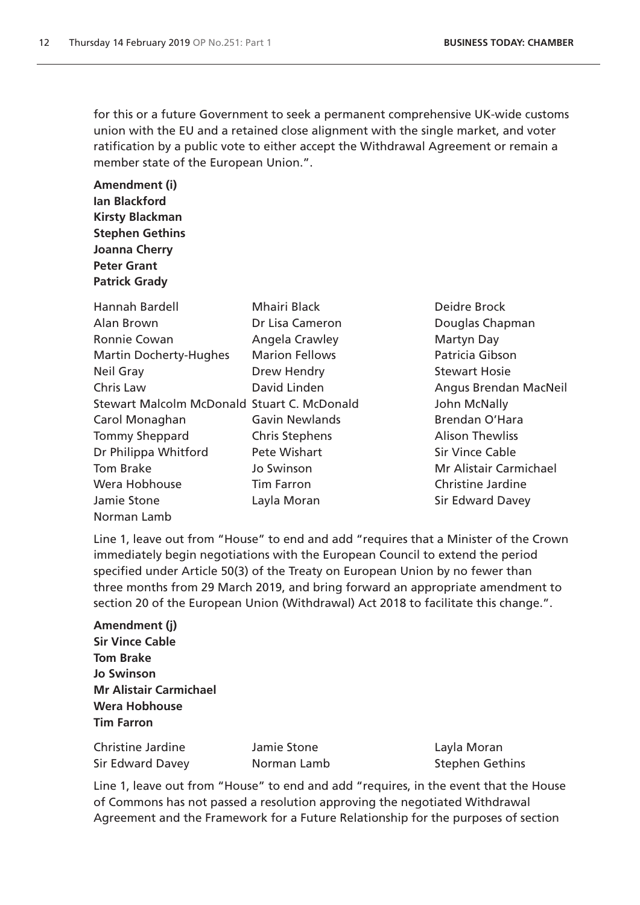for this or a future Government to seek a permanent comprehensive UK-wide customs union with the EU and a retained close alignment with the single market, and voter ratification by a public vote to either accept the Withdrawal Agreement or remain a member state of the European Union.".

**Amendment (i) Ian Blackford Kirsty Blackman Stephen Gethins Joanna Cherry Peter Grant Patrick Grady**

| Hannah Bardell                              | <b>Mhairi Black</b>   |
|---------------------------------------------|-----------------------|
| Alan Brown                                  | Dr Lisa Cameron       |
| Ronnie Cowan                                | Angela Crawley        |
| <b>Martin Docherty-Hughes</b>               | <b>Marion Fellows</b> |
| Neil Gray                                   | Drew Hendry           |
| Chris Law                                   | David Linden          |
| Stewart Malcolm McDonald Stuart C. McDonald |                       |
| Carol Monaghan                              | Gavin Newlands        |
| <b>Tommy Sheppard</b>                       | <b>Chris Stephens</b> |
| Dr Philippa Whitford                        | Pete Wishart          |
| Tom Brake                                   | Jo Swinson            |
| Wera Hobhouse                               | <b>Tim Farron</b>     |
| Jamie Stone                                 | Layla Moran           |
| Norman Lamb                                 |                       |

Deidre Brock Douglas Chapman Martyn Day Patricia Gibson Stewart Hosie Angus Brendan MacNeil John McNally Brendan O'Hara **Alison Thewliss** Sir Vince Cable Mr Alistair Carmichael Christine Jardine **Sir Edward Davey** 

Line 1, leave out from "House" to end and add "requires that a Minister of the Crown immediately begin negotiations with the European Council to extend the period specified under Article 50(3) of the Treaty on European Union by no fewer than three months from 29 March 2019, and bring forward an appropriate amendment to section 20 of the European Union (Withdrawal) Act 2018 to facilitate this change.".

**Amendment (j) Sir Vince Cable Tom Brake Jo Swinson Mr Alistair Carmichael Wera Hobhouse Tim Farron**

Christine Jardine Jamie Stone Layla Moran Sir Edward Davey Norman Lamb Stephen Gethins

Line 1, leave out from "House" to end and add "requires, in the event that the House of Commons has not passed a resolution approving the negotiated Withdrawal Agreement and the Framework for a Future Relationship for the purposes of section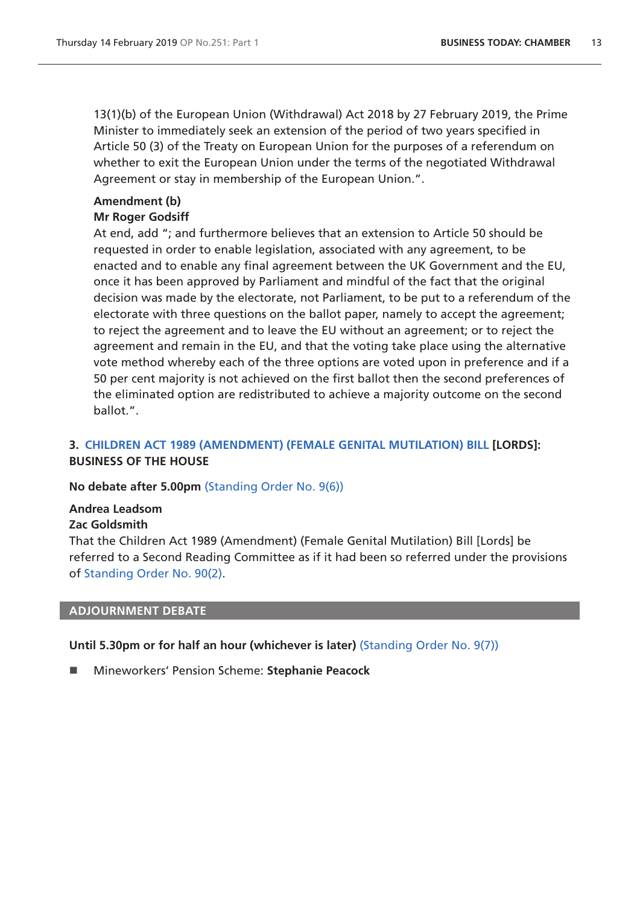13(1)(b) of the European Union (Withdrawal) Act 2018 by 27 February 2019, the Prime Minister to immediately seek an extension of the period of two years specified in Article 50 (3) of the Treaty on European Union for the purposes of a referendum on whether to exit the European Union under the terms of the negotiated Withdrawal Agreement or stay in membership of the European Union.".

# **Amendment (b) Mr Roger Godsiff**

At end, add "; and furthermore believes that an extension to Article 50 should be requested in order to enable legislation, associated with any agreement, to be enacted and to enable any final agreement between the UK Government and the EU, once it has been approved by Parliament and mindful of the fact that the original decision was made by the electorate, not Parliament, to be put to a referendum of the electorate with three questions on the ballot paper, namely to accept the agreement; to reject the agreement and to leave the EU without an agreement; or to reject the agreement and remain in the EU, and that the voting take place using the alternative vote method whereby each of the three options are voted upon in preference and if a 50 per cent majority is not achieved on the first ballot then the second preferences of the eliminated option are redistributed to achieve a majority outcome on the second ballot.".

# <span id="page-12-0"></span>**3. [CHILDREN ACT 1989 \(AMENDMENT\) \(FEMALE GENITAL MUTILATION\) BILL](https://publications.parliament.uk/pa/bills/cbill/2017-2019/0294/18294.pdf) [LORDS]: BUSINESS OF THE HOUSE**

**No debate after 5.00pm** [\(Standing Order No. 9\(6\)\)](https://www.publications.parliament.uk/pa/cm201719/cmstords/1020/body.html#9(6))

# **Andrea Leadsom**

# **Zac Goldsmith**

That the Children Act 1989 (Amendment) (Female Genital Mutilation) Bill [Lords] be referred to a Second Reading Committee as if it had been so referred under the provisions of [Standing Order No. 90\(2\).](https://www.publications.parliament.uk/pa/cm201719/cmstords/1020/body.html#90(2))

### <span id="page-12-1"></span>**ADJOURNMENT DEBATE**

### **Until 5.30pm or for half an hour (whichever is later)** [\(Standing Order No. 9\(7\)\)](https://www.publications.parliament.uk/pa/cm201719/cmstords/1020/body.html#9(7))

Mineworkers' Pension Scheme: **Stephanie Peacock**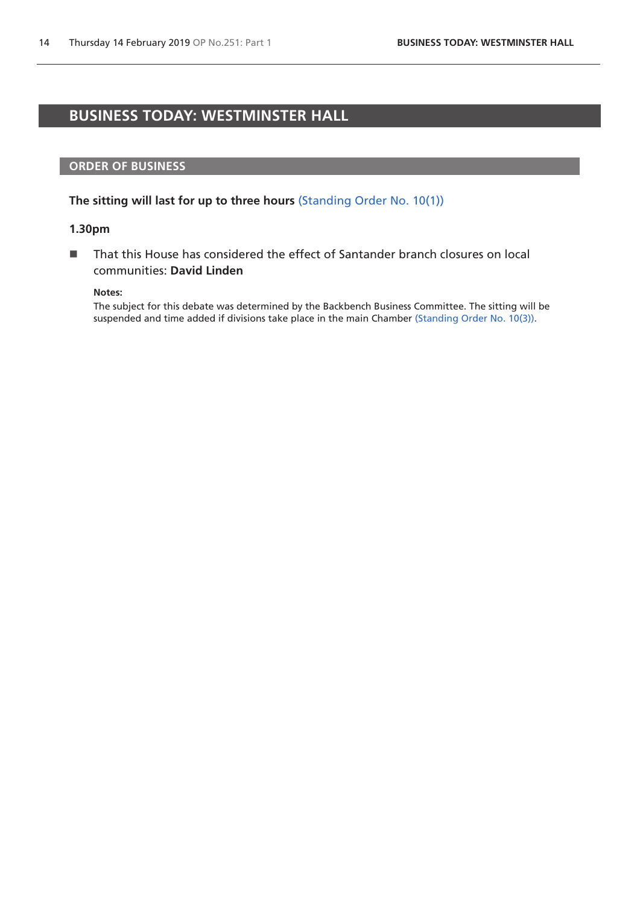# <span id="page-13-0"></span>**BUSINESS TODAY: WESTMINSTER HALL**

### **ORDER OF BUSINESS**

**The sitting will last for up to three hours** [\(Standing Order No. 10\(1\)\)](https://www.publications.parliament.uk/pa/cm201719/cmstords/1020/body.html#10(1))

### **1.30pm**

■ That this House has considered the effect of Santander branch closures on local communities: **David Linden**

#### **Notes:**

The subject for this debate was determined by the Backbench Business Committee. The sitting will be suspended and time added if divisions take place in the main Chamber [\(Standing Order No. 10\(3\)\)](https://www.publications.parliament.uk/pa/cm201719/cmstords/1020/body.html#10(3)).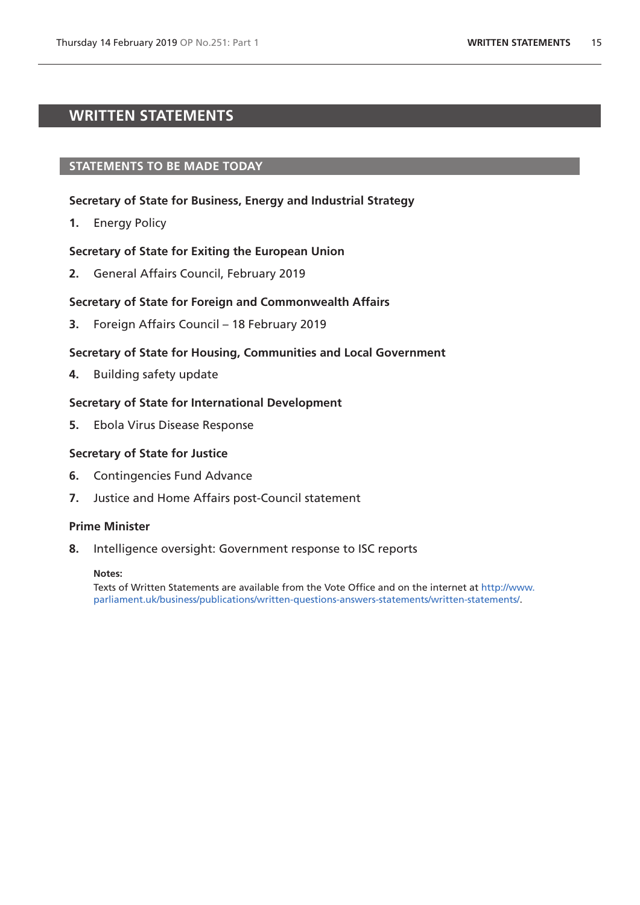# <span id="page-14-0"></span>**WRITTEN STATEMENTS**

### **STATEMENTS TO BE MADE TODAY**

### **Secretary of State for Business, Energy and Industrial Strategy**

**1.** Energy Policy

### **Secretary of State for Exiting the European Union**

**2.** General Affairs Council, February 2019

#### **Secretary of State for Foreign and Commonwealth Affairs**

**3.** Foreign Affairs Council – 18 February 2019

### **Secretary of State for Housing, Communities and Local Government**

**4.** Building safety update

### **Secretary of State for International Development**

**5.** Ebola Virus Disease Response

#### **Secretary of State for Justice**

- **6.** Contingencies Fund Advance
- **7.** Justice and Home Affairs post-Council statement

#### **Prime Minister**

**8.** Intelligence oversight: Government response to ISC reports

**Notes:**

Texts of Written Statements are available from the Vote Office and on the internet at [http://www.](http://www.parliament.uk/business/publications/written-questions-answers-statements/written-statements/) [parliament.uk/business/publications/written-questions-answers-statements/written-statements/.](http://www.parliament.uk/business/publications/written-questions-answers-statements/written-statements/)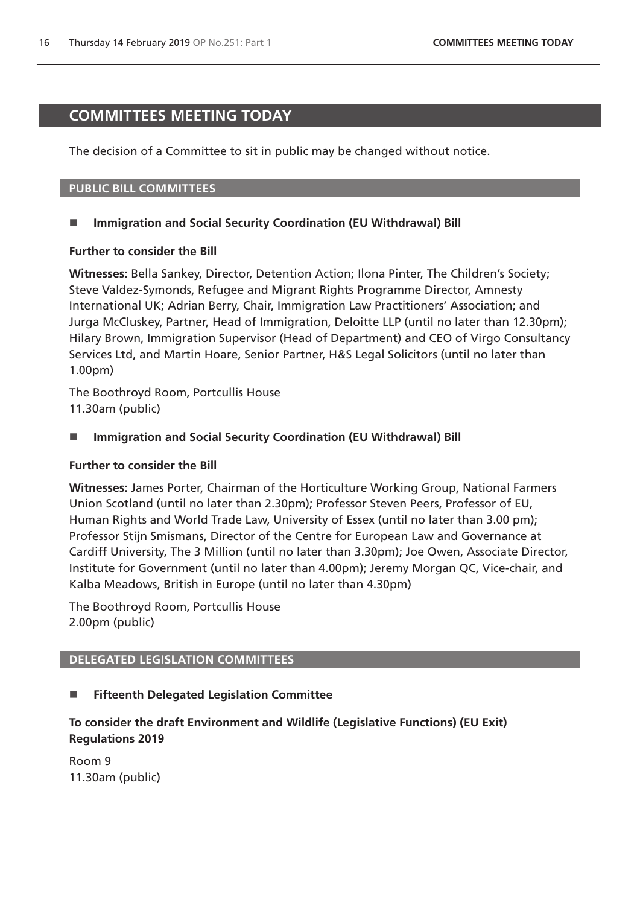# <span id="page-15-0"></span>**COMMITTEES MEETING TODAY**

The decision of a Committee to sit in public may be changed without notice.

### **PUBLIC BILL COMMITTEES**

### **Immigration and Social Security Coordination (EU Withdrawal) Bill**

### **Further to consider the Bill**

**Witnesses:** Bella Sankey, Director, Detention Action; Ilona Pinter, The Children's Society; Steve Valdez-Symonds, Refugee and Migrant Rights Programme Director, Amnesty International UK; Adrian Berry, Chair, Immigration Law Practitioners' Association; and Jurga McCluskey, Partner, Head of Immigration, Deloitte LLP (until no later than 12.30pm); Hilary Brown, Immigration Supervisor (Head of Department) and CEO of Virgo Consultancy Services Ltd, and Martin Hoare, Senior Partner, H&S Legal Solicitors (until no later than 1.00pm)

The Boothroyd Room, Portcullis House 11.30am (public)

■ Immigration and Social Security Coordination (EU Withdrawal) Bill

### **Further to consider the Bill**

**Witnesses:** James Porter, Chairman of the Horticulture Working Group, National Farmers Union Scotland (until no later than 2.30pm); Professor Steven Peers, Professor of EU, Human Rights and World Trade Law, University of Essex (until no later than 3.00 pm); Professor Stijn Smismans, Director of the Centre for European Law and Governance at Cardiff University, The 3 Million (until no later than 3.30pm); Joe Owen, Associate Director, Institute for Government (until no later than 4.00pm); Jeremy Morgan QC, Vice-chair, and Kalba Meadows, British in Europe (until no later than 4.30pm)

The Boothroyd Room, Portcullis House 2.00pm (public)

### **DELEGATED LEGISLATION COMMITTEES**

### **Fifteenth Delegated Legislation Committee**

# **To consider the draft Environment and Wildlife (Legislative Functions) (EU Exit) Regulations 2019**

Room 9 11.30am (public)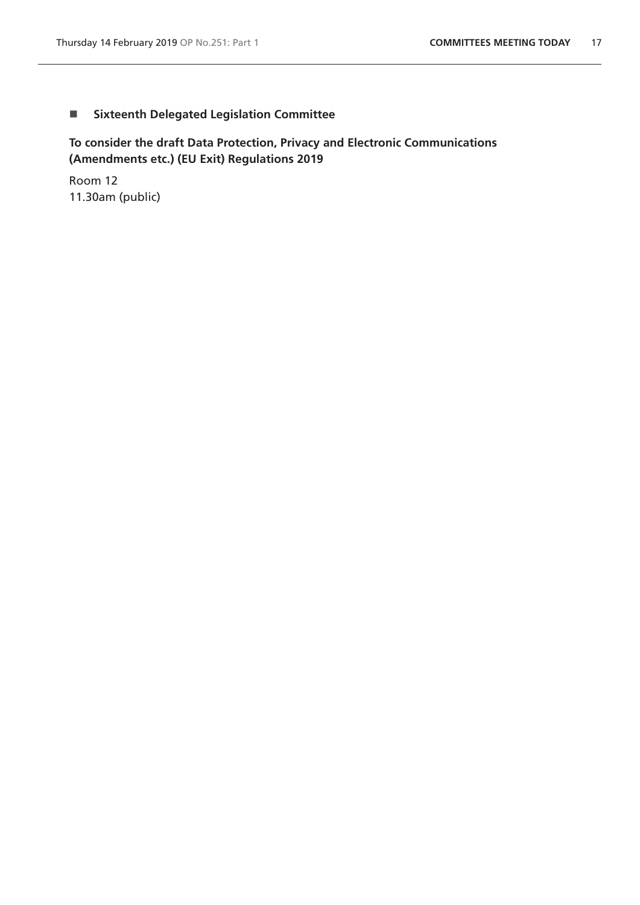# **Sixteenth Delegated Legislation Committee**

**To consider the draft Data Protection, Privacy and Electronic Communications (Amendments etc.) (EU Exit) Regulations 2019**

Room 12 11.30am (public)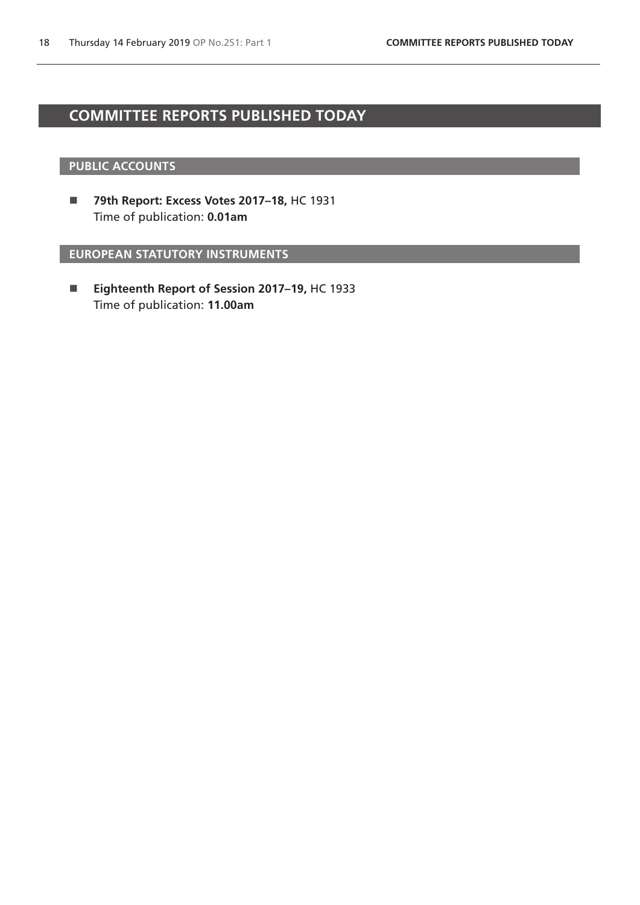# <span id="page-17-0"></span>**COMMITTEE REPORTS PUBLISHED TODAY**

### **PUBLIC ACCOUNTS**

 **79th Report: Excess Votes 2017–18,** HC 1931 Time of publication: **0.01am**

**EUROPEAN STATUTORY INSTRUMENTS**

 **Eighteenth Report of Session 2017–19,** HC 1933 Time of publication: **11.00am**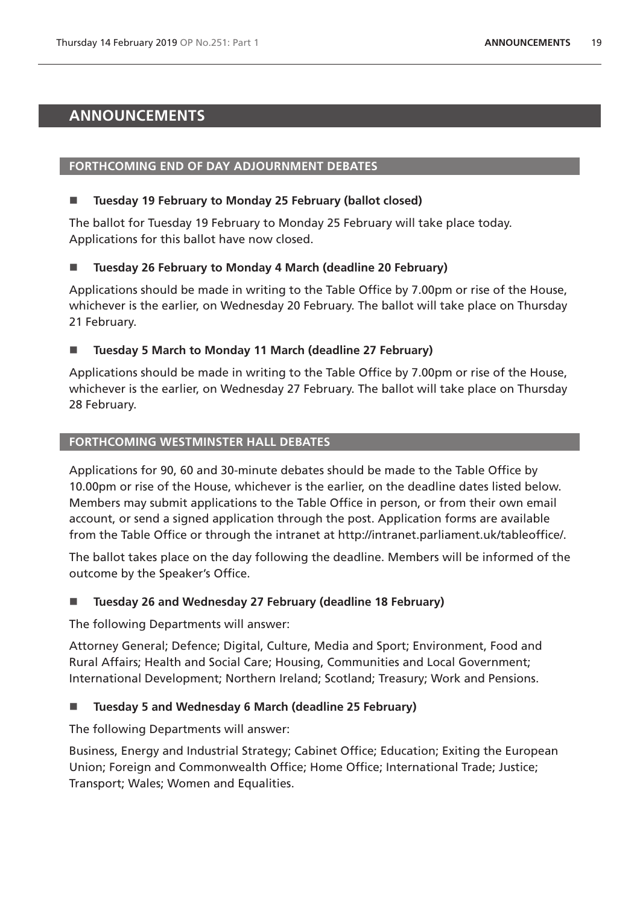# <span id="page-18-0"></span>**ANNOUNCEMENTS**

# **FORTHCOMING END OF DAY ADJOURNMENT DEBATES**

# **Tuesday 19 February to Monday 25 February (ballot closed)**

The ballot for Tuesday 19 February to Monday 25 February will take place today. Applications for this ballot have now closed.

# **Tuesday 26 February to Monday 4 March (deadline 20 February)**

Applications should be made in writing to the Table Office by 7.00pm or rise of the House, whichever is the earlier, on Wednesday 20 February. The ballot will take place on Thursday 21 February.

### **Tuesday 5 March to Monday 11 March (deadline 27 February)**

Applications should be made in writing to the Table Office by 7.00pm or rise of the House, whichever is the earlier, on Wednesday 27 February. The ballot will take place on Thursday 28 February.

### **FORTHCOMING WESTMINSTER HALL DEBATES**

Applications for 90, 60 and 30-minute debates should be made to the Table Office by 10.00pm or rise of the House, whichever is the earlier, on the deadline dates listed below. Members may submit applications to the Table Office in person, or from their own email account, or send a signed application through the post. Application forms are available from the Table Office or through the intranet at http://intranet.parliament.uk/tableoffice/.

The ballot takes place on the day following the deadline. Members will be informed of the outcome by the Speaker's Office.

# **Tuesday 26 and Wednesday 27 February (deadline 18 February)**

The following Departments will answer:

Attorney General; Defence; Digital, Culture, Media and Sport; Environment, Food and Rural Affairs; Health and Social Care; Housing, Communities and Local Government; International Development; Northern Ireland; Scotland; Treasury; Work and Pensions.

# **Tuesday 5 and Wednesday 6 March (deadline 25 February)**

The following Departments will answer:

Business, Energy and Industrial Strategy; Cabinet Office; Education; Exiting the European Union; Foreign and Commonwealth Office; Home Office; International Trade; Justice; Transport; Wales; Women and Equalities.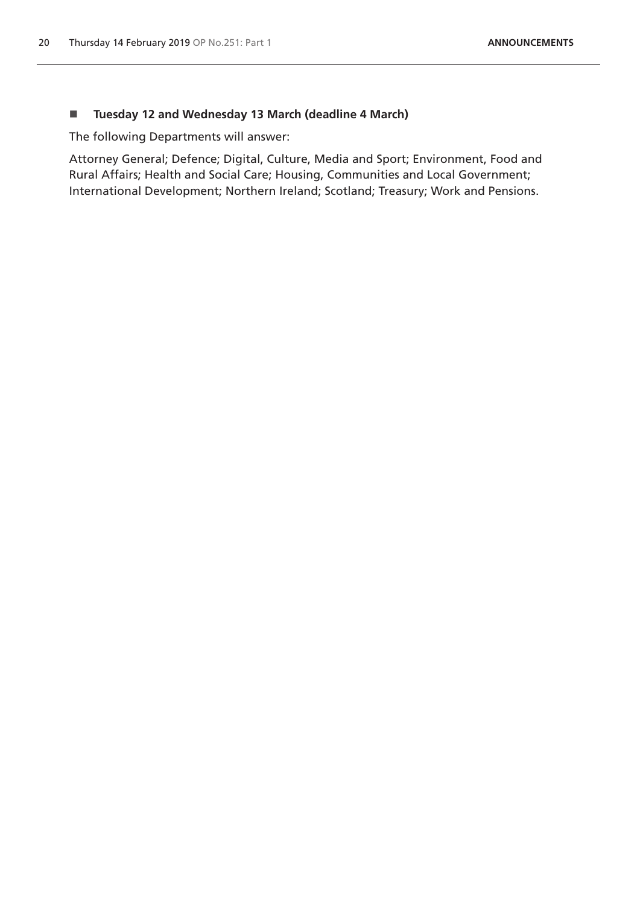### **Tuesday 12 and Wednesday 13 March (deadline 4 March)**

The following Departments will answer:

Attorney General; Defence; Digital, Culture, Media and Sport; Environment, Food and Rural Affairs; Health and Social Care; Housing, Communities and Local Government; International Development; Northern Ireland; Scotland; Treasury; Work and Pensions.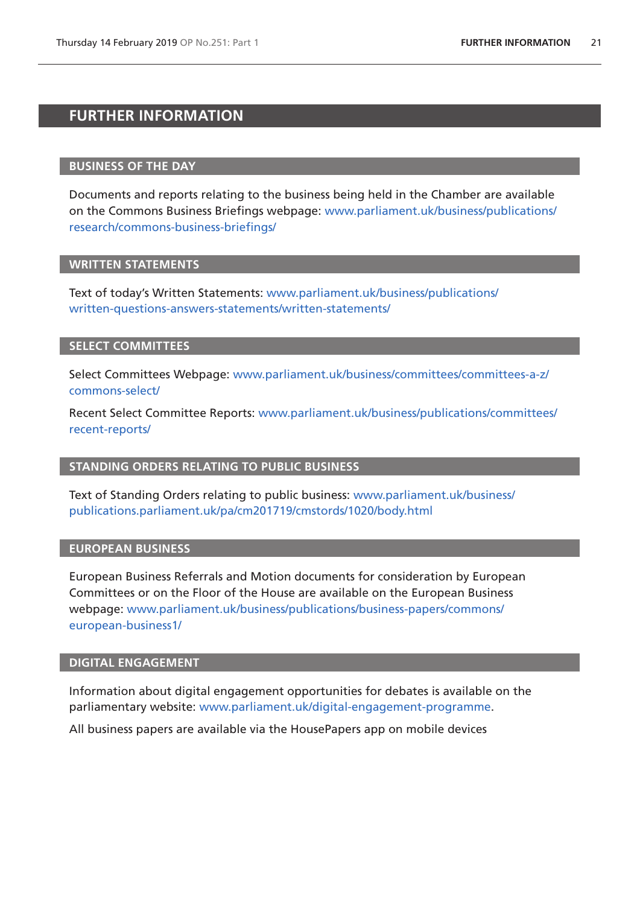# <span id="page-20-0"></span>**FURTHER INFORMATION**

### **BUSINESS OF THE DAY**

Documents and reports relating to the business being held in the Chamber are available on the Commons Business Briefings webpage: [www.parliament.uk/business/publications/](http://www.parliament.uk/business/publications/research/commons-business-briefings/) [research/commons-business-briefings/](http://www.parliament.uk/business/publications/research/commons-business-briefings/)

### **WRITTEN STATEMENTS**

Text of today's Written Statements: [www.parliament.uk/business/publications/](http://www.parliament.uk/business/publications/written-questions-answers-statements/written-statements/) [written-questions-answers-statements/written-statements/](http://www.parliament.uk/business/publications/written-questions-answers-statements/written-statements/)

# **SELECT COMMITTEES**

Select Committees Webpage: [www.parliament.uk/business/committees/committees-a-z/](http://www.parliament.uk/business/committees/committees-a-z/commons-select/) [commons-select/](http://www.parliament.uk/business/committees/committees-a-z/commons-select/)

Recent Select Committee Reports: [www.parliament.uk/business/publications/committees/](http://www.parliament.uk/business/publications/committees/recent-reports/) [recent-reports/](http://www.parliament.uk/business/publications/committees/recent-reports/)

### **STANDING ORDERS RELATING TO PUBLIC BUSINESS**

Text of Standing Orders relating to public business: www.parliament.uk/business/ [publications.parliament.uk/pa/cm201719/cmstords/1020/body.html](http://publications.parliament.uk/pa/cm201719/cmstords/1020/body.html)

### **EUROPEAN BUSINESS**

European Business Referrals and Motion documents for consideration by European Committees or on the Floor of the House are available on the European Business webpage: [www.parliament.uk/business/publications/business-papers/commons/](http://www.parliament.uk/business/publications/business-papers/commons/european-business1/) [european-business1/](http://www.parliament.uk/business/publications/business-papers/commons/european-business1/)

### **DIGITAL ENGAGEMENT**

Information about digital engagement opportunities for debates is available on the parliamentary website: [www.parliament.uk/digital-engagement-programme.](https://www.parliament.uk/digital-engagement-programme)

All business papers are available via the HousePapers app on mobile devices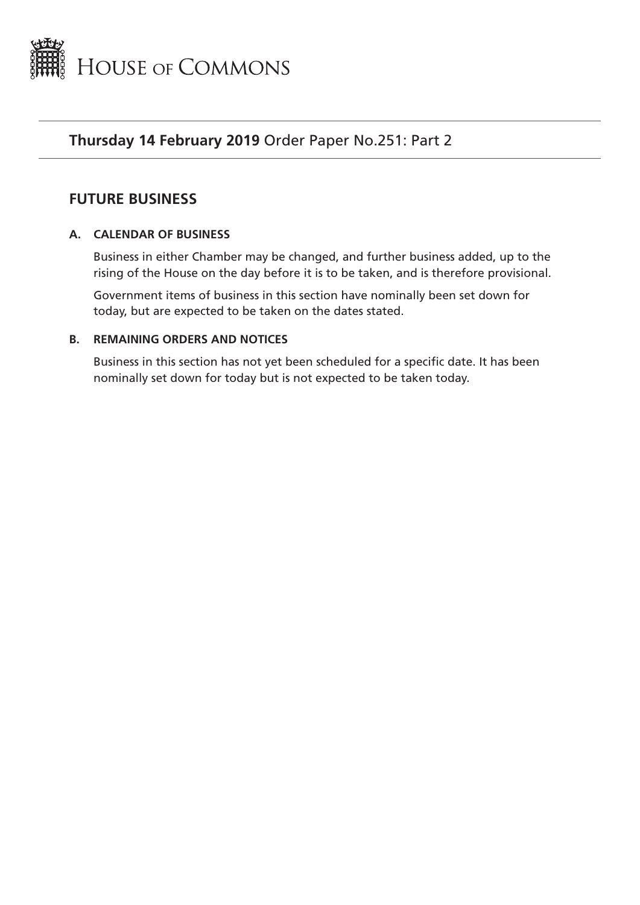<span id="page-22-0"></span>

# **Thursday 14 February 2019** Order Paper No.251: Part 2

# **FUTURE BUSINESS**

# **A. CALENDAR OF BUSINESS**

Business in either Chamber may be changed, and further business added, up to the rising of the House on the day before it is to be taken, and is therefore provisional.

Government items of business in this section have nominally been set down for today, but are expected to be taken on the dates stated.

# **B. REMAINING ORDERS AND NOTICES**

Business in this section has not yet been scheduled for a specific date. It has been nominally set down for today but is not expected to be taken today.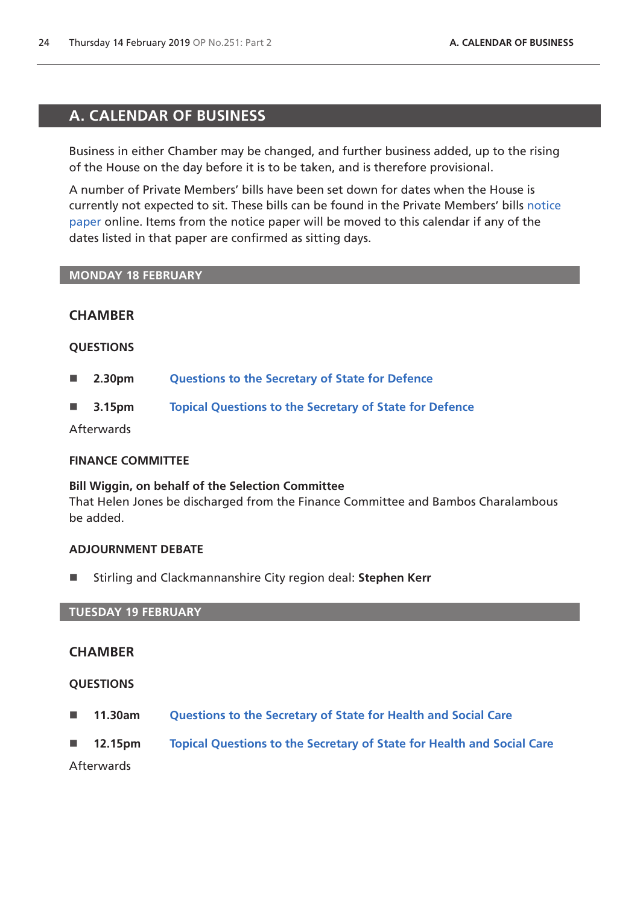# <span id="page-23-0"></span>**A. CALENDAR OF BUSINESS**

Business in either Chamber may be changed, and further business added, up to the rising of the House on the day before it is to be taken, and is therefore provisional.

A number of Private Members' bills have been set down for dates when the House is currently not expected to sit. These bills can be found in the Private Members' bills [notice](https://publications.parliament.uk/pa/cm201719/cmagenda/pmbpaper190214.pdf)  [paper](https://publications.parliament.uk/pa/cm201719/cmagenda/pmbpaper190214.pdf) online. Items from the notice paper will be moved to this calendar if any of the dates listed in that paper are confirmed as sitting days.

### **MONDAY 18 FEBRUARY**

# **CHAMBER**

### **QUESTIONS**

- **2.30pm [Questions to the Secretary of State for Defence](http://www.publications.parliament.uk/pa/cm/cmfutoral/futoral.htm#fdo1)**
- **3.15pm [Topical Questions to the Secretary of State for Defence](http://www.publications.parliament.uk/pa/cm/cmfutoral/futoral.htm#fdo2)**

Afterwards

### **FINANCE COMMITTEE**

# **Bill Wiggin, on behalf of the Selection Committee**

That Helen Jones be discharged from the Finance Committee and Bambos Charalambous be added.

# **ADJOURNMENT DEBATE**

■ Stirling and Clackmannanshire City region deal: Stephen Kerr

### **TUESDAY 19 FEBRUARY**

# **CHAMBER**

# **QUESTIONS**

- **11.30am [Questions to the Secretary of State for Health and Social Care](http://www.publications.parliament.uk/pa/cm/cmfutoral/futoral.htm#fdo3)**
- **12.15pm [Topical Questions to the Secretary of State for Health and Social Care](http://www.publications.parliament.uk/pa/cm/cmfutoral/futoral.htm#fdo4)**

Afterwards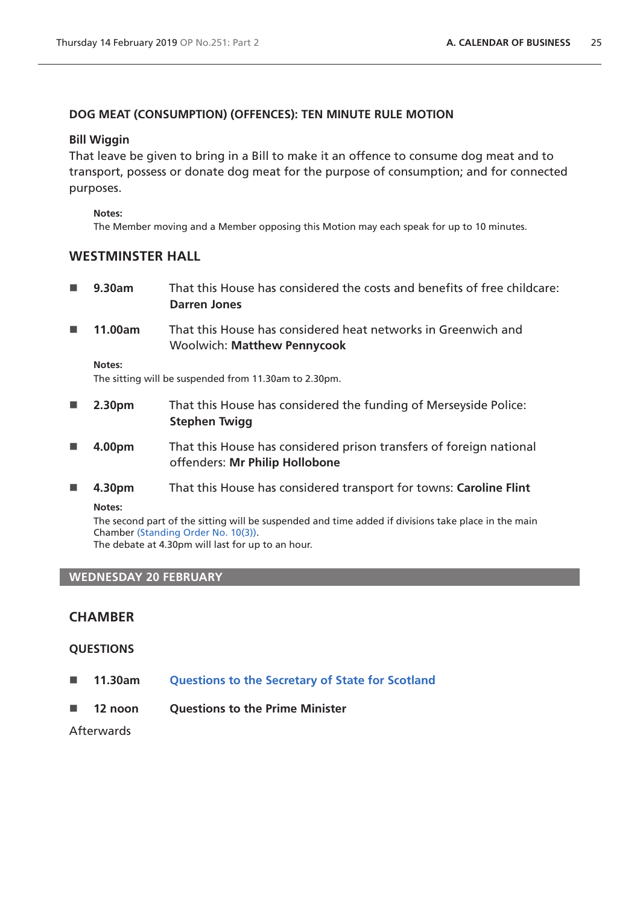# **DOG MEAT (CONSUMPTION) (OFFENCES): TEN MINUTE RULE MOTION**

### **Bill Wiggin**

That leave be given to bring in a Bill to make it an offence to consume dog meat and to transport, possess or donate dog meat for the purpose of consumption; and for connected purposes.

#### **Notes:**

The Member moving and a Member opposing this Motion may each speak for up to 10 minutes.

# **WESTMINSTER HALL**

- **9.30am** That this House has considered the costs and benefits of free childcare: **Darren Jones**
- **11.00am** That this House has considered heat networks in Greenwich and Woolwich: **Matthew Pennycook**

#### **Notes:**

The sitting will be suspended from 11.30am to 2.30pm.

- **2.30pm** That this House has considered the funding of Merseyside Police: **Stephen Twigg**
- **4.00pm** That this House has considered prison transfers of foreign national offenders: **Mr Philip Hollobone**
- **4.30pm** That this House has considered transport for towns: **Caroline Flint**

**Notes:**

The second part of the sitting will be suspended and time added if divisions take place in the main Chamber [\(Standing Order No. 10\(3\)\).](https://www.publications.parliament.uk/pa/cm201719/cmstords/1020/body.html#10(3))

The debate at 4.30pm will last for up to an hour.

# **WEDNESDAY 20 FEBRUARY**

# **CHAMBER**

# **QUESTIONS**

- **11.30am [Questions to the Secretary of State for Scotland](http://www.publications.parliament.uk/pa/cm/cmfutoral/futoral.htm#fdo5)**
- **12 noon Questions to the Prime Minister**

**Afterwards**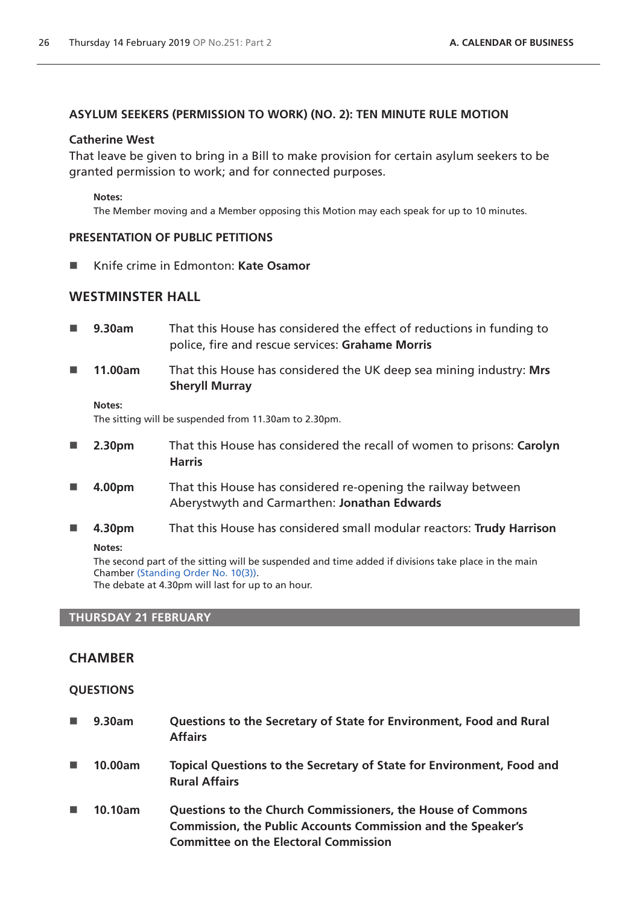### **ASYLUM SEEKERS (PERMISSION TO WORK) (NO. 2): TEN MINUTE RULE MOTION**

### **Catherine West**

That leave be given to bring in a Bill to make provision for certain asylum seekers to be granted permission to work; and for connected purposes.

#### **Notes:**

The Member moving and a Member opposing this Motion may each speak for up to 10 minutes.

### **PRESENTATION OF PUBLIC PETITIONS**

■ Knife crime in Edmonton: **Kate Osamor** 

# **WESTMINSTER HALL**

- **9.30am** That this House has considered the effect of reductions in funding to police, fire and rescue services: **Grahame Morris**
- **11.00am** That this House has considered the UK deep sea mining industry: **Mrs Sheryll Murray**

#### **Notes:**

The sitting will be suspended from 11.30am to 2.30pm.

- **2.30pm** That this House has considered the recall of women to prisons: **Carolyn Harris**
- **4.00pm** That this House has considered re-opening the railway between Aberystwyth and Carmarthen: **Jonathan Edwards**
- **4.30pm** That this House has considered small modular reactors: **Trudy Harrison Notes:**

The second part of the sitting will be suspended and time added if divisions take place in the main Chamber [\(Standing Order No. 10\(3\)\).](https://www.publications.parliament.uk/pa/cm201719/cmstords/1020/body.html#10(3)) The debate at 4.30pm will last for up to an hour.

# **THURSDAY 21 FEBRUARY**

# **CHAMBER**

### **QUESTIONS**

 **9.30am Questions to the Secretary of State for Environment, Food and Rural Affairs 10.00am Topical Questions to the Secretary of State for Environment, Food and Rural Affairs 10.10am Questions to the Church Commissioners, the House of Commons Commission, the Public Accounts Commission and the Speaker's Committee on the Electoral Commission**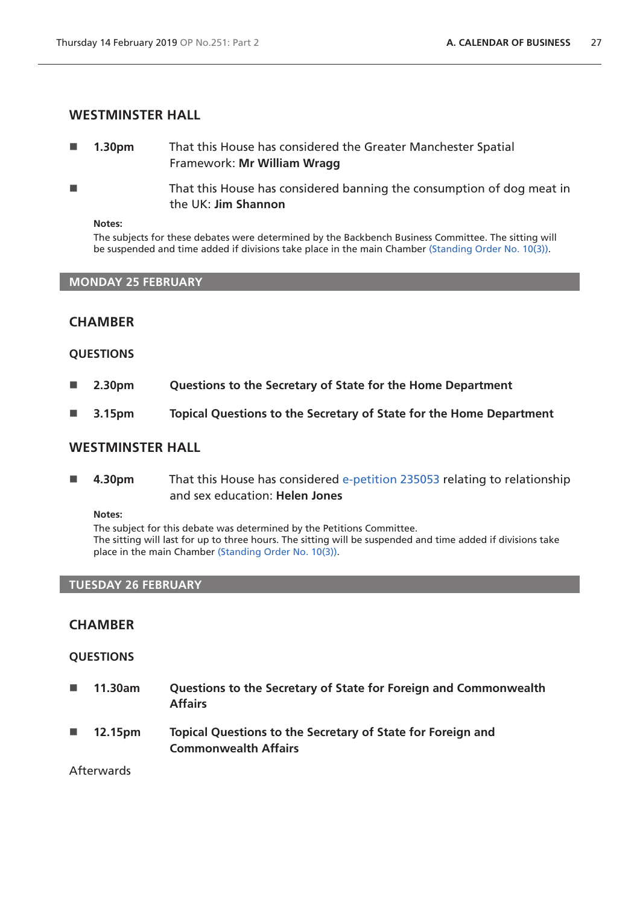### **WESTMINSTER HALL**

- **1.30pm** That this House has considered the Greater Manchester Spatial Framework: **Mr William Wragg**
- **That this House has considered banning the consumption of dog meat in** the UK: **Jim Shannon**

#### **Notes:**

The subjects for these debates were determined by the Backbench Business Committee. The sitting will be suspended and time added if divisions take place in the main Chamber [\(Standing Order No. 10\(3\)](https://www.publications.parliament.uk/pa/cm201719/cmstords/1020/body.html#10(3))).

### **MONDAY 25 FEBRUARY**

### **CHAMBER**

#### **QUESTIONS**

- **2.30pm Questions to the Secretary of State for the Home Department**
- **3.15pm Topical Questions to the Secretary of State for the Home Department**

### **WESTMINSTER HALL**

 **4.30pm** That this House has considered [e-petition 235053](https://petition.parliament.uk/petitions/235053) relating to relationship and sex education: **Helen Jones** 

#### **Notes:**

The subject for this debate was determined by the Petitions Committee. The sitting will last for up to three hours. The sitting will be suspended and time added if divisions take place in the main Chamber ([Standing Order No. 10\(3\)\)](https://www.publications.parliament.uk/pa/cm201719/cmstords/1020/body.html#10(3)).

#### **TUESDAY 26 FEBRUARY**

### **CHAMBER**

### **QUESTIONS**

- **11.30am Questions to the Secretary of State for Foreign and Commonwealth Affairs**
- **12.15pm Topical Questions to the Secretary of State for Foreign and Commonwealth Affairs**

### Afterwards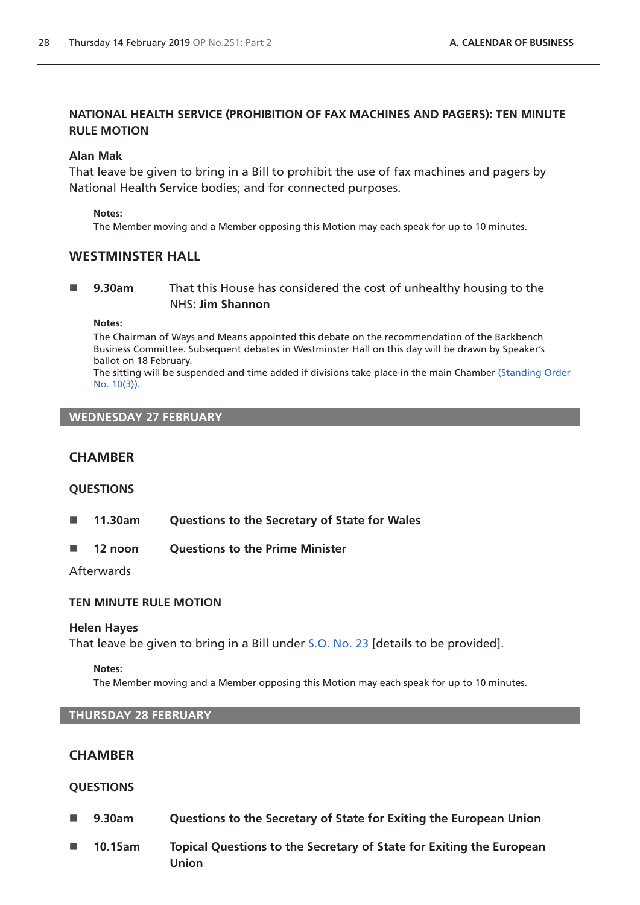# **NATIONAL HEALTH SERVICE (PROHIBITION OF FAX MACHINES AND PAGERS): TEN MINUTE RULE MOTION**

### **Alan Mak**

That leave be given to bring in a Bill to prohibit the use of fax machines and pagers by National Health Service bodies; and for connected purposes.

#### **Notes:**

The Member moving and a Member opposing this Motion may each speak for up to 10 minutes.

# **WESTMINSTER HALL**

### **9.30am** That this House has considered the cost of unhealthy housing to the NHS: **Jim Shannon**

**Notes:**

The Chairman of Ways and Means appointed this debate on the recommendation of the Backbench Business Committee. Subsequent debates in Westminster Hall on this day will be drawn by Speaker's ballot on 18 February.

The sitting will be suspended and time added if divisions take place in the main Chamber [\(Standing Order](https://www.publications.parliament.uk/pa/cm201719/cmstords/1020/body.html#10(3))  [No. 10\(3\)](https://www.publications.parliament.uk/pa/cm201719/cmstords/1020/body.html#10(3))).

# **WEDNESDAY 27 FEBRUARY**

# **CHAMBER**

### **QUESTIONS**

- **11.30am Questions to the Secretary of State for Wales**
- 12 noon Ouestions to the Prime Minister

Afterwards

### **TEN MINUTE RULE MOTION**

### **Helen Hayes**

That leave be given to bring in a Bill under [S.O. No. 23](https://www.publications.parliament.uk/pa/cm201719/cmstords/1020/body.html#23) [details to be provided].

#### **Notes:**

The Member moving and a Member opposing this Motion may each speak for up to 10 minutes.

# **THURSDAY 28 FEBRUARY**

# **CHAMBER**

### **QUESTIONS**

- **9.30am Questions to the Secretary of State for Exiting the European Union**
- **10.15am Topical Questions to the Secretary of State for Exiting the European Union**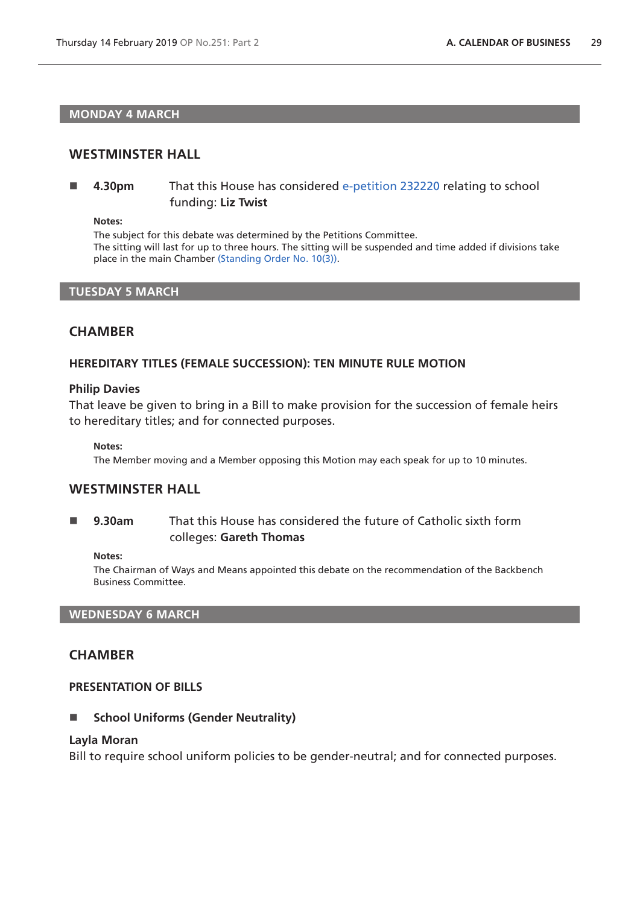### **MONDAY 4 MARCH**

### **WESTMINSTER HALL**

 **4.30pm** That this House has considered [e-petition 232220](https://petition.parliament.uk/petitions/232220) relating to school funding: **Liz Twist** 

**Notes:**

The subject for this debate was determined by the Petitions Committee. The sitting will last for up to three hours. The sitting will be suspended and time added if divisions take place in the main Chamber ([Standing Order No. 10\(3\)\)](https://www.publications.parliament.uk/pa/cm201719/cmstords/1020/body.html#10(3)).

### **TUESDAY 5 MARCH**

### **CHAMBER**

### **HEREDITARY TITLES (FEMALE SUCCESSION): TEN MINUTE RULE MOTION**

#### **Philip Davies**

That leave be given to bring in a Bill to make provision for the succession of female heirs to hereditary titles; and for connected purposes.

**Notes:**

The Member moving and a Member opposing this Motion may each speak for up to 10 minutes.

### **WESTMINSTER HALL**

 **9.30am** That this House has considered the future of Catholic sixth form colleges: **Gareth Thomas**

#### **Notes:**

The Chairman of Ways and Means appointed this debate on the recommendation of the Backbench Business Committee.

### **WEDNESDAY 6 MARCH**

# **CHAMBER**

#### **PRESENTATION OF BILLS**

■ School Uniforms (Gender Neutrality)

#### **Layla Moran**

Bill to require school uniform policies to be gender-neutral; and for connected purposes.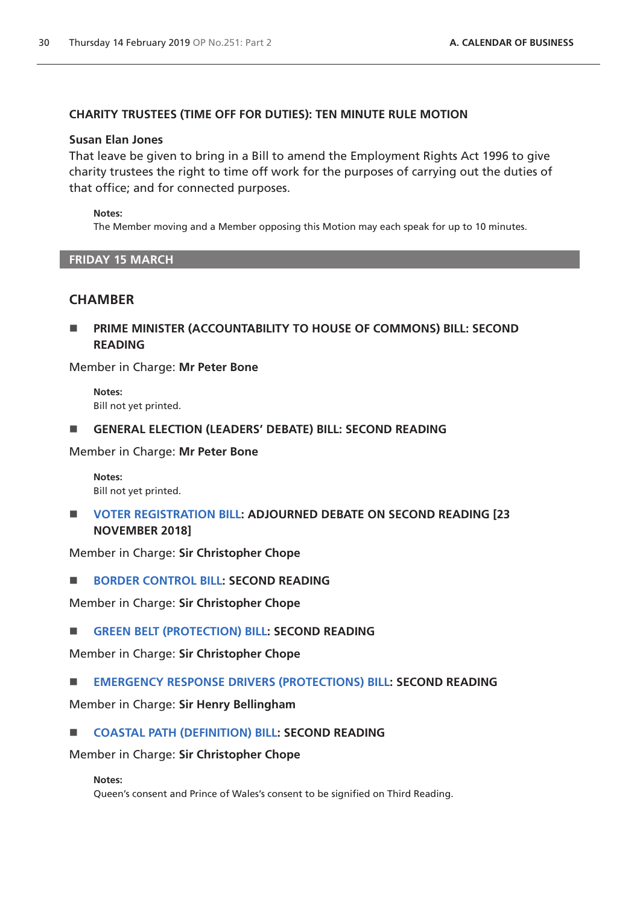# **CHARITY TRUSTEES (TIME OFF FOR DUTIES): TEN MINUTE RULE MOTION**

### **Susan Elan Jones**

That leave be given to bring in a Bill to amend the Employment Rights Act 1996 to give charity trustees the right to time off work for the purposes of carrying out the duties of that office; and for connected purposes.

### **Notes:**

The Member moving and a Member opposing this Motion may each speak for up to 10 minutes.

### **FRIDAY 15 MARCH**

# **CHAMBER**

 **PRIME MINISTER (ACCOUNTABILITY TO HOUSE OF COMMONS) BILL: SECOND READING**

Member in Charge: **Mr Peter Bone**

**Notes:** Bill not yet printed.

**GENERAL ELECTION (LEADERS' DEBATE) BILL: SECOND READING**

Member in Charge: **Mr Peter Bone**

**Notes:** Bill not yet printed.

 **[VOTER REGISTRATION BILL](https://publications.parliament.uk/pa/bills/cbill/2017-2019/0027/180027.pdf): ADJOURNED DEBATE ON SECOND READING [23 NOVEMBER 2018]**

Member in Charge: **Sir Christopher Chope**

**[BORDER CONTROL BILL:](https://publications.parliament.uk/pa/bills/cbill/2017-2019/0042/18042.pdf) SECOND READING**

Member in Charge: **Sir Christopher Chope**

**[GREEN BELT \(PROTECTION\) BILL:](https://publications.parliament.uk/pa/bills/cbill/2017-2019/0050/18050.pdf) SECOND READING**

Member in Charge: **Sir Christopher Chope**

**[EMERGENCY RESPONSE DRIVERS \(PROTECTIONS\) BILL:](https://publications.parliament.uk/pa/bills/cbill/2017-2019/0145/0145.pdf) SECOND READING**

Member in Charge: **Sir Henry Bellingham**

# **[COASTAL PATH \(DEFINITION\) BILL](https://publications.parliament.uk/pa/bills/cbill/2017-2019/0070/18070.pdf): SECOND READING**

Member in Charge: **Sir Christopher Chope**

#### **Notes:**

Queen's consent and Prince of Wales's consent to be signified on Third Reading.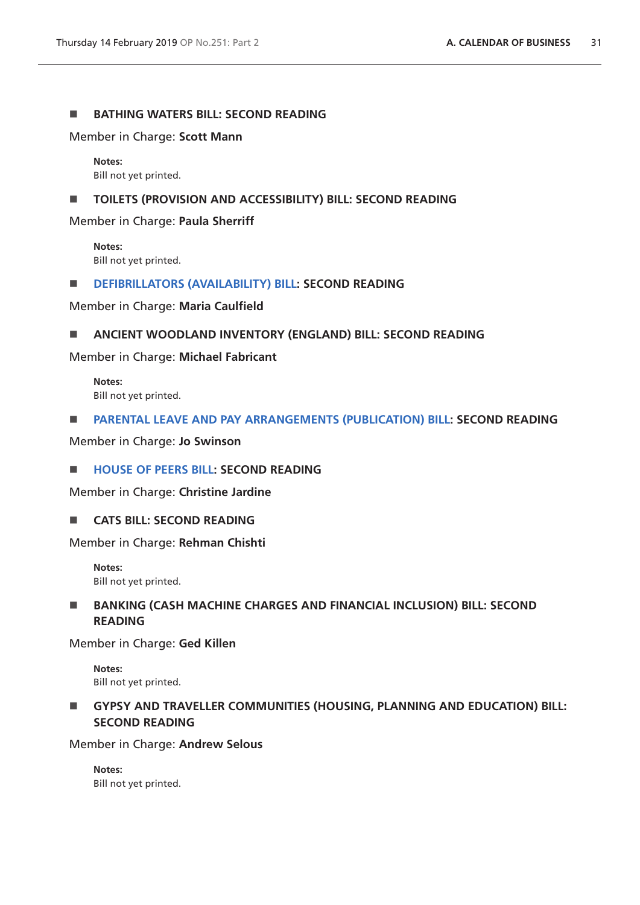### **BATHING WATERS BILL: SECOND READING**

Member in Charge: **Scott Mann**

**Notes:** Bill not yet printed.

#### **TOILETS (PROVISION AND ACCESSIBILITY) BILL: SECOND READING**

Member in Charge: **Paula Sherriff**

**Notes:** Bill not yet printed.

#### **[DEFIBRILLATORS \(AVAILABILITY\) BILL](https://publications.parliament.uk/pa/bills/cbill/2017-2019/0308/19308.pdf): SECOND READING**

Member in Charge: **Maria Caulfield**

#### **ANCIENT WOODLAND INVENTORY (ENGLAND) BILL: SECOND READING**

Member in Charge: **Michael Fabricant**

**Notes:** Bill not yet printed.

#### **[PARENTAL LEAVE AND PAY ARRANGEMENTS \(PUBLICATION\) BILL:](https://publications.parliament.uk/pa/bills/cbill/2017-2019/0220/18220.pdf) SECOND READING**

Member in Charge: **Jo Swinson**

### **[HOUSE OF PEERS BILL:](https://publications.parliament.uk/pa/bills/cbill/2017-2019/0179/18179.pdf) SECOND READING**

Member in Charge: **Christine Jardine**

**CATS BILL: SECOND READING** 

Member in Charge: **Rehman Chishti**

**Notes:** Bill not yet printed.

# **BANKING (CASH MACHINE CHARGES AND FINANCIAL INCLUSION) BILL: SECOND READING**

Member in Charge: **Ged Killen**

**Notes:** Bill not yet printed.

# **GYPSY AND TRAVELLER COMMUNITIES (HOUSING, PLANNING AND EDUCATION) BILL: SECOND READING**

Member in Charge: **Andrew Selous**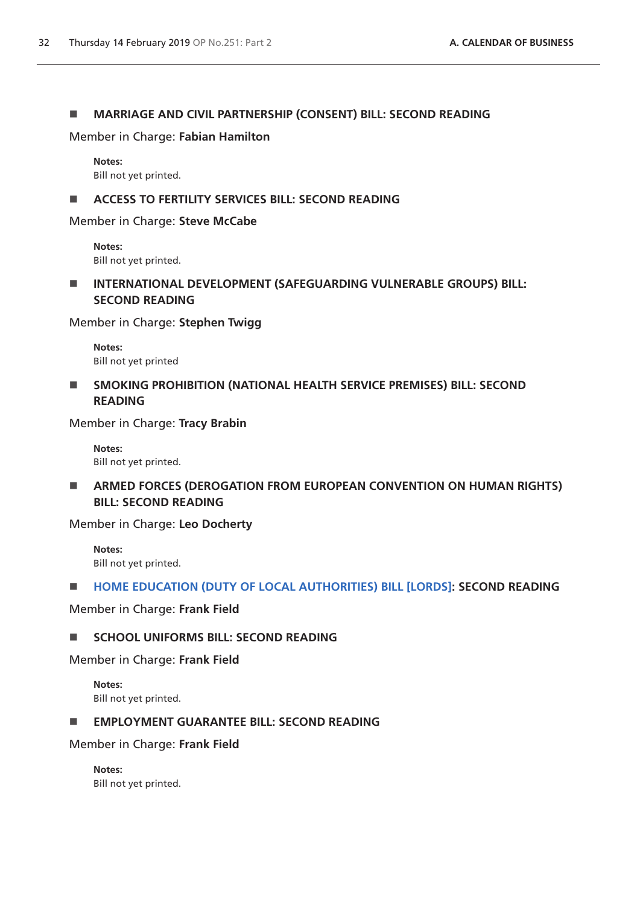### **MARRIAGE AND CIVIL PARTNERSHIP (CONSENT) BILL: SECOND READING**

Member in Charge: **Fabian Hamilton**

#### **Notes:**

Bill not yet printed.

### **ACCESS TO FERTILITY SERVICES BILL: SECOND READING**

Member in Charge: **Steve McCabe**

**Notes:** Bill not yet printed.

 **INTERNATIONAL DEVELOPMENT (SAFEGUARDING VULNERABLE GROUPS) BILL: SECOND READING**

Member in Charge: **Stephen Twigg**

**Notes:** Bill not yet printed

**SMOKING PROHIBITION (NATIONAL HEALTH SERVICE PREMISES) BILL: SECOND READING**

Member in Charge: **Tracy Brabin**

**Notes:** Bill not yet printed.

 **ARMED FORCES (DEROGATION FROM EUROPEAN CONVENTION ON HUMAN RIGHTS) BILL: SECOND READING**

Member in Charge: **Leo Docherty**

**Notes:** Bill not yet printed.

# **[HOME EDUCATION \(DUTY OF LOCAL AUTHORITIES\) BILL \[LORDS\]](https://publications.parliament.uk/pa/bills/cbill/2017-2019/0258/18258.pdf): SECOND READING**

### Member in Charge: **Frank Field**

# **SCHOOL UNIFORMS BILL: SECOND READING**

Member in Charge: **Frank Field**

**Notes:** Bill not yet printed.

### **EMPLOYMENT GUARANTEE BILL: SECOND READING**

Member in Charge: **Frank Field**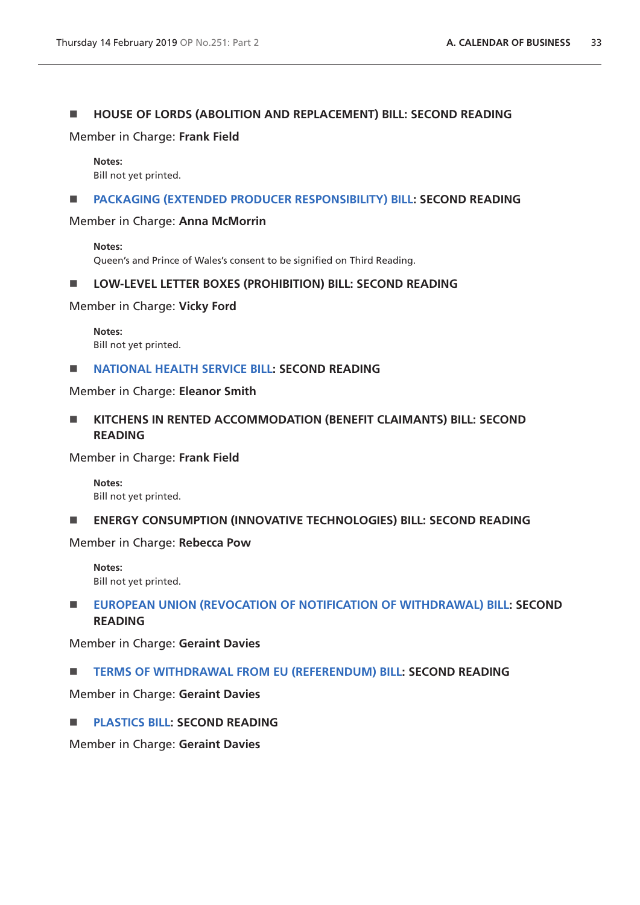# **HOUSE OF LORDS (ABOLITION AND REPLACEMENT) BILL: SECOND READING**

Member in Charge: **Frank Field**

#### **Notes:**

Bill not yet printed.

#### **[PACKAGING \(EXTENDED PRODUCER RESPONSIBILITY\) BILL](https://publications.parliament.uk/pa/bills/cbill/2017-2019/0226/18226.pdf): SECOND READING**

Member in Charge: **Anna McMorrin** 

**Notes:** Queen's and Prince of Wales's consent to be signified on Third Reading.

### **LOW-LEVEL LETTER BOXES (PROHIBITION) BILL: SECOND READING**

Member in Charge: **Vicky Ford** 

**Notes:** Bill not yet printed.

#### **[NATIONAL HEALTH SERVICE BILL:](https://publications.parliament.uk/pa/bills/cbill/2017-2019/0250/180250.pdf) SECOND READING**

Member in Charge: **Eleanor Smith**

**KITCHENS IN RENTED ACCOMMODATION (BENEFIT CLAIMANTS) BILL: SECOND READING** 

Member in Charge: **Frank Field**

**Notes:** Bill not yet printed.

**ENERGY CONSUMPTION (INNOVATIVE TECHNOLOGIES) BILL: SECOND READING** 

Member in Charge: **Rebecca Pow** 

**Notes:** Bill not yet printed.

# **[EUROPEAN UNION \(REVOCATION OF NOTIFICATION OF WITHDRAWAL\) BILL:](https://publications.parliament.uk/pa/bills/cbill/2017-2019/0306/19306.pdf) SECOND READING**

Member in Charge: **Geraint Davies**

**[TERMS OF WITHDRAWAL FROM EU \(REFERENDUM\) BILL](https://publications.parliament.uk/pa/bills/cbill/2017-2019/0103/18103.pdf): SECOND READING**

Member in Charge: **Geraint Davies**

**[PLASTICS BILL:](https://publications.parliament.uk/pa/bills/cbill/2017-2019/0207/18207.pdf) SECOND READING**

Member in Charge: **Geraint Davies**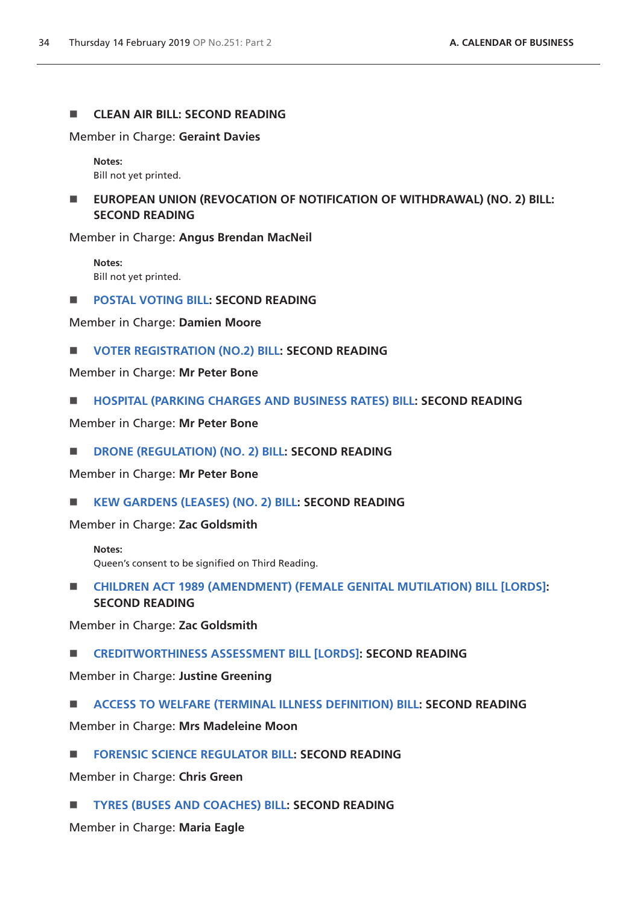### **ENDING CLEAN AIR BILL: SECOND READING**

Member in Charge: **Geraint Davies**

**Notes:** Bill not yet printed.

 **EUROPEAN UNION (REVOCATION OF NOTIFICATION OF WITHDRAWAL) (NO. 2) BILL: SECOND READING**

Member in Charge: **Angus Brendan MacNeil**

**Notes:** Bill not yet printed.

**[POSTAL VOTING BILL](https://publications.parliament.uk/pa/bills/cbill/2017-2019/0166/18166.pdf): SECOND READING**

Member in Charge: **Damien Moore**

**[VOTER REGISTRATION \(NO.2\) BILL](https://publications.parliament.uk/pa/bills/cbill/2017-2019/0081/18081.pdf): SECOND READING**

Member in Charge: **Mr Peter Bone**

**[HOSPITAL \(PARKING CHARGES AND BUSINESS RATES\) BILL:](https://publications.parliament.uk/pa/bills/cbill/2017-2019/0082/18082.pdf) SECOND READING**

Member in Charge: **Mr Peter Bone**

**[DRONE \(REGULATION\) \(NO. 2\) BILL:](https://publications.parliament.uk/pa/bills/cbill/2017-2019/0325/19325.pdf) SECOND READING**

Member in Charge: **Mr Peter Bone**

**[KEW GARDENS \(LEASES\) \(NO. 2\) BILL](https://publications.parliament.uk/pa/bills/cbill/2017-2019/0158/18158.pdf): SECOND READING**

Member in Charge: **Zac Goldsmith**

**Notes:** Queen's consent to be signified on Third Reading.

 **[CHILDREN ACT 1989 \(AMENDMENT\) \(FEMALE GENITAL MUTILATION\) BILL \[LORDS\]](https://publications.parliament.uk/pa/bills/cbill/2017-2019/0294/18294.pdf): SECOND READING**

Member in Charge: **Zac Goldsmith**

**[CREDITWORTHINESS ASSESSMENT BILL \[LORDS\]](https://publications.parliament.uk/pa/bills/cbill/2017-2019/0269/18269.pdf): SECOND READING**

Member in Charge: **Justine Greening**

**[ACCESS TO WELFARE \(TERMINAL ILLNESS DEFINITION\) BILL:](https://publications.parliament.uk/pa/bills/cbill/2017-2019/0253/18253.pdf) SECOND READING**

Member in Charge: **Mrs Madeleine Moon**

**[FORENSIC SCIENCE REGULATOR BILL](https://publications.parliament.uk/pa/bills/cbill/2017-2019/0180/18180.pdf): SECOND READING** 

Member in Charge: **Chris Green**

**[TYRES \(BUSES AND COACHES\) BILL:](https://publications.parliament.uk/pa/bills/cbill/2017-2019/0119/18119.pdf) SECOND READING**

Member in Charge: **Maria Eagle**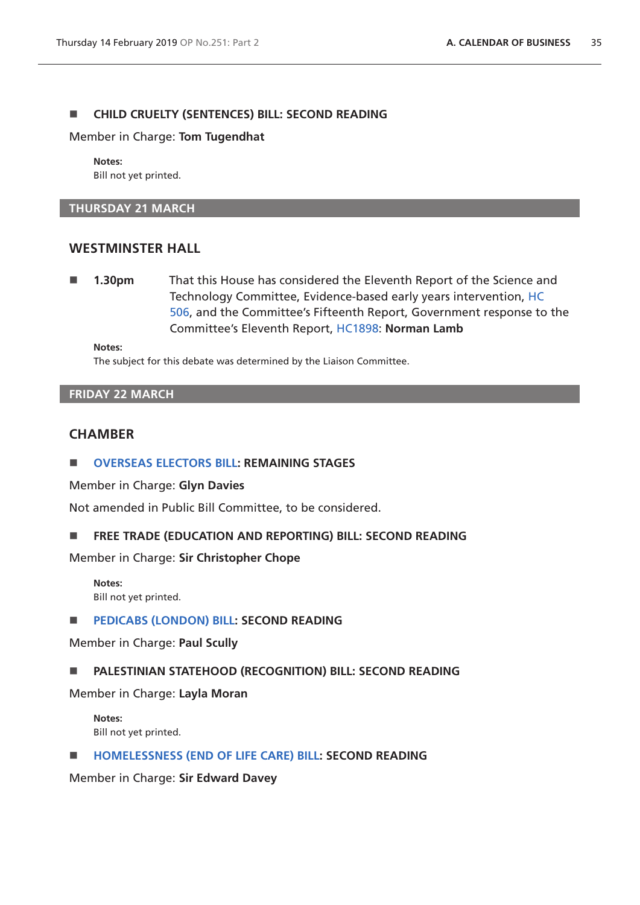### **CHILD CRUELTY (SENTENCES) BILL: SECOND READING**

Member in Charge: **Tom Tugendhat**

**Notes:** Bill not yet printed.

#### **THURSDAY 21 MARCH**

### **WESTMINSTER HALL**

 **1.30pm** That this House has considered the Eleventh Report of the Science and Technology Committee, Evidence-based early years intervention, [HC](https://publications.parliament.uk/pa/cm201719/cmselect/cmsctech/506/506.pdf)  [506](https://publications.parliament.uk/pa/cm201719/cmselect/cmsctech/506/506.pdf), and the Committee's Fifteenth Report, Government response to the Committee's Eleventh Report, [HC1898](https://publications.parliament.uk/pa/cm201719/cmselect/cmsctech/1898/1898.pdf): **Norman Lamb** 

**Notes:**

The subject for this debate was determined by the Liaison Committee.

### **FRIDAY 22 MARCH**

### **CHAMBER**

#### **[OVERSEAS ELECTORS BILL:](https://publications.parliament.uk/pa/bills/cbill/2017-2019/0016/18016.pdf) REMAINING STAGES**

Member in Charge: **Glyn Davies**

Not amended in Public Bill Committee, to be considered.

#### **FREE TRADE (EDUCATION AND REPORTING) BILL: SECOND READING**

Member in Charge: **Sir Christopher Chope**

**Notes:** Bill not yet printed.

**[PEDICABS \(LONDON\) BILL](https://publications.parliament.uk/pa/bills/cbill/2017-2019/0154/18154.pdf): SECOND READING**

Member in Charge: **Paul Scully**

#### **PALESTINIAN STATEHOOD (RECOGNITION) BILL: SECOND READING**

Member in Charge: **Layla Moran**

**Notes:** Bill not yet printed.

**[HOMELESSNESS \(END OF LIFE CARE\) BILL](https://publications.parliament.uk/pa/bills/cbill/2017-2019/0163/18163.pdf): SECOND READING**

Member in Charge: **Sir Edward Davey**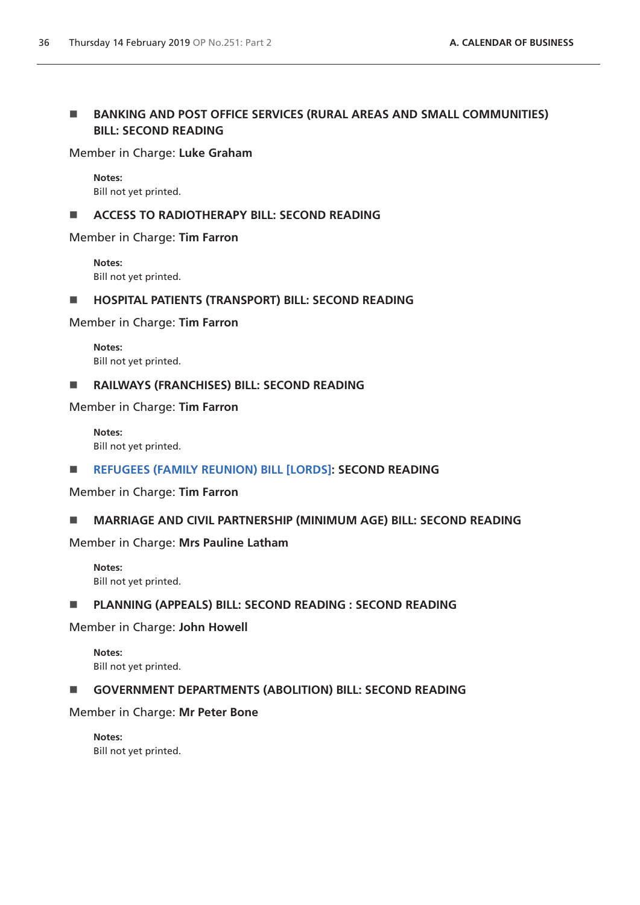# **BANKING AND POST OFFICE SERVICES (RURAL AREAS AND SMALL COMMUNITIES) BILL: SECOND READING**

# Member in Charge: **Luke Graham**

**Notes:** Bill not yet printed.

# **ACCESS TO RADIOTHERAPY BILL: SECOND READING**

Member in Charge: **Tim Farron**

**Notes:** Bill not yet printed.

# **HOSPITAL PATIENTS (TRANSPORT) BILL: SECOND READING**

Member in Charge: **Tim Farron**

**Notes:** Bill not yet printed.

# **RAILWAYS (FRANCHISES) BILL: SECOND READING**

Member in Charge: **Tim Farron**

**Notes:** Bill not yet printed.

# **[REFUGEES \(FAMILY REUNION\) BILL \[LORDS\]:](https://publications.parliament.uk/pa/bills/cbill/2017-2019/0246/18246.pdf) SECOND READING**

Member in Charge: **Tim Farron**

# **MARRIAGE AND CIVIL PARTNERSHIP (MINIMUM AGE) BILL: SECOND READING**

Member in Charge: **Mrs Pauline Latham**

**Notes:** Bill not yet printed.

# **PLANNING (APPEALS) BILL: SECOND READING : SECOND READING**

Member in Charge: **John Howell** 

**Notes:** Bill not yet printed.

# **GOVERNMENT DEPARTMENTS (ABOLITION) BILL: SECOND READING**

Member in Charge: **Mr Peter Bone**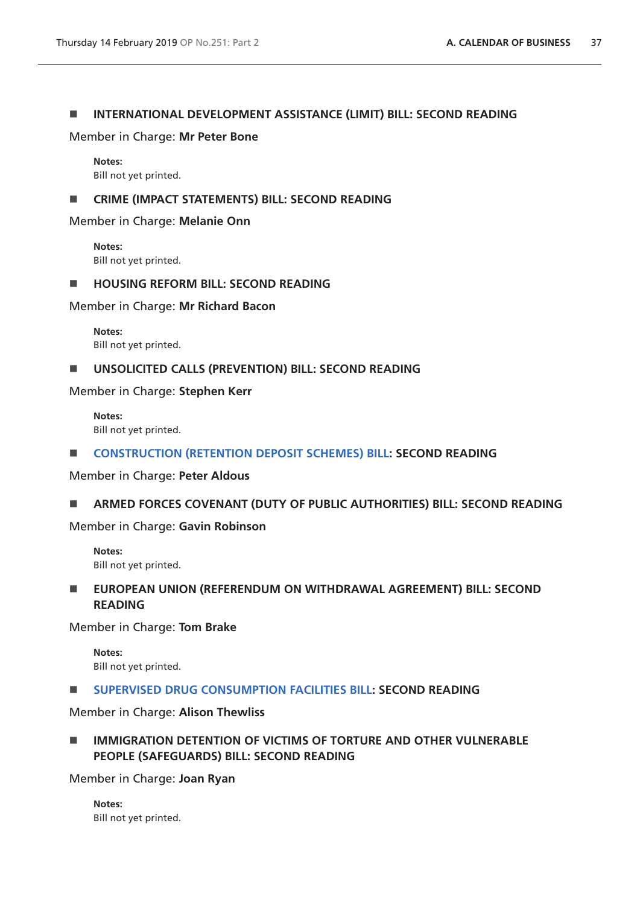### **INTERNATIONAL DEVELOPMENT ASSISTANCE (LIMIT) BILL: SECOND READING**

Member in Charge: **Mr Peter Bone**

**Notes:** Bill not yet printed.

### **EXECUTE: CRIME (IMPACT STATEMENTS) BILL: SECOND READING**

Member in Charge: **Melanie Onn** 

**Notes:** Bill not yet printed.

### **HOUSING REFORM BILL: SECOND READING**

Member in Charge: **Mr Richard Bacon**

**Notes:** Bill not yet printed.

### **UNSOLICITED CALLS (PREVENTION) BILL: SECOND READING**

Member in Charge: **Stephen Kerr**

**Notes:**  Bill not yet printed.

### **E** [CONSTRUCTION \(RETENTION DEPOSIT SCHEMES\) BILL](https://publications.parliament.uk/pa/bills/cbill/2017-2019/0148/18148.pdf): SECOND READING

Member in Charge: **Peter Aldous**

# **ARMED FORCES COVENANT (DUTY OF PUBLIC AUTHORITIES) BILL: SECOND READING**

Member in Charge: **Gavin Robinson**

**Notes:**  Bill not yet printed.

# **EUROPEAN UNION (REFERENDUM ON WITHDRAWAL AGREEMENT) BILL: SECOND READING**

Member in Charge: **Tom Brake**

**Notes:**  Bill not yet printed.

**[SUPERVISED DRUG CONSUMPTION FACILITIES BILL](https://publications.parliament.uk/pa/bills/cbill/2017-2019/0184/18184.pdf): SECOND READING**

Member in Charge: **Alison Thewliss**

 **IMMIGRATION DETENTION OF VICTIMS OF TORTURE AND OTHER VULNERABLE PEOPLE (SAFEGUARDS) BILL: SECOND READING**

Member in Charge: **Joan Ryan**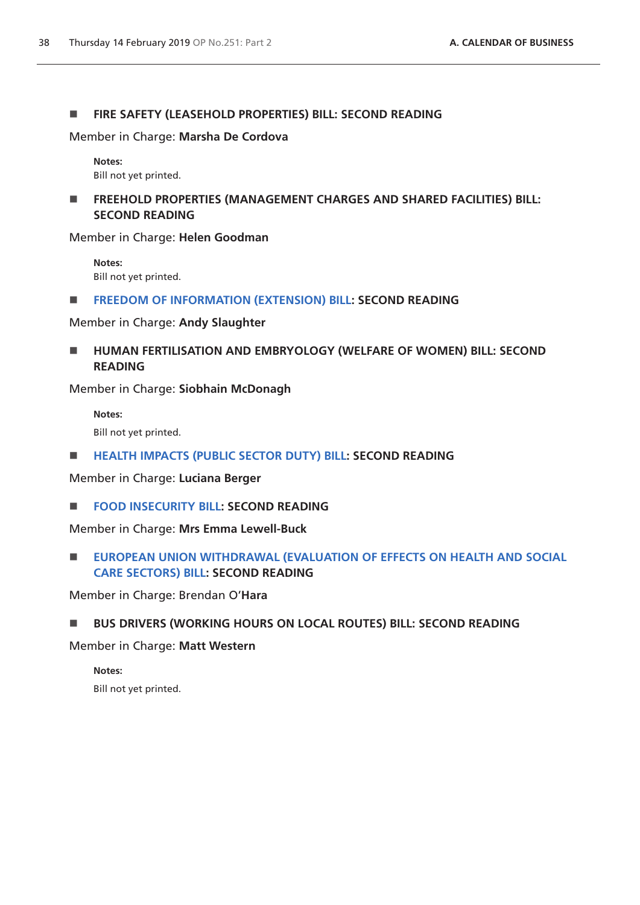### **FIRE SAFETY (LEASEHOLD PROPERTIES) BILL: SECOND READING**

Member in Charge: **Marsha De Cordova**

**Notes:** Bill not yet printed.

**FREEHOLD PROPERTIES (MANAGEMENT CHARGES AND SHARED FACILITIES) BILL: SECOND READING**

Member in Charge: **Helen Goodman**

**Notes:** Bill not yet printed.

**[FREEDOM OF INFORMATION \(EXTENSION\) BILL:](https://publications.parliament.uk/pa/bills/cbill/2017-2019/0023/18023.pdf) SECOND READING** 

Member in Charge: **Andy Slaughter**

**HUMAN FERTILISATION AND EMBRYOLOGY (WELFARE OF WOMEN) BILL: SECOND READING**

Member in Charge: **Siobhain McDonagh**

**Notes:**

Bill not yet printed.

**[HEALTH IMPACTS \(PUBLIC SECTOR DUTY\) BILL](https://publications.parliament.uk/pa/bills/cbill/2017-2019/0198/18198.pdf): SECOND READING**

Member in Charge: **Luciana Berger**

**[FOOD INSECURITY BILL:](https://publications.parliament.uk/pa/bills/cbill/2017-2019/0136/18136.pdf) SECOND READING** 

Member in Charge: **Mrs Emma Lewell-Buck** 

**EUROPEAN UNION WITHDRAWAL (EVALUATION OF EFFECTS ON HEALTH AND SOCIAL [CARE SECTORS\) BILL:](https://publications.parliament.uk/pa/bills/cbill/2017-2019/0288/18288.pdf) SECOND READING** 

Member in Charge: Brendan O'**Hara** 

**BUS DRIVERS (WORKING HOURS ON LOCAL ROUTES) BILL: SECOND READING**

Member in Charge: **Matt Western**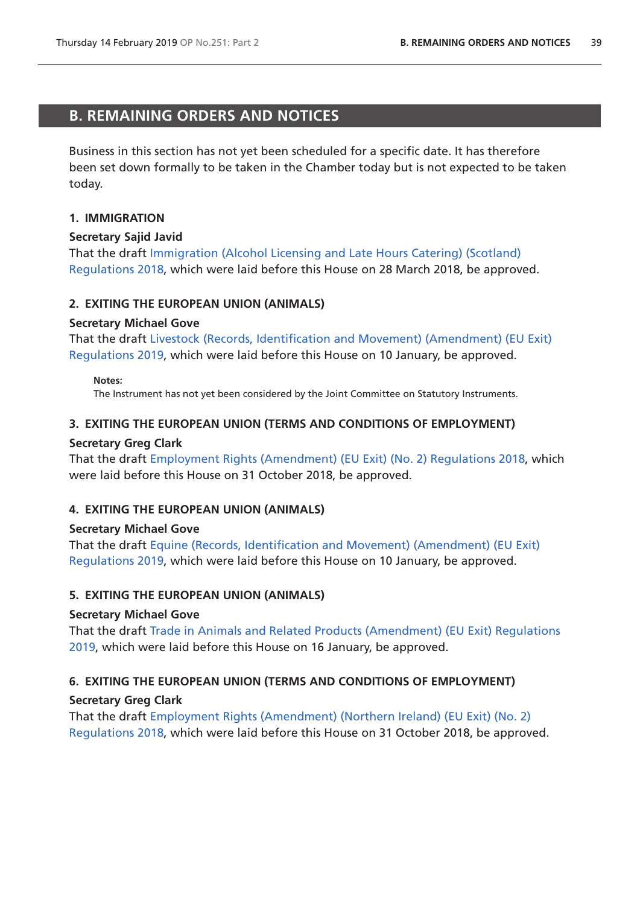# <span id="page-38-0"></span>**B. REMAINING ORDERS AND NOTICES**

Business in this section has not yet been scheduled for a specific date. It has therefore been set down formally to be taken in the Chamber today but is not expected to be taken today.

# **1. IMMIGRATION**

# **Secretary Sajid Javid**

That the draft [Immigration \(Alcohol Licensing and Late Hours Catering\) \(Scotland\)](http://www.legislation.gov.uk/ukdsi/2018/9780111167991/pdfs/ukdsi_9780111167991_en.pdf)  [Regulations 2018](http://www.legislation.gov.uk/ukdsi/2018/9780111167991/pdfs/ukdsi_9780111167991_en.pdf), which were laid before this House on 28 March 2018, be approved.

# **2. EXITING THE EUROPEAN UNION (ANIMALS)**

# **Secretary Michael Gove**

That the draft [Livestock \(Records, Identification and Movement\) \(Amendment\) \(EU Exit\)](http://www.legislation.gov.uk/ukdsi/2019/9780111178133/pdfs/ukdsi_9780111178133_en.pdf)  [Regulations 2019](http://www.legislation.gov.uk/ukdsi/2019/9780111178133/pdfs/ukdsi_9780111178133_en.pdf), which were laid before this House on 10 January, be approved.

#### **Notes:**

The Instrument has not yet been considered by the Joint Committee on Statutory Instruments.

# **3. EXITING THE EUROPEAN UNION (TERMS AND CONDITIONS OF EMPLOYMENT)**

# **Secretary Greg Clark**

That the draft [Employment Rights \(Amendment\) \(EU Exit\) \(No. 2\) Regulations 2018,](http://www.legislation.gov.uk/ukdsi/2018/9780111174081/pdfs/ukdsi_9780111174081_en.pdf) which were laid before this House on 31 October 2018, be approved.

# **4. EXITING THE EUROPEAN UNION (ANIMALS)**

# **Secretary Michael Gove**

That the draft [Equine \(Records, Identification and Movement\) \(Amendment\) \(EU Exit\)](http://www.legislation.gov.uk/ukdsi/2019/9780111178089/pdfs/ukdsi_9780111178089_en.pdf)  [Regulations 2019](http://www.legislation.gov.uk/ukdsi/2019/9780111178089/pdfs/ukdsi_9780111178089_en.pdf), which were laid before this House on 10 January, be approved.

# **5. EXITING THE EUROPEAN UNION (ANIMALS)**

# **Secretary Michael Gove**

That the draft [Trade in Animals and Related Products \(Amendment\) \(EU Exit\) Regulations](http://www.legislation.gov.uk/ukdsi/2019/9780111178621/pdfs/ukdsi_9780111178621_en.pdf)  [2019,](http://www.legislation.gov.uk/ukdsi/2019/9780111178621/pdfs/ukdsi_9780111178621_en.pdf) which were laid before this House on 16 January, be approved.

# **6. EXITING THE EUROPEAN UNION (TERMS AND CONDITIONS OF EMPLOYMENT)**

# **Secretary Greg Clark**

That the draft [Employment Rights \(Amendment\) \(Northern Ireland\) \(EU Exit\) \(No. 2\)](http://www.legislation.gov.uk/ukdsi/2018/9780111174098/pdfs/ukdsi_9780111174098_en.pdf)  [Regulations 2018](http://www.legislation.gov.uk/ukdsi/2018/9780111174098/pdfs/ukdsi_9780111174098_en.pdf), which were laid before this House on 31 October 2018, be approved.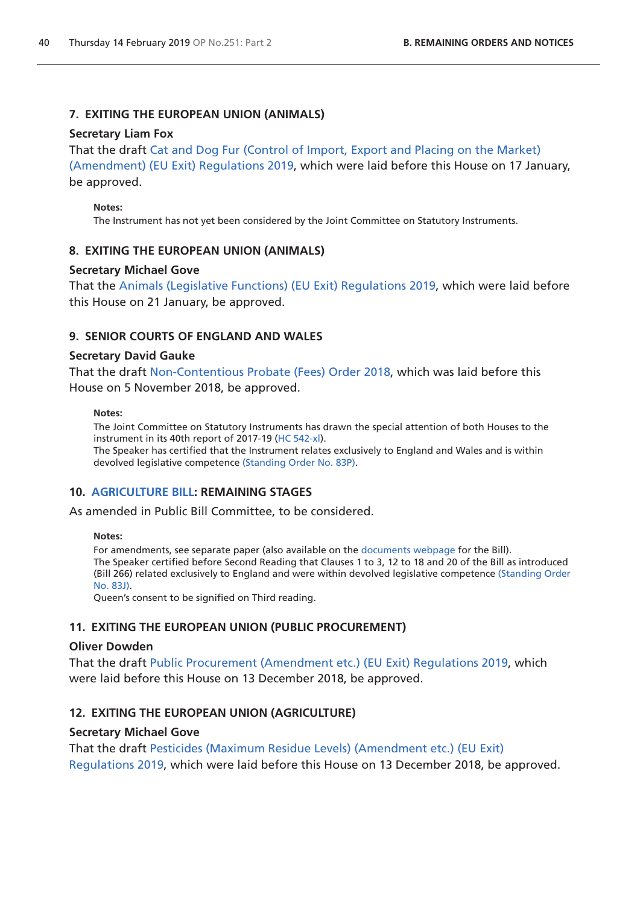# **7. EXITING THE EUROPEAN UNION (ANIMALS)**

### **Secretary Liam Fox**

That the draft [Cat and Dog Fur \(Control of Import, Export and Placing on the Market\)](http://www.legislation.gov.uk/ukdsi/2019/9780111178515/pdfs/ukdsi_9780111178515_en.pdf)  [\(Amendment\) \(EU Exit\) Regulations 2019](http://www.legislation.gov.uk/ukdsi/2019/9780111178515/pdfs/ukdsi_9780111178515_en.pdf), which were laid before this House on 17 January, be approved.

### **Notes:**

The Instrument has not yet been considered by the Joint Committee on Statutory Instruments.

# **8. EXITING THE EUROPEAN UNION (ANIMALS)**

### **Secretary Michael Gove**

That the [Animals \(Legislative Functions\) \(EU Exit\) Regulations 2019](http://www.legislation.gov.uk/ukdsi/2019/9780111178737/pdfs/ukdsi_9780111178737_en.pdf), which were laid before this House on 21 January, be approved.

# **9. SENIOR COURTS OF ENGLAND AND WALES**

### **Secretary David Gauke**

That the draft [Non-Contentious Probate \(Fees\) Order 2018](http://www.legislation.gov.uk/ukdsi/2018/9780111174319/pdfs/ukdsi_9780111174319_en.pdf), which was laid before this House on 5 November 2018, be approved.

#### **Notes:**

The Joint Committee on Statutory Instruments has drawn the special attention of both Houses to the instrument in its 40th report of 2017-19 ([HC 542-xl](https://publications.parliament.uk/pa/jt201719/jtselect/jtstatin/247/247.pdf)). The Speaker has certified that the Instrument relates exclusively to England and Wales and is within devolved legislative competence ([Standing Order No. 83P\)](https://www.publications.parliament.uk/pa/cm201719/cmstords/1020/body.html#83P).

# **10. [AGRICULTURE BILL:](https://publications.parliament.uk/pa/bills/cbill/2017-2019/0292/18292.pdf) REMAINING STAGES**

As amended in Public Bill Committee, to be considered.

### **Notes:**

For amendments, see separate paper (also available on the [documents webpage](https://services.parliament.uk/Bills/2017-19/agriculture/documents.html) for the Bill). The Speaker certified before Second Reading that Clauses 1 to 3, 12 to 18 and 20 of the Bill as introduced (Bill 266) related exclusively to England and were within devolved legislative competence [\(Standing Order](https://www.publications.parliament.uk/pa/cm201719/cmstords/1020/body.html#83J)  [No. 83J\)](https://www.publications.parliament.uk/pa/cm201719/cmstords/1020/body.html#83J).

Queen's consent to be signified on Third reading.

# **11. EXITING THE EUROPEAN UNION (PUBLIC PROCUREMENT)**

# **Oliver Dowden**

That the draft [Public Procurement \(Amendment etc.\) \(EU Exit\) Regulations 2019,](http://www.legislation.gov.uk/ukdsi/2019/9780111176788/pdfs/ukdsi_9780111176788_en.pdf) which were laid before this House on 13 December 2018, be approved.

# **12. EXITING THE EUROPEAN UNION (AGRICULTURE)**

# **Secretary Michael Gove**

That the draft [Pesticides \(Maximum Residue Levels\) \(Amendment etc.\) \(EU Exit\)](http://www.legislation.gov.uk/ukdsi/2019/9780111176924/pdfs/ukdsi_9780111176924_en.pdf)  [Regulations 2019](http://www.legislation.gov.uk/ukdsi/2019/9780111176924/pdfs/ukdsi_9780111176924_en.pdf), which were laid before this House on 13 December 2018, be approved.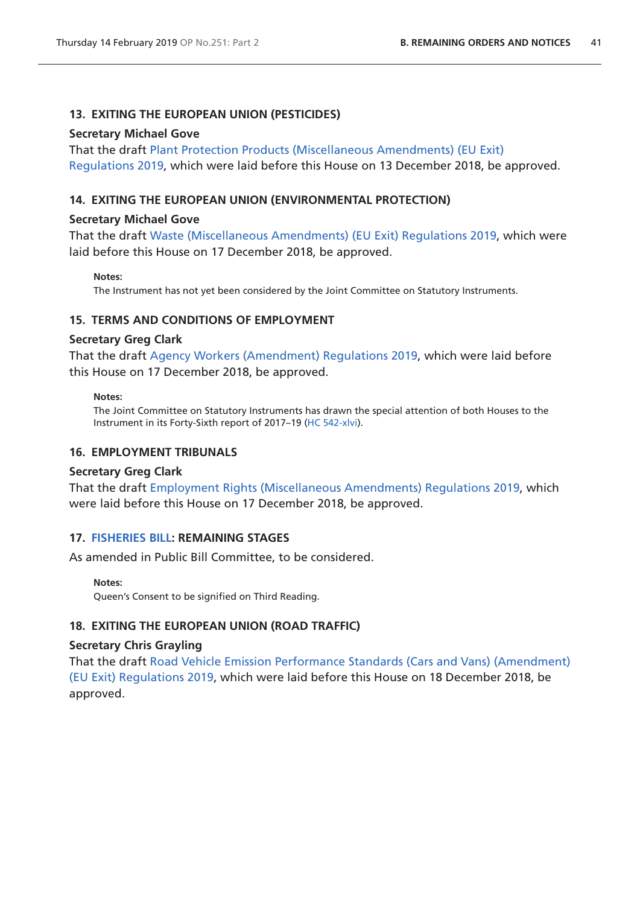### **13. EXITING THE EUROPEAN UNION (PESTICIDES)**

#### **Secretary Michael Gove**

That the draft [Plant Protection Products \(Miscellaneous Amendments\) \(EU Exit\)](http://www.legislation.gov.uk/ukdsi/2019/9780111176931/pdfs/ukdsi_9780111176931_en.pdf)  [Regulations 2019](http://www.legislation.gov.uk/ukdsi/2019/9780111176931/pdfs/ukdsi_9780111176931_en.pdf), which were laid before this House on 13 December 2018, be approved.

### **14. EXITING THE EUROPEAN UNION (ENVIRONMENTAL PROTECTION)**

#### **Secretary Michael Gove**

That the draft [Waste \(Miscellaneous Amendments\) \(EU Exit\) Regulations 2019](http://www.legislation.gov.uk/ukdsi/2019/9780111177228/pdfs/ukdsi_9780111177228_en.pdf), which were laid before this House on 17 December 2018, be approved.

#### **Notes:**

The Instrument has not yet been considered by the Joint Committee on Statutory Instruments.

### **15. TERMS AND CONDITIONS OF EMPLOYMENT**

### **Secretary Greg Clark**

That the draft [Agency Workers \(Amendment\) Regulations 2019,](https://www.legislation.gov.uk/ukdsi/2019/9780111177297/pdfs/ukdsi_9780111177297_en.pdf) which were laid before this House on 17 December 2018, be approved.

#### **Notes:**

The Joint Committee on Statutory Instruments has drawn the special attention of both Houses to the Instrument in its Forty-Sixth report of 2017–19 [\(HC 542-xlvi\)](https://publications.parliament.uk/pa/jt201719/jtselect/jtstatin/277/277.pdf).

### **16. EMPLOYMENT TRIBUNALS**

### **Secretary Greg Clark**

That the draft [Employment Rights \(Miscellaneous Amendments\) Regulations 2019,](https://www.legislation.gov.uk/ukdsi/2019/9780111177457/pdfs/ukdsi_9780111177457_en.pdf) which were laid before this House on 17 December 2018, be approved.

### **17. [FISHERIES BILL:](https://publications.parliament.uk/pa/bills/cbill/2017-2019/0305/18305.pdf) REMAINING STAGES**

As amended in Public Bill Committee, to be considered.

#### **Notes:**

Queen's Consent to be signified on Third Reading.

### **18. EXITING THE EUROPEAN UNION (ROAD TRAFFIC)**

### **Secretary Chris Grayling**

That the draft [Road Vehicle Emission Performance Standards \(Cars and Vans\) \(Amendment\)](http://www.legislation.gov.uk/ukdsi/2019/9780111177419/pdfs/ukdsi_9780111177419_en.pdf)  [\(EU Exit\) Regulations 2019,](http://www.legislation.gov.uk/ukdsi/2019/9780111177419/pdfs/ukdsi_9780111177419_en.pdf) which were laid before this House on 18 December 2018, be approved.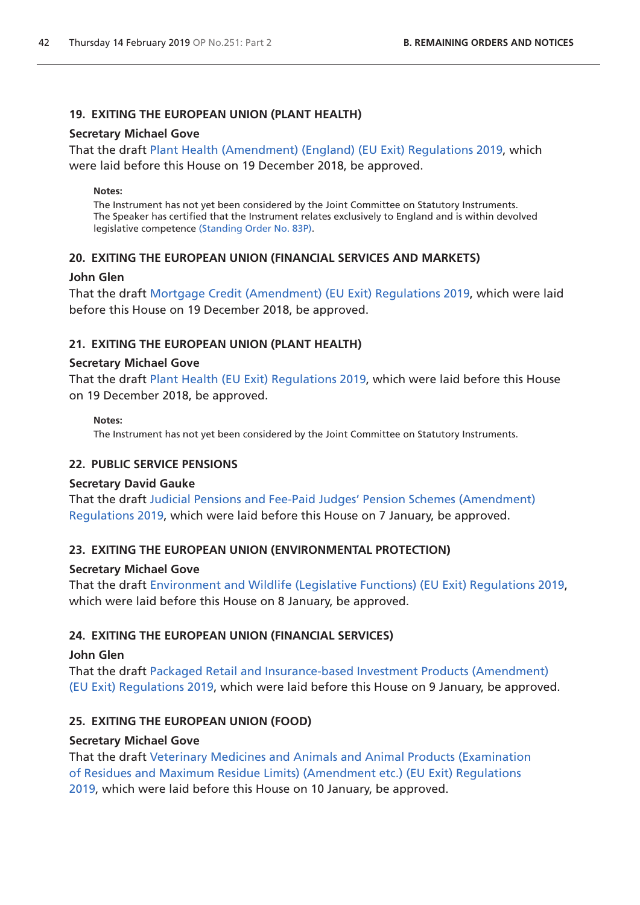# **19. EXITING THE EUROPEAN UNION (PLANT HEALTH)**

### **Secretary Michael Gove**

That the draft [Plant Health \(Amendment\) \(England\) \(EU Exit\) Regulations 2019,](http://www.legislation.gov.uk/ukdsi/2019/9780111177556/pdfs/ukdsi_9780111177556_en.pdf) which were laid before this House on 19 December 2018, be approved.

#### **Notes:**

The Instrument has not yet been considered by the Joint Committee on Statutory Instruments. The Speaker has certified that the Instrument relates exclusively to England and is within devolved legislative competence [\(Standing Order No. 83P](https://www.publications.parliament.uk/pa/cm201719/cmstords/1020/body.html#83P)).

# **20. EXITING THE EUROPEAN UNION (FINANCIAL SERVICES AND MARKETS)**

### **John Glen**

That the draft [Mortgage Credit \(Amendment\) \(EU Exit\) Regulations 2019](http://www.legislation.gov.uk/ukdsi/2019/9780111177532/pdfs/ukdsi_9780111177532_en.pdf), which were laid before this House on 19 December 2018, be approved.

# **21. EXITING THE EUROPEAN UNION (PLANT HEALTH)**

### **Secretary Michael Gove**

That the draft [Plant Health \(EU Exit\) Regulations 2019,](http://www.legislation.gov.uk/ukdsi/2019/9780111177563/pdfs/ukdsi_9780111177563_en.pdf) which were laid before this House on 19 December 2018, be approved.

### **Notes:**

The Instrument has not yet been considered by the Joint Committee on Statutory Instruments.

# **22. PUBLIC SERVICE PENSIONS**

### **Secretary David Gauke**

That the draft [Judicial Pensions and Fee-Paid Judges' Pension Schemes \(Amendment\)](http://www.legislation.gov.uk/ukdsi/2019/9780111177914/pdfs/ukdsi_9780111177914_en.pdf)  [Regulations 2019](http://www.legislation.gov.uk/ukdsi/2019/9780111177914/pdfs/ukdsi_9780111177914_en.pdf), which were laid before this House on 7 January, be approved.

# **23. EXITING THE EUROPEAN UNION (ENVIRONMENTAL PROTECTION)**

# **Secretary Michael Gove**

That the draft [Environment and Wildlife \(Legislative Functions\) \(EU Exit\) Regulations 2019](http://www.legislation.gov.uk/ukdsi/2019/9780111177952/pdfs/ukdsi_9780111177952_en.pdf), which were laid before this House on 8 January, be approved.

# **24. EXITING THE EUROPEAN UNION (FINANCIAL SERVICES)**

### **John Glen**

That the draft [Packaged Retail and Insurance-based Investment Products \(Amendment\)](http://www.legislation.gov.uk/ukdsi/2019/9780111178003/pdfs/ukdsi_9780111178003_en.pdf)  [\(EU Exit\) Regulations 2019,](http://www.legislation.gov.uk/ukdsi/2019/9780111178003/pdfs/ukdsi_9780111178003_en.pdf) which were laid before this House on 9 January, be approved.

# **25. EXITING THE EUROPEAN UNION (FOOD)**

# **Secretary Michael Gove**

That the draft [Veterinary Medicines and Animals and Animal Products \(Examination](http://www.legislation.gov.uk/ukdsi/2019/9780111178096/pdfs/ukdsi_9780111178096_en.pdf)  [of Residues and Maximum Residue Limits\) \(Amendment etc.\) \(EU Exit\) Regulations](http://www.legislation.gov.uk/ukdsi/2019/9780111178096/pdfs/ukdsi_9780111178096_en.pdf)  [2019,](http://www.legislation.gov.uk/ukdsi/2019/9780111178096/pdfs/ukdsi_9780111178096_en.pdf) which were laid before this House on 10 January, be approved.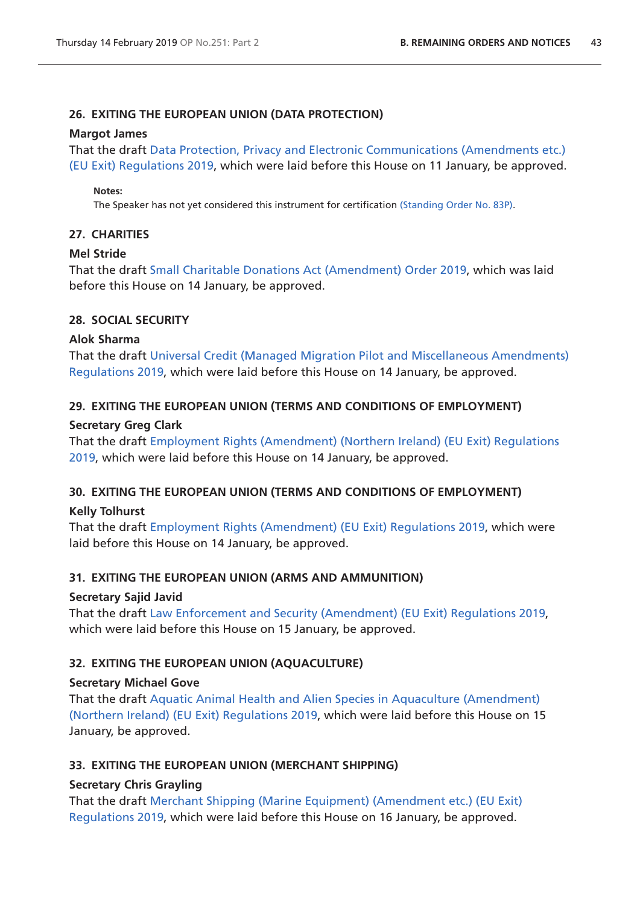# **26. EXITING THE EUROPEAN UNION (DATA PROTECTION)**

### **Margot James**

That the draft [Data Protection, Privacy and Electronic Communications \(Amendments etc.\)](http://www.legislation.gov.uk/ukdsi/2019/9780111177594/pdfs/ukdsi_9780111177594_en.pdf)  [\(EU Exit\) Regulations 2019,](http://www.legislation.gov.uk/ukdsi/2019/9780111177594/pdfs/ukdsi_9780111177594_en.pdf) which were laid before this House on 11 January, be approved.

### **Notes:**

The Speaker has not yet considered this instrument for certification [\(Standing Order No. 83P](https://www.publications.parliament.uk/pa/cm201719/cmstords/1020/body.html#83P)).

# **27. CHARITIES**

# **Mel Stride**

That the draft [Small Charitable Donations Act \(Amendment\) Order 2019](http://www.legislation.gov.uk/ukdsi/2019/9780111178164/pdfs/ukdsi_9780111178164_en.pdf), which was laid before this House on 14 January, be approved.

# **28. SOCIAL SECURITY**

# **Alok Sharma**

That the draft [Universal Credit \(Managed Migration Pilot and Miscellaneous Amendments\)](http://www.legislation.gov.uk/ukdsi/2019/9780111178317/pdfs/ukdsi_9780111178317_en.pdf)  [Regulations 2019](http://www.legislation.gov.uk/ukdsi/2019/9780111178317/pdfs/ukdsi_9780111178317_en.pdf), which were laid before this House on 14 January, be approved.

# **29. EXITING THE EUROPEAN UNION (TERMS AND CONDITIONS OF EMPLOYMENT)**

# **Secretary Greg Clark**

That the draft [Employment Rights \(Amendment\) \(Northern Ireland\) \(EU Exit\) Regulations](http://www.legislation.gov.uk/ukdsi/2019/9780111178201/pdfs/ukdsi_9780111178201_en.pdf)  [2019,](http://www.legislation.gov.uk/ukdsi/2019/9780111178201/pdfs/ukdsi_9780111178201_en.pdf) which were laid before this House on 14 January, be approved.

# **30. EXITING THE EUROPEAN UNION (TERMS AND CONDITIONS OF EMPLOYMENT)**

# **Kelly Tolhurst**

That the draft [Employment Rights \(Amendment\) \(EU Exit\) Regulations 2019](http://www.legislation.gov.uk/ukdsi/2019/9780111178225/pdfs/ukdsi_9780111178225_en.pdf), which were laid before this House on 14 January, be approved.

# **31. EXITING THE EUROPEAN UNION (ARMS AND AMMUNITION)**

# **Secretary Sajid Javid**

That the draft [Law Enforcement and Security \(Amendment\) \(EU Exit\) Regulations 2019](http://www.legislation.gov.uk/ukdsi/2019/9780111178102/pdfs/ukdsi_9780111178102_en.pdf), which were laid before this House on 15 January, be approved.

# **32. EXITING THE EUROPEAN UNION (AQUACULTURE)**

# **Secretary Michael Gove**

That the draft [Aquatic Animal Health and Alien Species in Aquaculture \(Amendment\)](http://www.legislation.gov.uk/ukdsi/2019/9780111178546/pdfs/ukdsi_9780111178546_en.pdf)  [\(Northern Ireland\) \(EU Exit\) Regulations 2019](http://www.legislation.gov.uk/ukdsi/2019/9780111178546/pdfs/ukdsi_9780111178546_en.pdf), which were laid before this House on 15 January, be approved.

# **33. EXITING THE EUROPEAN UNION (MERCHANT SHIPPING)**

# **Secretary Chris Grayling**

That the draft [Merchant Shipping \(Marine Equipment\) \(Amendment etc.\) \(EU Exit\)](http://www.legislation.gov.uk/ukdsi/2019/9780111178645/pdfs/ukdsi_9780111178645_en.pdf)  [Regulations 2019](http://www.legislation.gov.uk/ukdsi/2019/9780111178645/pdfs/ukdsi_9780111178645_en.pdf), which were laid before this House on 16 January, be approved.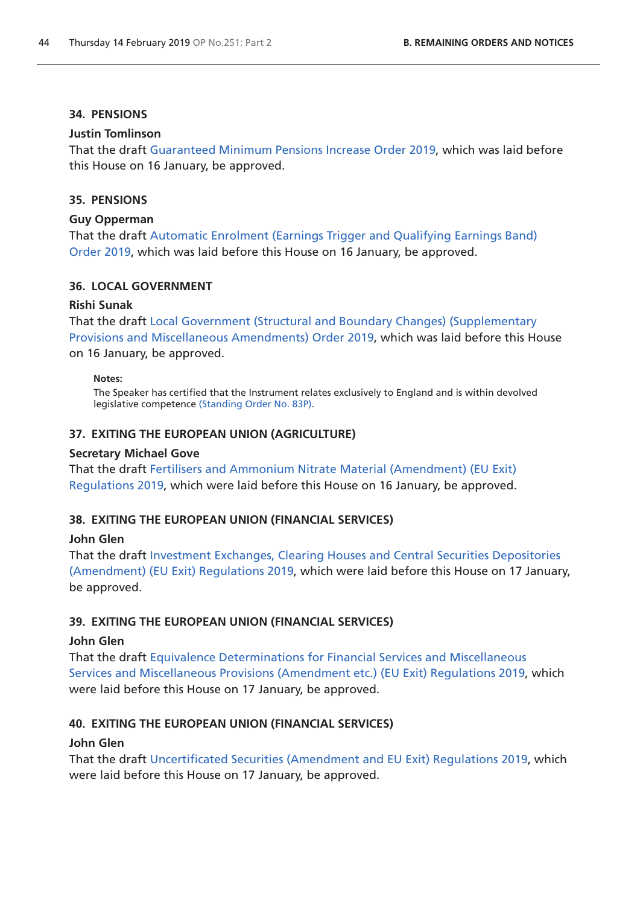#### **34. PENSIONS**

#### **Justin Tomlinson**

That the draft [Guaranteed Minimum Pensions Increase Order 2019](http://www.legislation.gov.uk/ukdsi/2019/9780111178423/pdfs/ukdsi_9780111178423_en.pdf), which was laid before this House on 16 January, be approved.

### **35. PENSIONS**

#### **Guy Opperman**

That the draft [Automatic Enrolment \(Earnings Trigger and Qualifying Earnings Band\)](http://www.legislation.gov.uk/ukdsi/2019/9780111178447/pdfs/ukdsi_9780111178447_en.pdf)  [Order 2019,](http://www.legislation.gov.uk/ukdsi/2019/9780111178447/pdfs/ukdsi_9780111178447_en.pdf) which was laid before this House on 16 January, be approved.

#### **36. LOCAL GOVERNMENT**

#### **Rishi Sunak**

That the draft [Local Government \(Structural and Boundary Changes\) \(Supplementary](http://www.legislation.gov.uk/ukdsi/2019/9780111178058/pdfs/ukdsi_9780111178058_en.pdf)  [Provisions and Miscellaneous Amendments\) Order 2019,](http://www.legislation.gov.uk/ukdsi/2019/9780111178058/pdfs/ukdsi_9780111178058_en.pdf) which was laid before this House on 16 January, be approved.

#### **Notes:**

The Speaker has certified that the Instrument relates exclusively to England and is within devolved legislative competence [\(Standing Order No. 83P](https://www.publications.parliament.uk/pa/cm201719/cmstords/1020/body.html#83P)).

#### **37. EXITING THE EUROPEAN UNION (AGRICULTURE)**

#### **Secretary Michael Gove**

That the draft [Fertilisers and Ammonium Nitrate Material \(Amendment\) \(EU Exit\)](http://www.legislation.gov.uk/ukdsi/2019/9780111178577/pdfs/ukdsi_9780111178577_en.pdf)  [Regulations 2019](http://www.legislation.gov.uk/ukdsi/2019/9780111178577/pdfs/ukdsi_9780111178577_en.pdf), which were laid before this House on 16 January, be approved.

#### **38. EXITING THE EUROPEAN UNION (FINANCIAL SERVICES)**

#### **John Glen**

That the draft I[nvestment Exchanges, Clearing Houses and Central Securities Depositories](http://www.legislation.gov.uk/ukdsi/2019/9780111178683/pdfs/ukdsi_9780111178683_en.pdf)  [\(Amendment\) \(EU Exit\) Regulations 2019](http://www.legislation.gov.uk/ukdsi/2019/9780111178683/pdfs/ukdsi_9780111178683_en.pdf), which were laid before this House on 17 January, be approved.

#### **39. EXITING THE EUROPEAN UNION (FINANCIAL SERVICES)**

#### **John Glen**

That the draft [Equivalence Determinations for Financial Services and Miscellaneous](http://www.legislation.gov.uk/ukdsi/2019/9780111178607/pdfs/ukdsi_9780111178607_en.pdf)  [Services and Miscellaneous Provisions \(Amendment etc.\) \(EU Exit\) Regulations 2019,](http://www.legislation.gov.uk/ukdsi/2019/9780111178607/pdfs/ukdsi_9780111178607_en.pdf) which were laid before this House on 17 January, be approved.

### **40. EXITING THE EUROPEAN UNION (FINANCIAL SERVICES)**

#### **John Glen**

That the draft [Uncertificated Securities \(Amendment and EU Exit\) Regulations 2019](http://www.legislation.gov.uk/ukdsi/2019/9780111178706/pdfs/ukdsi_9780111178706_en.pdf), which were laid before this House on 17 January, be approved.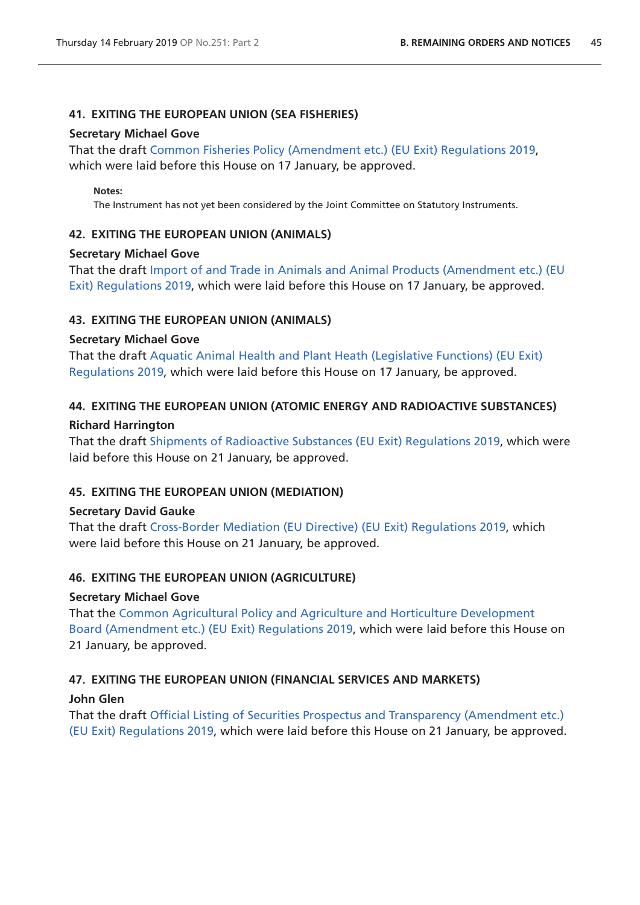# **41. EXITING THE EUROPEAN UNION (SEA FISHERIES)**

### **Secretary Michael Gove**

That the draft [Common Fisheries Policy \(Amendment etc.\) \(EU Exit\) Regulations 2019](http://www.legislation.gov.uk/ukdsi/2019/9780111178720/pdfs/ukdsi_9780111178720_en.pdf), which were laid before this House on 17 January, be approved.

### **Notes:**

The Instrument has not yet been considered by the Joint Committee on Statutory Instruments.

# **42. EXITING THE EUROPEAN UNION (ANIMALS)**

# **Secretary Michael Gove**

That the draft [Import of and Trade in Animals and Animal Products \(Amendment etc.\) \(EU](http://www.legislation.gov.uk/ukdsi/2019/9780111178690/pdfs/ukdsi_9780111178690_en.pdf)  [Exit\) Regulations 2019](http://www.legislation.gov.uk/ukdsi/2019/9780111178690/pdfs/ukdsi_9780111178690_en.pdf), which were laid before this House on 17 January, be approved.

# **43. EXITING THE EUROPEAN UNION (ANIMALS)**

# **Secretary Michael Gove**

That the draft [Aquatic Animal Health and Plant Heath \(Legislative Functions\) \(EU Exit\)](http://www.legislation.gov.uk/ukdsi/2019/9780111178713/pdfs/ukdsi_9780111178713_en.pdf)  [Regulations 2019](http://www.legislation.gov.uk/ukdsi/2019/9780111178713/pdfs/ukdsi_9780111178713_en.pdf), which were laid before this House on 17 January, be approved.

# **44. EXITING THE EUROPEAN UNION (ATOMIC ENERGY AND RADIOACTIVE SUBSTANCES)**

# **Richard Harrington**

That the draft [Shipments of Radioactive Substances \(EU Exit\) Regulations 2019](http://www.legislation.gov.uk/ukdsi/2019/9780111178898/pdfs/ukdsi_9780111178898_en.pdf), which were laid before this House on 21 January, be approved.

# **45. EXITING THE EUROPEAN UNION (MEDIATION)**

# **Secretary David Gauke**

That the draft [Cross-Border Mediation \(EU Directive\) \(EU Exit\) Regulations 2019,](http://www.legislation.gov.uk/ukdsi/2019/9780111178980/pdfs/ukdsi_9780111178980_en.pdf) which were laid before this House on 21 January, be approved.

# **46. EXITING THE EUROPEAN UNION (AGRICULTURE)**

# **Secretary Michael Gove**

That the [Common Agricultural Policy and Agriculture and Horticulture Development](http://www.legislation.gov.uk/ukdsi/2019/9780111178843/pdfs/ukdsi_9780111178843_en.pdf)  [Board \(Amendment etc.\) \(EU Exit\) Regulations 2019](http://www.legislation.gov.uk/ukdsi/2019/9780111178843/pdfs/ukdsi_9780111178843_en.pdf), which were laid before this House on 21 January, be approved.

# **47. EXITING THE EUROPEAN UNION (FINANCIAL SERVICES AND MARKETS)**

# **John Glen**

That the draft [Official Listing of Securities Prospectus and Transparency \(Amendment etc.\)](http://www.legislation.gov.uk/ukdsi/2019/9780111178881/pdfs/ukdsi_9780111178881_en.pdf)  [\(EU Exit\) Regulations 2019,](http://www.legislation.gov.uk/ukdsi/2019/9780111178881/pdfs/ukdsi_9780111178881_en.pdf) which were laid before this House on 21 January, be approved.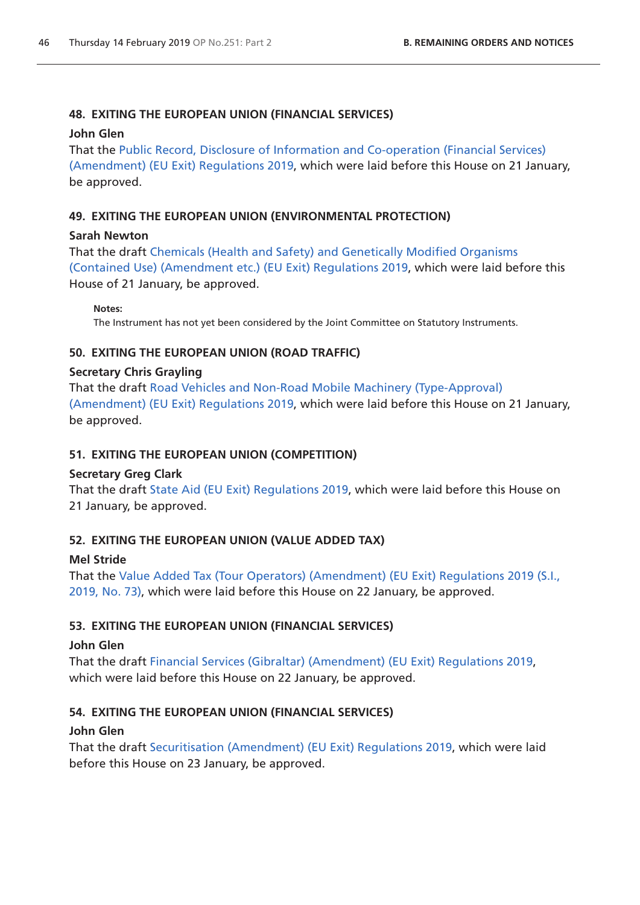# **48. EXITING THE EUROPEAN UNION (FINANCIAL SERVICES)**

### **John Glen**

That the [Public Record, Disclosure of Information and Co-operation \(Financial Services\)](http://www.legislation.gov.uk/ukdsi/2019/9780111178942/pdfs/ukdsi_9780111178942_en.pdf)  [\(Amendment\) \(EU Exit\) Regulations 2019](http://www.legislation.gov.uk/ukdsi/2019/9780111178942/pdfs/ukdsi_9780111178942_en.pdf), which were laid before this House on 21 January, be approved.

# **49. EXITING THE EUROPEAN UNION (ENVIRONMENTAL PROTECTION)**

# **Sarah Newton**

That the draft [Chemicals \(Health and Safety\) and Genetically Modified Organisms](http://www.legislation.gov.uk/ukdsi/2019/9780111178911/pdfs/ukdsi_9780111178911_en.pdf)  [\(Contained Use\) \(Amendment etc.\) \(EU Exit\) Regulations 2019,](http://www.legislation.gov.uk/ukdsi/2019/9780111178911/pdfs/ukdsi_9780111178911_en.pdf) which were laid before this House of 21 January, be approved.

**Notes:** 

The Instrument has not yet been considered by the Joint Committee on Statutory Instruments.

# **50. EXITING THE EUROPEAN UNION (ROAD TRAFFIC)**

# **Secretary Chris Grayling**

That the draft [Road Vehicles and Non-Road Mobile Machinery \(Type-Approval\)](http://www.legislation.gov.uk/ukdsi/2019/9780111178874/pdfs/ukdsi_9780111178874_en.pdf)  [\(Amendment\) \(EU Exit\) Regulations 2019](http://www.legislation.gov.uk/ukdsi/2019/9780111178874/pdfs/ukdsi_9780111178874_en.pdf), which were laid before this House on 21 January, be approved.

# **51. EXITING THE EUROPEAN UNION (COMPETITION)**

# **Secretary Greg Clark**

That the draft [State Aid \(EU Exit\) Regulations 2019](http://www.legislation.gov.uk/ukdsi/2019/9780111178768/pdfs/ukdsi_9780111178768_en.pdf), which were laid before this House on 21 January, be approved.

# **52. EXITING THE EUROPEAN UNION (VALUE ADDED TAX)**

# **Mel Stride**

That the [Value Added Tax \(Tour Operators\) \(Amendment\) \(EU Exit\) Regulations 2019 \(S.I.,](http://www.legislation.gov.uk/uksi/2019/73/pdfs/uksi_20190073_en.pdf)  [2019, No. 73\),](http://www.legislation.gov.uk/uksi/2019/73/pdfs/uksi_20190073_en.pdf) which were laid before this House on 22 January, be approved.

# **53. EXITING THE EUROPEAN UNION (FINANCIAL SERVICES)**

# **John Glen**

That the draft [Financial Services \(Gibraltar\) \(Amendment\) \(EU Exit\) Regulations 2019,](http://www.legislation.gov.uk/ukdsi/2019/9780111179031/pdfs/ukdsi_9780111179031_en.pdf) which were laid before this House on 22 January, be approved.

# **54. EXITING THE EUROPEAN UNION (FINANCIAL SERVICES)**

# **John Glen**

That the draft [Securitisation \(Amendment\) \(EU Exit\) Regulations 2019,](http://www.legislation.gov.uk/ukdsi/2019/9780111179024/pdfs/ukdsi_9780111179024_en.pdf) which were laid before this House on 23 January, be approved.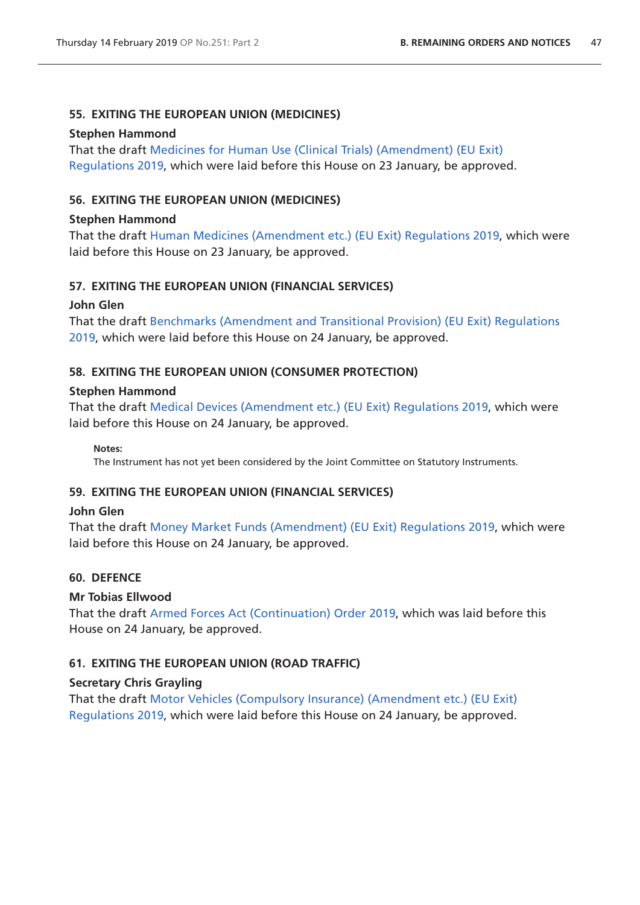# **55. EXITING THE EUROPEAN UNION (MEDICINES)**

### **Stephen Hammond**

That the draft [Medicines for Human Use \(Clinical Trials\) \(Amendment\) \(EU Exit\)](http://www.legislation.gov.uk/ukdsi/2019/9780111179116/pdfs/ukdsi_9780111179116_en.pdf)  [Regulations 2019](http://www.legislation.gov.uk/ukdsi/2019/9780111179116/pdfs/ukdsi_9780111179116_en.pdf), which were laid before this House on 23 January, be approved.

# **56. EXITING THE EUROPEAN UNION (MEDICINES)**

### **Stephen Hammond**

That the draft [Human Medicines \(Amendment etc.\) \(EU Exit\) Regulations 2019,](http://www.legislation.gov.uk/ukdsi/2019/9780111179185/pdfs/ukdsi_9780111179185_en.pdf) which were laid before this House on 23 January, be approved.

# **57. EXITING THE EUROPEAN UNION (FINANCIAL SERVICES)**

# **John Glen**

That the draft [Benchmarks \(Amendment and Transitional Provision\) \(EU Exit\) Regulations](http://www.legislation.gov.uk/ukdsi/2019/9780111179208/pdfs/ukdsi_9780111179208_en.pdf)  [2019,](http://www.legislation.gov.uk/ukdsi/2019/9780111179208/pdfs/ukdsi_9780111179208_en.pdf) which were laid before this House on 24 January, be approved.

# **58. EXITING THE EUROPEAN UNION (CONSUMER PROTECTION)**

### **Stephen Hammond**

That the draft [Medical Devices \(Amendment etc.\) \(EU Exit\) Regulations 2019](http://www.legislation.gov.uk/ukdsi/2019/9780111179260/pdfs/ukdsi_9780111179260_en.pdf), which were laid before this House on 24 January, be approved.

**Notes:** 

The Instrument has not yet been considered by the Joint Committee on Statutory Instruments.

# **59. EXITING THE EUROPEAN UNION (FINANCIAL SERVICES)**

### **John Glen**

That the draft [Money Market Funds \(Amendment\) \(EU Exit\) Regulations 2019](http://www.legislation.gov.uk/ukdsi/2019/9780111179178/pdfs/ukdsi_9780111179178_en.pdf), which were laid before this House on 24 January, be approved.

# **60. DEFENCE**

# **Mr Tobias Ellwood**

That the draft [Armed Forces Act \(Continuation\) Order 2019](http://www.legislation.gov.uk/ukdsi/2019/9780111179079/pdfs/ukdsi_9780111179079_en.pdf), which was laid before this House on 24 January, be approved.

# **61. EXITING THE EUROPEAN UNION (ROAD TRAFFIC)**

# **Secretary Chris Grayling**

That the draft [Motor Vehicles \(Compulsory Insurance\) \(Amendment etc.\) \(EU Exit\)](http://www.legislation.gov.uk/ukdsi/2019/9780111179192/pdfs/ukdsi_9780111179192_en.pdf)  [Regulations 2019](http://www.legislation.gov.uk/ukdsi/2019/9780111179192/pdfs/ukdsi_9780111179192_en.pdf), which were laid before this House on 24 January, be approved.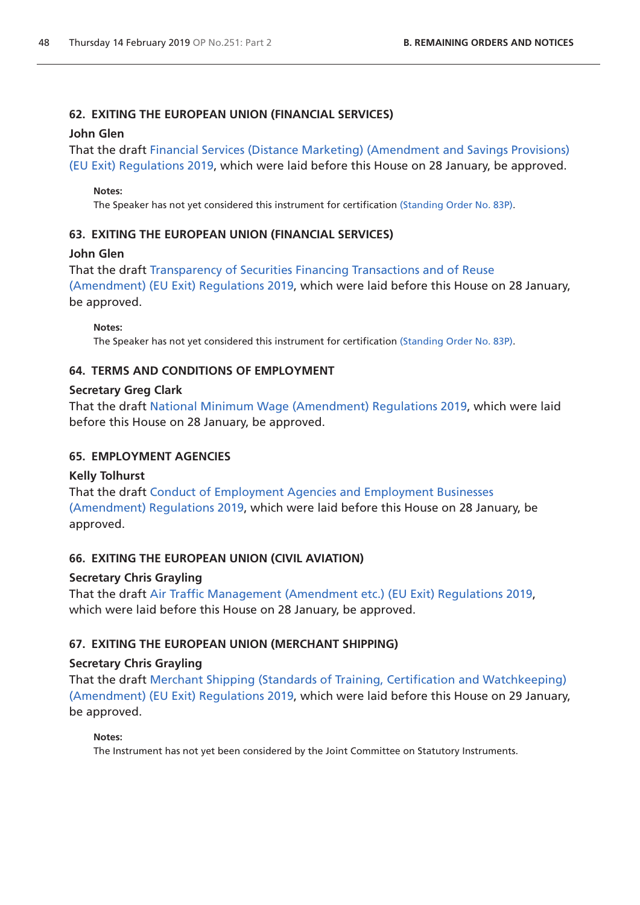# **62. EXITING THE EUROPEAN UNION (FINANCIAL SERVICES)**

### **John Glen**

That the draft [Financial Services \(Distance Marketing\) \(Amendment and Savings Provisions\)](http://www.legislation.gov.uk/ukdsi/2019/9780111179406/pdfs/ukdsi_9780111179406_en.pdf)  [\(EU Exit\) Regulations 2019,](http://www.legislation.gov.uk/ukdsi/2019/9780111179406/pdfs/ukdsi_9780111179406_en.pdf) which were laid before this House on 28 January, be approved.

### **Notes:**

The Speaker has not yet considered this instrument for certification [\(Standing Order No. 83P](https://www.publications.parliament.uk/pa/cm201719/cmstords/1020/body.html#83P)).

# **63. EXITING THE EUROPEAN UNION (FINANCIAL SERVICES)**

# **John Glen**

That the draft [Transparency of Securities Financing Transactions and of Reuse](http://www.legislation.gov.uk/ukdsi/2019/9780111179376/pdfs/ukdsi_9780111179376_en.pdf)  [\(Amendment\) \(EU Exit\) Regulations 2019](http://www.legislation.gov.uk/ukdsi/2019/9780111179376/pdfs/ukdsi_9780111179376_en.pdf), which were laid before this House on 28 January, be approved.

**Notes:** 

The Speaker has not yet considered this instrument for certification [\(Standing Order No. 83P](https://www.publications.parliament.uk/pa/cm201719/cmstords/1020/body.html#83P)).

# **64. TERMS AND CONDITIONS OF EMPLOYMENT**

# **Secretary Greg Clark**

That the draft [National Minimum Wage \(Amendment\) Regulations 2019,](http://www.legislation.gov.uk/ukdsi/2019/9780111179352/pdfs/ukdsi_9780111179352_en.pdf) which were laid before this House on 28 January, be approved.

# **65. EMPLOYMENT AGENCIES**

# **Kelly Tolhurst**

That the draft [Conduct of Employment Agencies and Employment Businesses](http://www.legislation.gov.uk/ukdsi/2019/9780111179444/pdfs/ukdsi_9780111179444_en.pdf)  [\(Amendment\) Regulations 2019,](http://www.legislation.gov.uk/ukdsi/2019/9780111179444/pdfs/ukdsi_9780111179444_en.pdf) which were laid before this House on 28 January, be approved.

# **66. EXITING THE EUROPEAN UNION (CIVIL AVIATION)**

# **Secretary Chris Grayling**

That the draft [Air Traffic Management \(Amendment etc.\) \(EU Exit\) Regulations 2019](http://www.legislation.gov.uk/ukdsi/2019/9780111179505/pdfs/ukdsi_9780111179505_en.pdf), which were laid before this House on 28 January, be approved.

# **67. EXITING THE EUROPEAN UNION (MERCHANT SHIPPING)**

# **Secretary Chris Grayling**

That the draft [Merchant Shipping \(Standards of Training, Certification and Watchkeeping\)](http://www.legislation.gov.uk/ukdsi/2019/9780111179604/pdfs/ukdsi_9780111179604_en.pdf)  [\(Amendment\) \(EU Exit\) Regulations 2019](http://www.legislation.gov.uk/ukdsi/2019/9780111179604/pdfs/ukdsi_9780111179604_en.pdf), which were laid before this House on 29 January, be approved.

### **Notes:**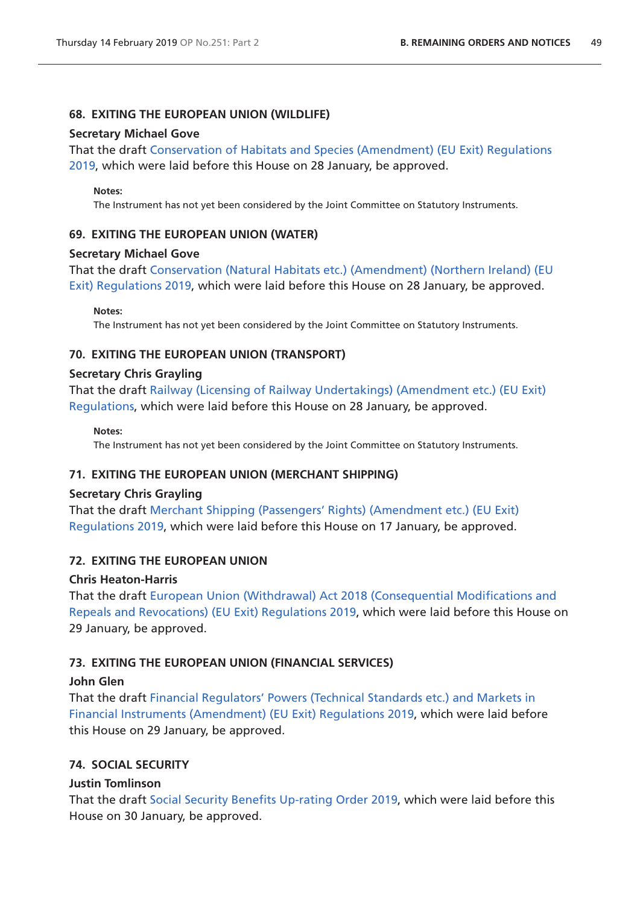### **68. EXITING THE EUROPEAN UNION (WILDLIFE)**

### **Secretary Michael Gove**

That the draft [Conservation of Habitats and Species \(Amendment\) \(EU Exit\) Regulations](http://www.legislation.gov.uk/ukdsi/2019/9780111176573/pdfs/ukdsi_9780111176573_en.pdf)  [2019,](http://www.legislation.gov.uk/ukdsi/2019/9780111176573/pdfs/ukdsi_9780111176573_en.pdf) which were laid before this House on 28 January, be approved.

#### **Notes:**

The Instrument has not yet been considered by the Joint Committee on Statutory Instruments.

# **69. EXITING THE EUROPEAN UNION (WATER)**

### **Secretary Michael Gove**

That the draft [Conservation \(Natural Habitats etc.\) \(Amendment\) \(Northern Ireland\) \(EU](http://www.legislation.gov.uk/ukdsi/2019/9780111176634/pdfs/ukdsi_9780111176634_en.pdf)  [Exit\) Regulations 2019](http://www.legislation.gov.uk/ukdsi/2019/9780111176634/pdfs/ukdsi_9780111176634_en.pdf), which were laid before this House on 28 January, be approved.

**Notes:** 

The Instrument has not yet been considered by the Joint Committee on Statutory Instruments.

# **70. EXITING THE EUROPEAN UNION (TRANSPORT)**

### **Secretary Chris Grayling**

That the draft [Railway \(Licensing of Railway Undertakings\) \(Amendment etc.\) \(EU Exit\)](http://www.legislation.gov.uk/ukdsi/2019/9780111179291/pdfs/ukdsi_9780111179291_en.pdf)  [Regulations,](http://www.legislation.gov.uk/ukdsi/2019/9780111179291/pdfs/ukdsi_9780111179291_en.pdf) which were laid before this House on 28 January, be approved.

**Notes:** 

The Instrument has not yet been considered by the Joint Committee on Statutory Instruments.

# **71. EXITING THE EUROPEAN UNION (MERCHANT SHIPPING)**

# **Secretary Chris Grayling**

That the draft [Merchant Shipping \(Passengers' Rights\) \(Amendment etc.\) \(EU Exit\)](http://www.legislation.gov.uk/ukdsi/2019/9780111178485/pdfs/ukdsi_9780111178485_en.pdf)  [Regulations 2019](http://www.legislation.gov.uk/ukdsi/2019/9780111178485/pdfs/ukdsi_9780111178485_en.pdf), which were laid before this House on 17 January, be approved.

# **72. EXITING THE EUROPEAN UNION**

### **Chris Heaton-Harris**

That the draft [European Union \(Withdrawal\) Act 2018 \(Consequential Modifications and](http://www.legislation.gov.uk/ukdsi/2019/9780111179628/pdfs/ukdsi_9780111179628_en.pdf)  [Repeals and Revocations\) \(EU Exit\) Regulations 2019](http://www.legislation.gov.uk/ukdsi/2019/9780111179628/pdfs/ukdsi_9780111179628_en.pdf), which were laid before this House on 29 January, be approved.

# **73. EXITING THE EUROPEAN UNION (FINANCIAL SERVICES)**

### **John Glen**

That the draft [Financial Regulators' Powers \(Technical Standards etc.\) and Markets in](http://www.legislation.gov.uk/ukdsi/2019/9780111179475/pdfs/ukdsi_9780111179475_en.pdf)  [Financial Instruments \(Amendment\) \(EU Exit\) Regulations 2019](http://www.legislation.gov.uk/ukdsi/2019/9780111179475/pdfs/ukdsi_9780111179475_en.pdf), which were laid before this House on 29 January, be approved.

# **74. SOCIAL SECURITY**

# **Justin Tomlinson**

That the draft [Social Security Benefits Up-rating Order 2019,](http://www.legislation.gov.uk/ukdsi/2019/9780111179888/pdfs/ukdsi_9780111179888_en.pdf) which were laid before this House on 30 January, be approved.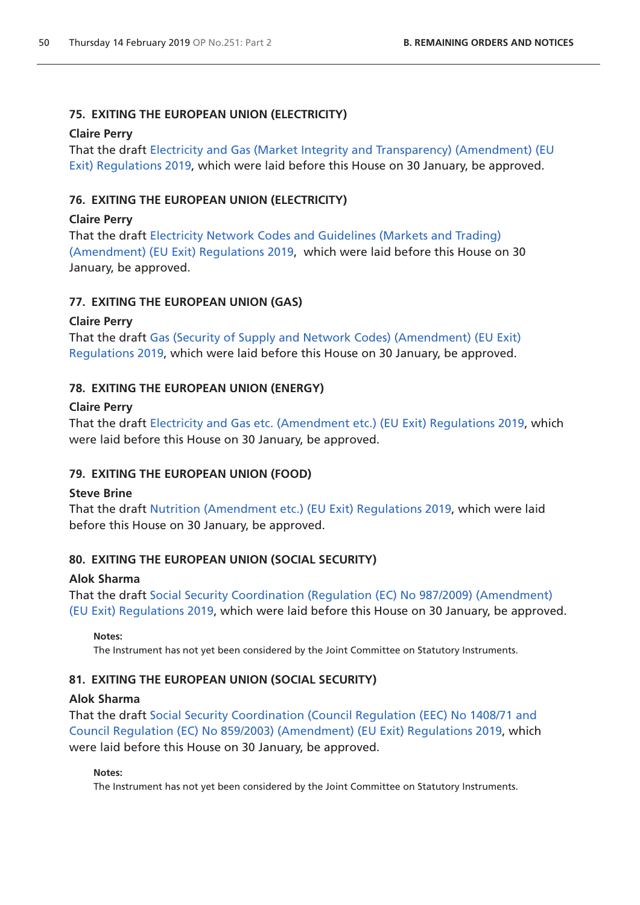# **75. EXITING THE EUROPEAN UNION (ELECTRICITY)**

### **Claire Perry**

That the draft [Electricity and Gas \(Market Integrity and Transparency\) \(Amendment\) \(EU](http://www.legislation.gov.uk/ukdsi/2019/9780111179895/pdfs/ukdsi_9780111179895_en.pdf)  [Exit\) Regulations 2019](http://www.legislation.gov.uk/ukdsi/2019/9780111179895/pdfs/ukdsi_9780111179895_en.pdf), which were laid before this House on 30 January, be approved.

# **76. EXITING THE EUROPEAN UNION (ELECTRICITY)**

### **Claire Perry**

That the draft [Electricity Network Codes and Guidelines \(Markets and Trading\)](http://www.legislation.gov.uk/ukdsi/2019/9780111179789/pdfs/ukdsi_9780111179789_en.pdf)  [\(Amendment\) \(EU Exit\) Regulations 2019](http://www.legislation.gov.uk/ukdsi/2019/9780111179789/pdfs/ukdsi_9780111179789_en.pdf), which were laid before this House on 30 January, be approved.

# **77. EXITING THE EUROPEAN UNION (GAS)**

# **Claire Perry**

That the draft [Gas \(Security of Supply and Network Codes\) \(Amendment\) \(EU Exit\)](http://www.legislation.gov.uk/ukdsi/2019/9780111179802/pdfs/ukdsi_9780111179802_en.pdf)  [Regulations 2019](http://www.legislation.gov.uk/ukdsi/2019/9780111179802/pdfs/ukdsi_9780111179802_en.pdf), which were laid before this House on 30 January, be approved.

# **78. EXITING THE EUROPEAN UNION (ENERGY)**

# **Claire Perry**

That the draft [Electricity and Gas etc. \(Amendment etc.\) \(EU Exit\) Regulations 2019,](http://www.legislation.gov.uk/ukdsi/2019/9780111179772/pdfs/ukdsi_9780111179772_en.pdf) which were laid before this House on 30 January, be approved.

# **79. EXITING THE EUROPEAN UNION (FOOD)**

# **Steve Brine**

That the draft [Nutrition \(Amendment etc.\) \(EU Exit\) Regulations 2019](http://www.legislation.gov.uk/ukdsi/2019/9780111179864/pdfs/ukdsi_9780111179864_en.pdf), which were laid before this House on 30 January, be approved.

# **80. EXITING THE EUROPEAN UNION (SOCIAL SECURITY)**

# **Alok Sharma**

That the draft [Social Security Coordination \(Regulation \(EC\) No 987/2009\) \(Amendment\)](http://www.legislation.gov.uk/ukdsi/2019/9780111179680/pdfs/ukdsi_9780111179680_en.pdf)  [\(EU Exit\) Regulations 2019,](http://www.legislation.gov.uk/ukdsi/2019/9780111179680/pdfs/ukdsi_9780111179680_en.pdf) which were laid before this House on 30 January, be approved.

### **Notes:**

The Instrument has not yet been considered by the Joint Committee on Statutory Instruments.

# **81. EXITING THE EUROPEAN UNION (SOCIAL SECURITY)**

### **Alok Sharma**

That the draft [Social Security Coordination \(Council Regulation \(EEC\) No 1408/71 and](http://www.legislation.gov.uk/ukdsi/2019/9780111179727/pdfs/ukdsi_9780111179727_en.pdf)  [Council Regulation \(EC\) No 859/2003\) \(Amendment\) \(EU Exit\) Regulations 2019](http://www.legislation.gov.uk/ukdsi/2019/9780111179727/pdfs/ukdsi_9780111179727_en.pdf), which were laid before this House on 30 January, be approved.

### **Notes:**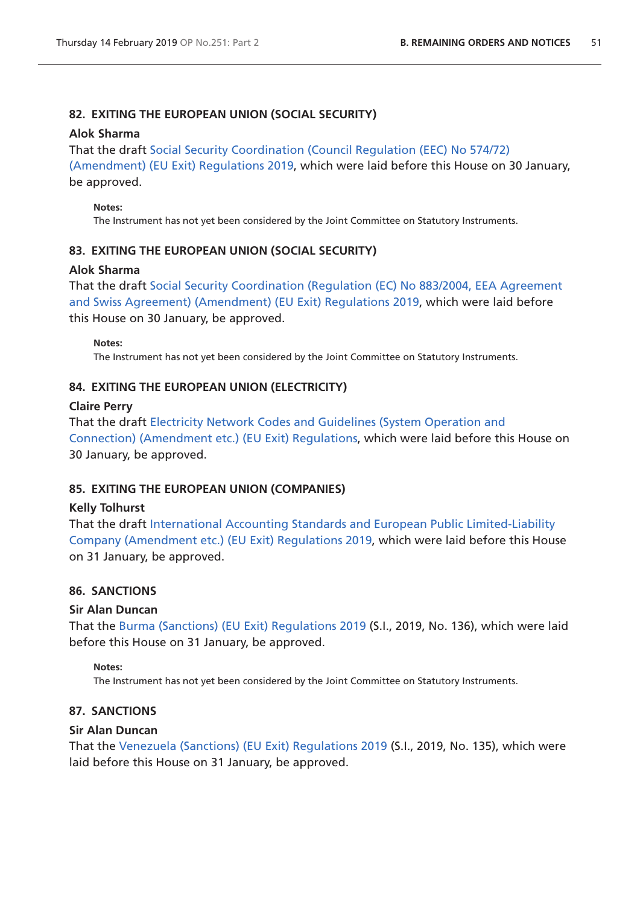# **82. EXITING THE EUROPEAN UNION (SOCIAL SECURITY)**

### **Alok Sharma**

That the draft [Social Security Coordination \(Council Regulation \(EEC\) No 574/72\)](http://www.legislation.gov.uk/ukdsi/2019/9780111179697/pdfs/ukdsi_9780111179697_en.pdf) 

[\(Amendment\) \(EU Exit\) Regulations 2019](http://www.legislation.gov.uk/ukdsi/2019/9780111179697/pdfs/ukdsi_9780111179697_en.pdf), which were laid before this House on 30 January, be approved.

### **Notes:**

The Instrument has not yet been considered by the Joint Committee on Statutory Instruments.

# **83. EXITING THE EUROPEAN UNION (SOCIAL SECURITY)**

### **Alok Sharma**

That the draft [Social Security Coordination \(Regulation \(EC\) No 883/2004, EEA Agreement](http://www.legislation.gov.uk/ukdsi/2019/9780111179710/pdfs/ukdsi_9780111179710_en.pdf)  [and Swiss Agreement\) \(Amendment\) \(EU Exit\) Regulations 2019](http://www.legislation.gov.uk/ukdsi/2019/9780111179710/pdfs/ukdsi_9780111179710_en.pdf), which were laid before this House on 30 January, be approved.

### **Notes:**

The Instrument has not yet been considered by the Joint Committee on Statutory Instruments.

# **84. EXITING THE EUROPEAN UNION (ELECTRICITY)**

### **Claire Perry**

That the draft [Electricity Network Codes and Guidelines \(System Operation and](http://www.legislation.gov.uk/ukdsi/2019/9780111179789/pdfs/ukdsi_9780111179789_en.pdf)  [Connection\) \(Amendment etc.\) \(EU Exit\) Regulations,](http://www.legislation.gov.uk/ukdsi/2019/9780111179789/pdfs/ukdsi_9780111179789_en.pdf) which were laid before this House on 30 January, be approved.

# **85. EXITING THE EUROPEAN UNION (COMPANIES)**

### **Kelly Tolhurst**

That the draft [International Accounting Standards and European Public Limited-Liability](http://www.legislation.gov.uk/ukdsi/2019/9780111179826/pdfs/ukdsi_9780111179826_en.pdf)  [Company \(Amendment etc.\) \(EU Exit\) Regulations 2019](http://www.legislation.gov.uk/ukdsi/2019/9780111179826/pdfs/ukdsi_9780111179826_en.pdf), which were laid before this House on 31 January, be approved.

# **86. SANCTIONS**

### **Sir Alan Duncan**

That the [Burma \(Sanctions\) \(EU Exit\) Regulations 2019](http://www.legislation.gov.uk/uksi/2019/136/pdfs/uksi_20190136_en.pdf) (S.I., 2019, No. 136), which were laid before this House on 31 January, be approved.

### **Notes:**

The Instrument has not yet been considered by the Joint Committee on Statutory Instruments.

# **87. SANCTIONS**

### **Sir Alan Duncan**

That the [Venezuela \(Sanctions\) \(EU Exit\) Regulations 2019](http://www.legislation.gov.uk/uksi/2019/135/pdfs/uksi_20190135_en.pdf) (S.I., 2019, No. 135), which were laid before this House on 31 January, be approved.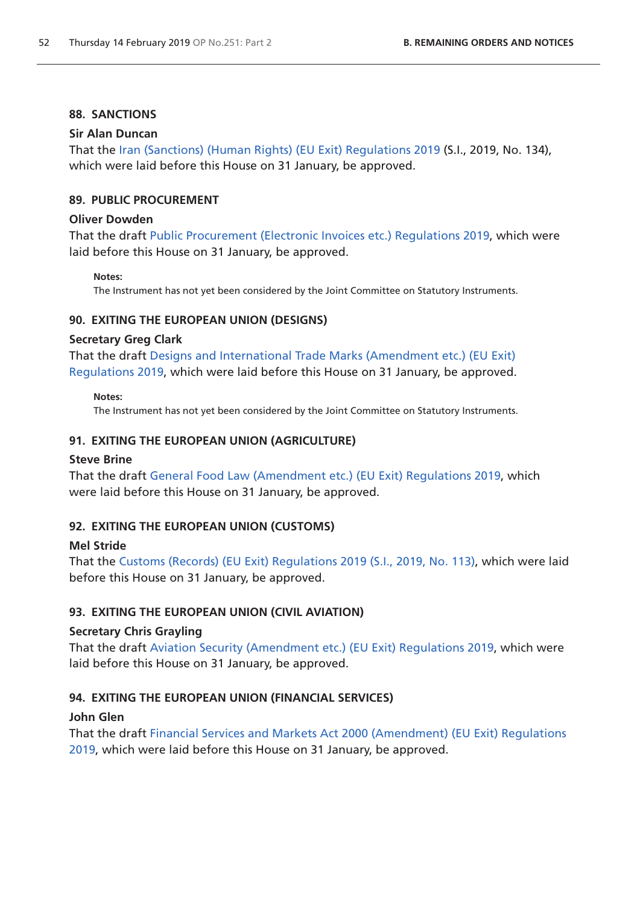### **88. SANCTIONS**

### **Sir Alan Duncan**

That the [Iran \(Sanctions\) \(Human Rights\) \(EU Exit\) Regulations 2019](http://www.legislation.gov.uk/uksi/2019/134/pdfs/uksi_20190134_en.pdf) (S.I., 2019, No. 134), which were laid before this House on 31 January, be approved.

### **89. PUBLIC PROCUREMENT**

### **Oliver Dowden**

That the draft [Public Procurement \(Electronic Invoices etc.\) Regulations 2019,](http://www.legislation.gov.uk/ukdsi/2019/9780111179819/pdfs/ukdsi_9780111179819_en.pdf) which were laid before this House on 31 January, be approved.

#### **Notes:**

The Instrument has not yet been considered by the Joint Committee on Statutory Instruments.

### **90. EXITING THE EUROPEAN UNION (DESIGNS)**

### **Secretary Greg Clark**

That the draft [Designs and International Trade Marks \(Amendment etc.\) \(EU Exit\)](http://www.legislation.gov.uk/ukdsi/2019/9780111180037/pdfs/ukdsi_9780111180037_en.pdf)  [Regulations 2019](http://www.legislation.gov.uk/ukdsi/2019/9780111180037/pdfs/ukdsi_9780111180037_en.pdf), which were laid before this House on 31 January, be approved.

#### **Notes:**

The Instrument has not yet been considered by the Joint Committee on Statutory Instruments.

### **91. EXITING THE EUROPEAN UNION (AGRICULTURE)**

### **Steve Brine**

That the draft [General Food Law \(Amendment etc.\) \(EU Exit\) Regulations 2019,](http://www.legislation.gov.uk/ukdsi/2019/9780111180051/pdfs/ukdsi_9780111180051_en.pdf) which were laid before this House on 31 January, be approved.

# **92. EXITING THE EUROPEAN UNION (CUSTOMS)**

### **Mel Stride**

That the [Customs \(Records\) \(EU Exit\) Regulations 2019 \(S.I., 2019, No. 113\)](http://www.legislation.gov.uk/uksi/2019/113/pdfs/uksi_20190113_en.pdf), which were laid before this House on 31 January, be approved.

# **93. EXITING THE EUROPEAN UNION (CIVIL AVIATION)**

### **Secretary Chris Grayling**

That the draft [Aviation Security \(Amendment etc.\) \(EU Exit\) Regulations 2019,](http://www.legislation.gov.uk/ukdsi/2019/9780111179932/pdfs/ukdsi_9780111179932_en.pdf) which were laid before this House on 31 January, be approved.

# **94. EXITING THE EUROPEAN UNION (FINANCIAL SERVICES)**

### **John Glen**

That the draft [Financial Services and Markets Act 2000 \(Amendment\) \(EU Exit\) Regulations](http://www.legislation.gov.uk/ukdsi/2019/9780111179970/pdfs/ukdsi_9780111179970_en.pdf)  [2019,](http://www.legislation.gov.uk/ukdsi/2019/9780111179970/pdfs/ukdsi_9780111179970_en.pdf) which were laid before this House on 31 January, be approved.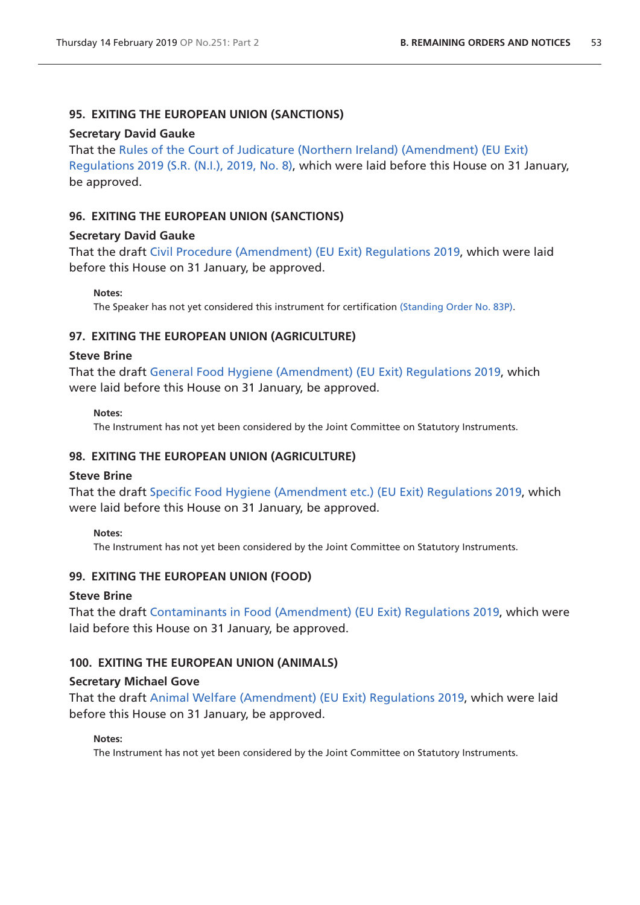### **95. EXITING THE EUROPEAN UNION (SANCTIONS)**

#### **Secretary David Gauke**

That the [Rules of the Court of Judicature \(Northern Ireland\) \(Amendment\) \(EU Exit\)](http://www.legislation.gov.uk/nisr/2019/8/pdfs/nisr_20190008_en.pdf)  [Regulations 2019 \(S.R. \(N.I.\), 2019, No. 8\)](http://www.legislation.gov.uk/nisr/2019/8/pdfs/nisr_20190008_en.pdf), which were laid before this House on 31 January, be approved.

### **96. EXITING THE EUROPEAN UNION (SANCTIONS)**

#### **Secretary David Gauke**

That the draft [Civil Procedure \(Amendment\) \(EU Exit\) Regulations 2019](http://www.legislation.gov.uk/uksi/2019/147/pdfs/uksi_20190147_en.pdf), which were laid before this House on 31 January, be approved.

**Notes:**

The Speaker has not yet considered this instrument for certification [\(Standing Order No. 83P\)](https://www.publications.parliament.uk/pa/cm201719/cmstords/1020/body.html#83P).

### **97. EXITING THE EUROPEAN UNION (AGRICULTURE)**

#### **Steve Brine**

That the draft [General Food Hygiene \(Amendment\) \(EU Exit\) Regulations 2019,](http://www.legislation.gov.uk/ukdsi/2019/9780111180082/pdfs/ukdsi_9780111180082_en.pdf) which were laid before this House on 31 January, be approved.

#### **Notes:**

The Instrument has not yet been considered by the Joint Committee on Statutory Instruments.

### **98. EXITING THE EUROPEAN UNION (AGRICULTURE)**

#### **Steve Brine**

That the draft [Specific Food Hygiene \(Amendment etc.\) \(EU Exit\) Regulations 2019](http://www.legislation.gov.uk/ukdsi/2019/9780111180099/pdfs/ukdsi_9780111180099_en.pdf), which were laid before this House on 31 January, be approved.

#### **Notes:**

The Instrument has not yet been considered by the Joint Committee on Statutory Instruments.

### **99. EXITING THE EUROPEAN UNION (FOOD)**

#### **Steve Brine**

That the draft [Contaminants in Food \(Amendment\) \(EU Exit\) Regulations 2019,](http://www.legislation.gov.uk/ukdsi/2019/9780111180075/pdfs/ukdsi_9780111180075_en.pdf) which were laid before this House on 31 January, be approved.

### **100. EXITING THE EUROPEAN UNION (ANIMALS)**

#### **Secretary Michael Gove**

That the draft [Animal Welfare \(Amendment\) \(EU Exit\) Regulations 2019](http://www.legislation.gov.uk/ukdsi/2019/9780111180044/pdfs/ukdsi_9780111180044_en.pdf), which were laid before this House on 31 January, be approved.

#### **Notes:**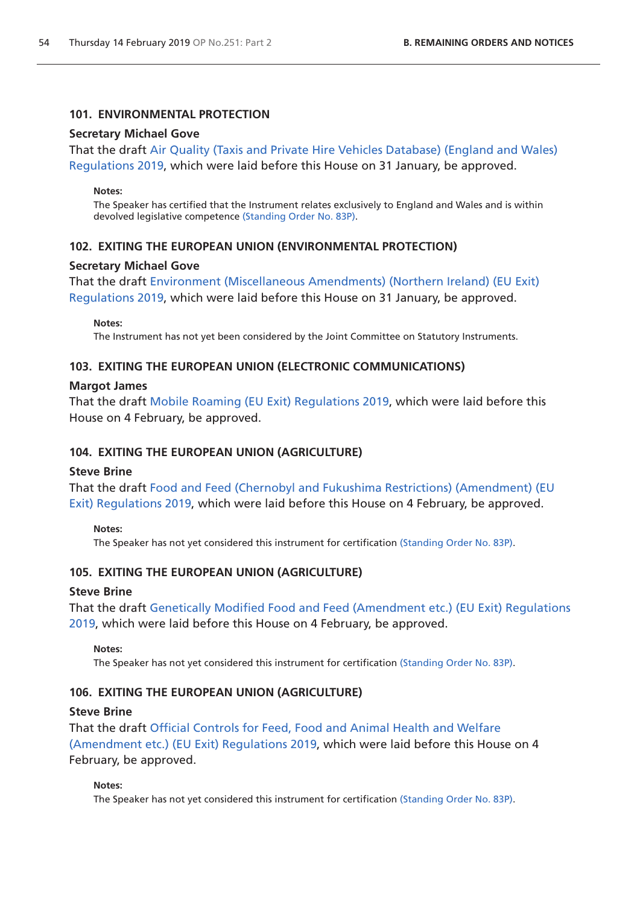### **101. ENVIRONMENTAL PROTECTION**

#### **Secretary Michael Gove**

That the draft [Air Quality \(Taxis and Private Hire Vehicles Database\) \(England and Wales\)](http://www.legislation.gov.uk/ukdsi/2019/9780111177969/pdfs/ukdsi_9780111177969_en.pdf)  [Regulations 2019](http://www.legislation.gov.uk/ukdsi/2019/9780111177969/pdfs/ukdsi_9780111177969_en.pdf), which were laid before this House on 31 January, be approved.

#### **Notes:**

The Speaker has certified that the Instrument relates exclusively to England and Wales and is within devolved legislative competence [\(Standing Order No. 83P\).](https://www.publications.parliament.uk/pa/cm201719/cmstords/1020/body.html#83P)

### **102. EXITING THE EUROPEAN UNION (ENVIRONMENTAL PROTECTION)**

#### **Secretary Michael Gove**

That the draft E[nvironment \(Miscellaneous Amendments\) \(Northern Ireland\) \(EU Exit\)](http://www.legislation.gov.uk/ukdsi/2019/9780111180020/pdfs/ukdsi_9780111180020_en.pdf)  [Regulations 2019](http://www.legislation.gov.uk/ukdsi/2019/9780111180020/pdfs/ukdsi_9780111180020_en.pdf), which were laid before this House on 31 January, be approved.

#### **Notes:**

The Instrument has not yet been considered by the Joint Committee on Statutory Instruments.

### **103. EXITING THE EUROPEAN UNION (ELECTRONIC COMMUNICATIONS)**

#### **Margot James**

That the draft [Mobile Roaming \(EU Exit\) Regulations 2019](http://www.legislation.gov.uk/ukdsi/2019/9780111180204/pdfs/ukdsi_9780111180204_en.pdf), which were laid before this House on 4 February, be approved.

#### **104. EXITING THE EUROPEAN UNION (AGRICULTURE)**

#### **Steve Brine**

That the draft [Food and Feed \(Chernobyl and Fukushima Restrictions\) \(Amendment\) \(EU](http://www.legislation.gov.uk/ukdsi/2019/9780111180242/pdfs/ukdsi_9780111180242_en.pdf)  [Exit\) Regulations 2019](http://www.legislation.gov.uk/ukdsi/2019/9780111180242/pdfs/ukdsi_9780111180242_en.pdf), which were laid before this House on 4 February, be approved.

#### **Notes:**

The Speaker has not yet considered this instrument for certification [\(Standing Order No. 83P\)](https://www.publications.parliament.uk/pa/cm201719/cmstords/1020/body.html#83P).

### **105. EXITING THE EUROPEAN UNION (AGRICULTURE)**

#### **Steve Brine**

That the draft [Genetically Modified Food and Feed \(Amendment etc.\) \(EU Exit\) Regulations](http://www.legislation.gov.uk/ukdsi/2019/9780111180273/pdfs/ukdsi_9780111180273_en.pdf)  [2019,](http://www.legislation.gov.uk/ukdsi/2019/9780111180273/pdfs/ukdsi_9780111180273_en.pdf) which were laid before this House on 4 February, be approved.

#### **Notes:**

The Speaker has not yet considered this instrument for certification [\(Standing Order No. 83P\)](https://www.publications.parliament.uk/pa/cm201719/cmstords/1020/body.html#83P).

### **106. EXITING THE EUROPEAN UNION (AGRICULTURE)**

#### **Steve Brine**

That the draft [Official Controls for Feed, Food and Animal Health and Welfare](http://www.legislation.gov.uk/ukdsi/2019/9780111180280/pdfs/ukdsi_9780111180280_en.pdf)  [\(Amendment etc.\) \(EU Exit\) Regulations 2019,](http://www.legislation.gov.uk/ukdsi/2019/9780111180280/pdfs/ukdsi_9780111180280_en.pdf) which were laid before this House on 4 February, be approved.

#### **Notes:**

The Speaker has not yet considered this instrument for certification [\(Standing Order No. 83P\)](https://www.publications.parliament.uk/pa/cm201719/cmstords/1020/body.html#83P).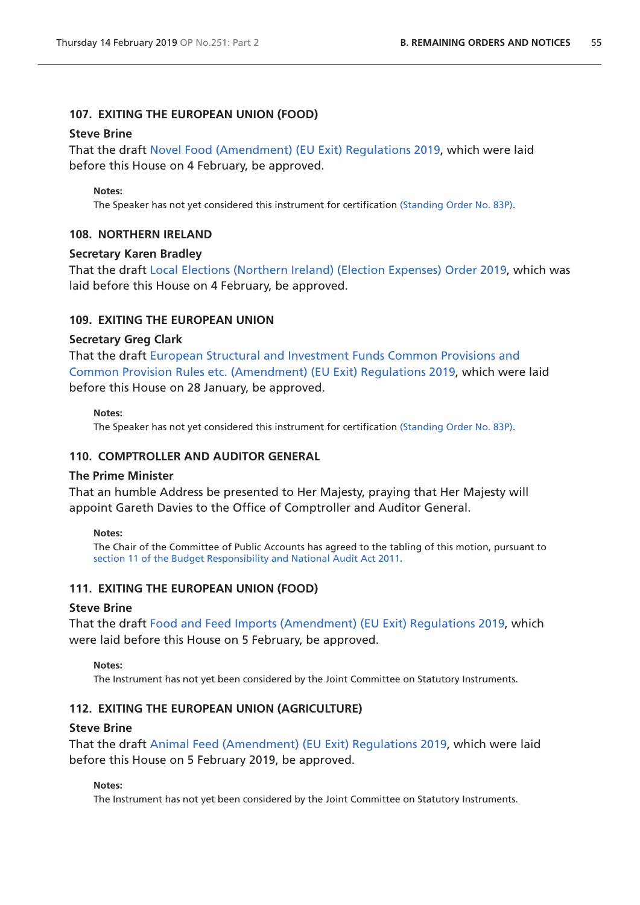### **107. EXITING THE EUROPEAN UNION (FOOD)**

#### **Steve Brine**

That the draft [Novel Food \(Amendment\) \(EU Exit\) Regulations 2019,](http://www.legislation.gov.uk/ukdsi/2019/9780111180266/pdfs/ukdsi_9780111180266_en.pdf) which were laid before this House on 4 February, be approved.

#### **Notes:**

The Speaker has not yet considered this instrument for certification [\(Standing Order No. 83P\)](https://www.publications.parliament.uk/pa/cm201719/cmstords/1020/body.html#83P).

#### **108. NORTHERN IRELAND**

#### **Secretary Karen Bradley**

That the draft [Local Elections \(Northern Ireland\) \(Election Expenses\) Order 2019](http://www.legislation.gov.uk/ukdsi/2019/9780111179536/pdfs/ukdsi_9780111179536_en.pdf), which was laid before this House on 4 February, be approved.

#### **109. EXITING THE EUROPEAN UNION**

#### **Secretary Greg Clark**

That the draft [European Structural and Investment Funds Common Provisions and](http://www.legislation.gov.uk/ukdsi/2019/9780111179413/pdfs/ukdsi_9780111179413_en.pdf)  [Common Provision Rules etc. \(Amendment\) \(EU Exit\) Regulations 2019,](http://www.legislation.gov.uk/ukdsi/2019/9780111179413/pdfs/ukdsi_9780111179413_en.pdf) which were laid before this House on 28 January, be approved.

#### **Notes:**

The Speaker has not yet considered this instrument for certification [\(Standing Order No. 83P\)](https://www.publications.parliament.uk/pa/cm201719/cmstords/1020/body.html#83P).

#### **110. COMPTROLLER AND AUDITOR GENERAL**

#### **The Prime Minister**

That an humble Address be presented to Her Majesty, praying that Her Majesty will appoint Gareth Davies to the Office of Comptroller and Auditor General.

#### **Notes:**

The Chair of the Committee of Public Accounts has agreed to the tabling of this motion, pursuant to [section 11 of the Budget Responsibility and National Audit Act 2011](http://www.legislation.gov.uk/ukpga/2011/4/section/11).

#### **111. EXITING THE EUROPEAN UNION (FOOD)**

#### **Steve Brine**

That the draft [Food and Feed Imports \(Amendment\) \(EU Exit\) Regulations 2019,](http://www.legislation.gov.uk/ukdsi/2019/9780111180396/pdfs/ukdsi_9780111180396_en.pdf) which were laid before this House on 5 February, be approved.

**Notes:** 

The Instrument has not yet been considered by the Joint Committee on Statutory Instruments.

#### **112. EXITING THE EUROPEAN UNION (AGRICULTURE)**

#### **Steve Brine**

That the draft [Animal Feed \(Amendment\) \(EU Exit\) Regulations 2019,](http://www.legislation.gov.uk/ukdsi/2019/9780111180389/pdfs/ukdsi_9780111180389_en.pdf) which were laid before this House on 5 February 2019, be approved.

#### **Notes:**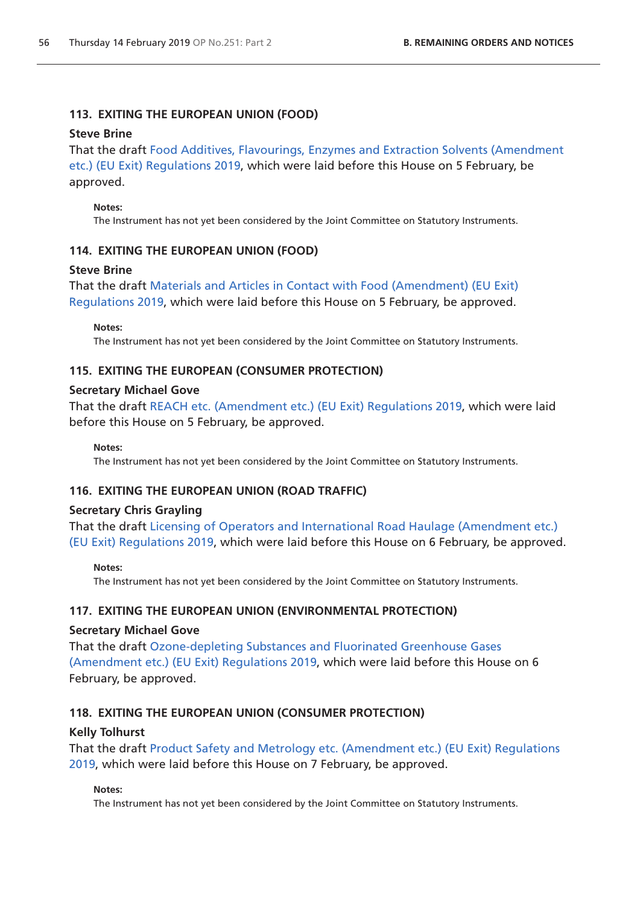# **113. EXITING THE EUROPEAN UNION (FOOD)**

### **Steve Brine**

That the draft [Food Additives, Flavourings, Enzymes and Extraction Solvents \(Amendment](http://www.legislation.gov.uk/ukdsi/2019/9780111180419/pdfs/ukdsi_9780111180419_en.pdf)  [etc.\) \(EU Exit\) Regulations 2019,](http://www.legislation.gov.uk/ukdsi/2019/9780111180419/pdfs/ukdsi_9780111180419_en.pdf) which were laid before this House on 5 February, be approved.

### **Notes:**

The Instrument has not yet been considered by the Joint Committee on Statutory Instruments.

# **114. EXITING THE EUROPEAN UNION (FOOD)**

# **Steve Brine**

That the draft [Materials and Articles in Contact with Food \(Amendment\) \(EU Exit\)](http://www.legislation.gov.uk/ukdsi/2019/9780111180426/pdfs/ukdsi_9780111180426_en.pdf)  [Regulations 2019](http://www.legislation.gov.uk/ukdsi/2019/9780111180426/pdfs/ukdsi_9780111180426_en.pdf), which were laid before this House on 5 February, be approved.

**Notes:** 

The Instrument has not yet been considered by the Joint Committee on Statutory Instruments.

# **115. EXITING THE EUROPEAN (CONSUMER PROTECTION)**

### **Secretary Michael Gove**

That the draft [REACH etc. \(Amendment etc.\) \(EU Exit\) Regulations 2019,](http://www.legislation.gov.uk/ukdsi/2019/9780111178034/pdfs/ukdsi_9780111178034_en.pdf) which were laid before this House on 5 February, be approved.

**Notes:** 

The Instrument has not yet been considered by the Joint Committee on Statutory Instruments.

# **116. EXITING THE EUROPEAN UNION (ROAD TRAFFIC)**

# **Secretary Chris Grayling**

That the draft [Licensing of Operators and International Road Haulage \(Amendment etc.\)](http://www.legislation.gov.uk/ukdsi/2019/9780111180341/pdfs/ukdsi_9780111180341_en.pdf)  [\(EU Exit\) Regulations 2019,](http://www.legislation.gov.uk/ukdsi/2019/9780111180341/pdfs/ukdsi_9780111180341_en.pdf) which were laid before this House on 6 February, be approved.

### **Notes:**

The Instrument has not yet been considered by the Joint Committee on Statutory Instruments.

# **117. EXITING THE EUROPEAN UNION (ENVIRONMENTAL PROTECTION)**

### **Secretary Michael Gove**

That the draft [Ozone-depleting Substances and Fluorinated Greenhouse Gases](http://www.legislation.gov.uk/ukdsi/2019/9780111177136/pdfs/ukdsi_9780111177136_en.pdf)  [\(Amendment etc.\) \(EU Exit\) Regulations 2019,](http://www.legislation.gov.uk/ukdsi/2019/9780111177136/pdfs/ukdsi_9780111177136_en.pdf) which were laid before this House on 6 February, be approved.

# **118. EXITING THE EUROPEAN UNION (CONSUMER PROTECTION)**

# **Kelly Tolhurst**

That the draft [Product Safety and Metrology etc. \(Amendment etc.\) \(EU Exit\) Regulations](http://www.legislation.gov.uk/ukdsi/2019/9780111176368/contents)  [2019,](http://www.legislation.gov.uk/ukdsi/2019/9780111176368/contents) which were laid before this House on 7 February, be approved.

### **Notes:**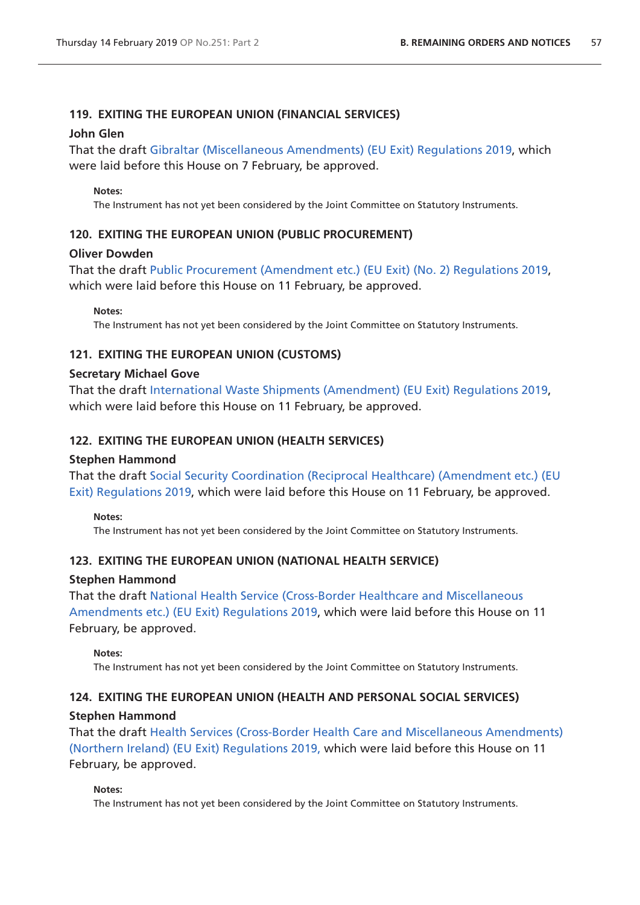# **119. EXITING THE EUROPEAN UNION (FINANCIAL SERVICES)**

### **John Glen**

That the draft [Gibraltar \(Miscellaneous Amendments\) \(EU Exit\) Regulations 2019](http://www.legislation.gov.uk/ukdsi/2019/9780111180594/pdfs/ukdsi_9780111180594_en.pdf), which were laid before this House on 7 February, be approved.

### **Notes:**

The Instrument has not yet been considered by the Joint Committee on Statutory Instruments.

# **120. EXITING THE EUROPEAN UNION (PUBLIC PROCUREMENT)**

### **Oliver Dowden**

That the draft [Public Procurement \(Amendment etc.\) \(EU Exit\) \(No. 2\) Regulations 2019,](http://www.legislation.gov.uk/ukdsi/2019/9780111180679/pdfs/ukdsi_9780111180679_en.pdf) which were laid before this House on 11 February, be approved.

**Notes:** 

The Instrument has not yet been considered by the Joint Committee on Statutory Instruments.

# **121. EXITING THE EUROPEAN UNION (CUSTOMS)**

### **Secretary Michael Gove**

That the draft [International Waste Shipments \(Amendment\) \(EU Exit\) Regulations 2019,](http://www.legislation.gov.uk/ukdsi/2019/9780111178539/pdfs/ukdsi_9780111178539_en.pdf) which were laid before this House on 11 February, be approved.

# **122. EXITING THE EUROPEAN UNION (HEALTH SERVICES)**

# **Stephen Hammond**

That the draft [Social Security Coordination \(Reciprocal Healthcare\) \(Amendment etc.\) \(EU](http://www.legislation.gov.uk/ukdsi/2019/9780111180686/pdfs/ukdsi_9780111180686_en.pdf)  [Exit\) Regulations 2019](http://www.legislation.gov.uk/ukdsi/2019/9780111180686/pdfs/ukdsi_9780111180686_en.pdf), which were laid before this House on 11 February, be approved.

### **Notes:**

The Instrument has not yet been considered by the Joint Committee on Statutory Instruments.

# **123. EXITING THE EUROPEAN UNION (NATIONAL HEALTH SERVICE)**

### **Stephen Hammond**

That the draft [National Health Service \(Cross-Border Healthcare and Miscellaneous](http://www.legislation.gov.uk/ukdsi/2019/9780111180709/pdfs/ukdsi_9780111180709_en.pdf)  [Amendments etc.\) \(EU Exit\) Regulations 2019](http://www.legislation.gov.uk/ukdsi/2019/9780111180709/pdfs/ukdsi_9780111180709_en.pdf), which were laid before this House on 11 February, be approved.

### **Notes:**

The Instrument has not yet been considered by the Joint Committee on Statutory Instruments.

# **124. EXITING THE EUROPEAN UNION (HEALTH AND PERSONAL SOCIAL SERVICES)**

# **Stephen Hammond**

That the draft [Health Services \(Cross-Border Health Care and Miscellaneous Amendments\)](http://www.legislation.gov.uk/ukdsi/2019/9780111180808/pdfs/ukdsi_9780111180808_en.pdf)  [\(Northern Ireland\) \(EU Exit\) Regulations 2019,](http://www.legislation.gov.uk/ukdsi/2019/9780111180808/pdfs/ukdsi_9780111180808_en.pdf) which were laid before this House on 11 February, be approved.

### **Notes:**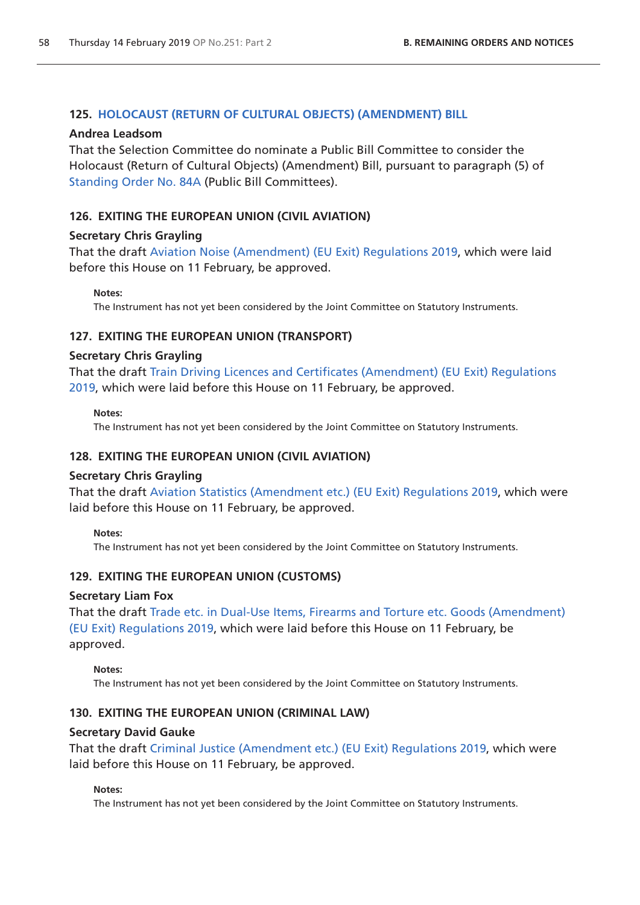### **125. [HOLOCAUST \(RETURN OF CULTURAL OBJECTS\) \(AMENDMENT\) BILL](https://publications.parliament.uk/pa/bills/cbill/2017-2019/0182/18182.pdf)**

#### **Andrea Leadsom**

That the Selection Committee do nominate a Public Bill Committee to consider the Holocaust (Return of Cultural Objects) (Amendment) Bill, pursuant to paragraph (5) of [Standing Order No. 84A](https://www.publications.parliament.uk/pa/cm201719/cmstords/1020/body.html#84A) (Public Bill Committees).

### **126. EXITING THE EUROPEAN UNION (CIVIL AVIATION)**

### **Secretary Chris Grayling**

That the draft [Aviation Noise \(Amendment\) \(EU Exit\) Regulations 2019,](http://www.legislation.gov.uk/ukdsi/2019/9780111180877/pdfs/ukdsi_9780111180877_en.pdf) which were laid before this House on 11 February, be approved.

#### **Notes:**

The Instrument has not yet been considered by the Joint Committee on Statutory Instruments.

### **127. EXITING THE EUROPEAN UNION (TRANSPORT)**

#### **Secretary Chris Grayling**

That the draft [Train Driving Licences and Certificates \(Amendment\) \(EU Exit\) Regulations](http://www.legislation.gov.uk/ukdsi/2019/9780111180761/pdfs/ukdsi_9780111180761_en.pdf)  [2019,](http://www.legislation.gov.uk/ukdsi/2019/9780111180761/pdfs/ukdsi_9780111180761_en.pdf) which were laid before this House on 11 February, be approved.

#### **Notes:**

The Instrument has not yet been considered by the Joint Committee on Statutory Instruments.

### **128. EXITING THE EUROPEAN UNION (CIVIL AVIATION)**

#### **Secretary Chris Grayling**

That the draft [Aviation Statistics \(Amendment etc.\) \(EU Exit\) Regulations 2019](http://www.legislation.gov.uk/ukdsi/2019/9780111180853/pdfs/ukdsi_9780111180853_en.pdf), which were laid before this House on 11 February, be approved.

#### **Notes:**

The Instrument has not yet been considered by the Joint Committee on Statutory Instruments.

### **129. EXITING THE EUROPEAN UNION (CUSTOMS)**

### **Secretary Liam Fox**

That the draft [Trade etc. in Dual-Use Items, Firearms and Torture etc. Goods \(Amendment\)](http://www.legislation.gov.uk/ukdsi/2019/9780111180624/pdfs/ukdsi_9780111180624_en.pdf)  [\(EU Exit\) Regulations 2019,](http://www.legislation.gov.uk/ukdsi/2019/9780111180624/pdfs/ukdsi_9780111180624_en.pdf) which were laid before this House on 11 February, be approved.

#### **Notes:**

The Instrument has not yet been considered by the Joint Committee on Statutory Instruments.

### **130. EXITING THE EUROPEAN UNION (CRIMINAL LAW)**

#### **Secretary David Gauke**

That the draft [Criminal Justice \(Amendment etc.\) \(EU Exit\) Regulations 2019](http://Criminal Justice (Amendmenhttp://www.legislation.gov.uk/ukdsi/2019/9780111180860/pdfs/ukdsi_9780111180860_en.pdft etc.) (EU Exit) Regulations 2019), which were laid before this House on 11 February, be approved.

#### **Notes:**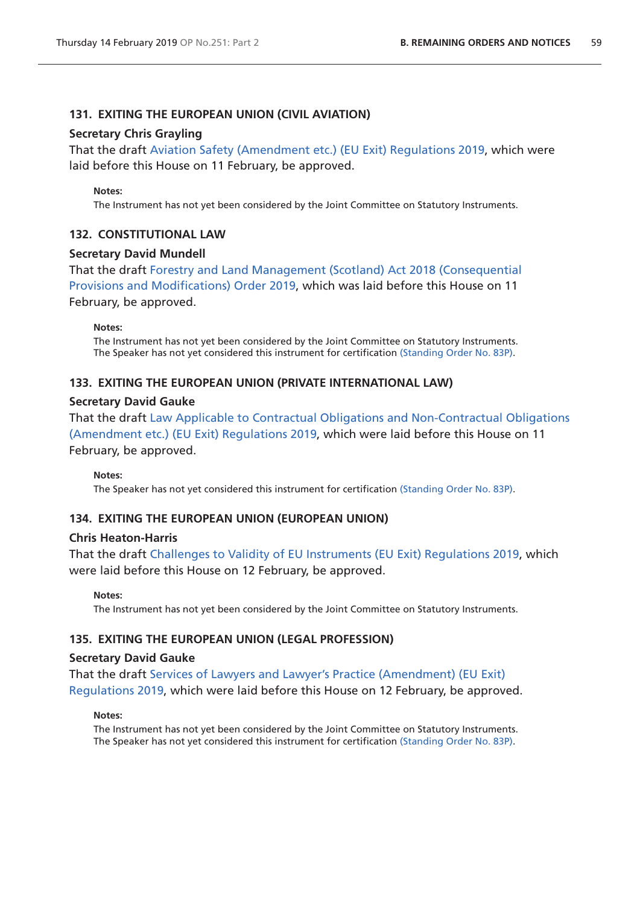### **131. EXITING THE EUROPEAN UNION (CIVIL AVIATION)**

#### **Secretary Chris Grayling**

That the draft [Aviation Safety \(Amendment etc.\) \(EU Exit\) Regulations 2019](http://www.legislation.gov.uk/ukdsi/2019/9780111180914/pdfs/ukdsi_9780111180914_en.pdf), which were laid before this House on 11 February, be approved.

#### **Notes:**

The Instrument has not yet been considered by the Joint Committee on Statutory Instruments.

#### **132. CONSTITUTIONAL LAW**

#### **Secretary David Mundell**

That the draft [Forestry and Land Management \(Scotland\) Act 2018 \(Consequential](http://www.legislation.gov.uk/ukdsi/2019/9780111180778/pdfs/ukdsi_9780111180778_en.pdf)  [Provisions and Modifications\) Order 2019](http://www.legislation.gov.uk/ukdsi/2019/9780111180778/pdfs/ukdsi_9780111180778_en.pdf), which was laid before this House on 11 February, be approved.

**Notes:** 

The Instrument has not yet been considered by the Joint Committee on Statutory Instruments. The Speaker has not yet considered this instrument for certification [\(Standing Order No. 83P\)](https://www.publications.parliament.uk/pa/cm201719/cmstords/1020/body.html#83P).

#### **133. EXITING THE EUROPEAN UNION (PRIVATE INTERNATIONAL LAW)**

#### **Secretary David Gauke**

That the draft [Law Applicable to Contractual Obligations and Non-Contractual Obligations](http://www.legislation.gov.uk/ukdsi/2019/9780111180785/pdfs/ukdsi_9780111180785_en.pdf)  [\(Amendment etc.\) \(EU Exit\) Regulations 2019,](http://www.legislation.gov.uk/ukdsi/2019/9780111180785/pdfs/ukdsi_9780111180785_en.pdf) which were laid before this House on 11 February, be approved.

#### **Notes:**

The Speaker has not yet considered this instrument for certification [\(Standing Order No. 83P\)](https://www.publications.parliament.uk/pa/cm201719/cmstords/1020/body.html#83P).

#### **134. EXITING THE EUROPEAN UNION (EUROPEAN UNION)**

#### **Chris Heaton-Harris**

That the draft [Challenges to Validity of EU Instruments \(EU Exit\) Regulations 2019](http://www.legislation.gov.uk/ukdsi/2019/9780111180693/pdfs/ukdsi_9780111180693_en.pdf), which were laid before this House on 12 February, be approved.

#### **Notes:**

The Instrument has not yet been considered by the Joint Committee on Statutory Instruments.

#### **135. EXITING THE EUROPEAN UNION (LEGAL PROFESSION)**

#### **Secretary David Gauke**

That the draft [Services of Lawyers and Lawyer's Practice \(Amendment\) \(EU Exit\)](http://www.legislation.gov.uk/ukdsi/2019/9780111180891/pdfs/ukdsi_9780111180891_en.pdf)  [Regulations 2019](http://www.legislation.gov.uk/ukdsi/2019/9780111180891/pdfs/ukdsi_9780111180891_en.pdf), which were laid before this House on 12 February, be approved.

#### **Notes:**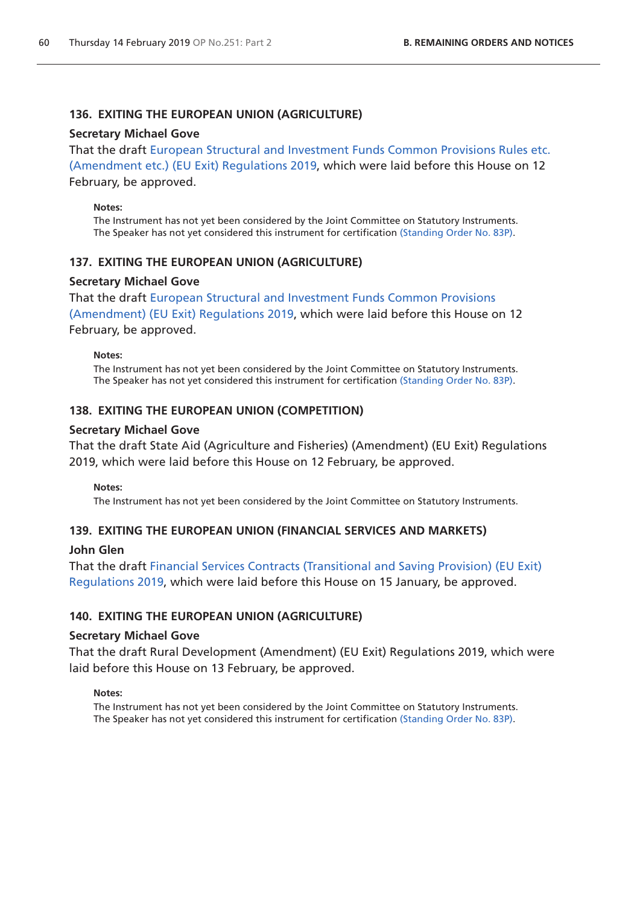# **136. EXITING THE EUROPEAN UNION (AGRICULTURE)**

#### **Secretary Michael Gove**

That the draft [European Structural and Investment Funds Common Provisions Rules etc.](http://www.legislation.gov.uk/ukdsi/2019/9780111180792/pdfs/ukdsi_9780111180792_en.pdf)  [\(Amendment etc.\) \(EU Exit\) Regulations 2019,](http://www.legislation.gov.uk/ukdsi/2019/9780111180792/pdfs/ukdsi_9780111180792_en.pdf) which were laid before this House on 12 February, be approved.

#### **Notes:**

The Instrument has not yet been considered by the Joint Committee on Statutory Instruments. The Speaker has not yet considered this instrument for certification [\(Standing Order No. 83P\)](https://www.publications.parliament.uk/pa/cm201719/cmstords/1020/body.html#83P).

### **137. EXITING THE EUROPEAN UNION (AGRICULTURE)**

#### **Secretary Michael Gove**

That the draft [European Structural and Investment Funds Common Provisions](http://www.legislation.gov.uk/ukdsi/2019/9780111180792/pdfs/ukdsi_9780111180792_en.pdf) 

[\(Amendment\) \(EU Exit\) Regulations 2019](http://www.legislation.gov.uk/ukdsi/2019/9780111180792/pdfs/ukdsi_9780111180792_en.pdf), which were laid before this House on 12 February, be approved.

#### **Notes:**

The Instrument has not yet been considered by the Joint Committee on Statutory Instruments. The Speaker has not yet considered this instrument for certification [\(Standing Order No. 83P\)](https://www.publications.parliament.uk/pa/cm201719/cmstords/1020/body.html#83P).

### **138. EXITING THE EUROPEAN UNION (COMPETITION)**

#### **Secretary Michael Gove**

That the draft State Aid (Agriculture and Fisheries) (Amendment) (EU Exit) Regulations 2019, which were laid before this House on 12 February, be approved.

#### **Notes:**

The Instrument has not yet been considered by the Joint Committee on Statutory Instruments.

### **139. EXITING THE EUROPEAN UNION (FINANCIAL SERVICES AND MARKETS)**

### **John Glen**

That the draft [Financial Services Contracts \(Transitional and Saving Provision\) \(EU Exit\)](http://www.legislation.gov.uk/ukdsi/2019/9780111178416/pdfs/ukdsi_9780111178416_en.pdf)  [Regulations 2019](http://www.legislation.gov.uk/ukdsi/2019/9780111178416/pdfs/ukdsi_9780111178416_en.pdf), which were laid before this House on 15 January, be approved.

### **140. EXITING THE EUROPEAN UNION (AGRICULTURE)**

#### **Secretary Michael Gove**

That the draft Rural Development (Amendment) (EU Exit) Regulations 2019, which were laid before this House on 13 February, be approved.

#### **Notes:**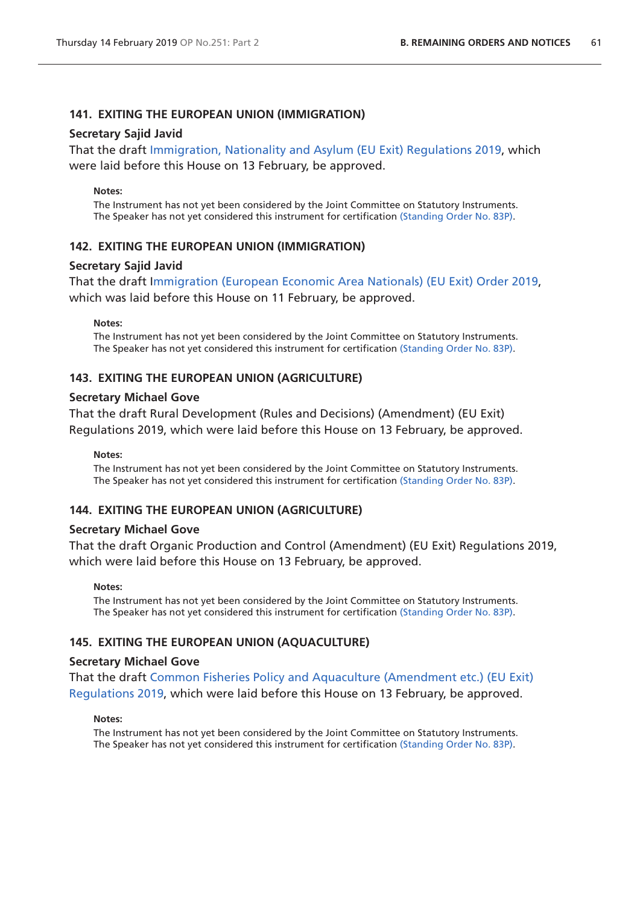### **141. EXITING THE EUROPEAN UNION (IMMIGRATION)**

#### **Secretary Sajid Javid**

That the draft [Immigration, Nationality and Asylum \(EU Exit\) Regulations 2019,](http://www.legislation.gov.uk/ukdsi/2019/9780111180617/pdfs/ukdsi_9780111180617_en.pdf) which were laid before this House on 13 February, be approved.

#### **Notes:**

The Instrument has not yet been considered by the Joint Committee on Statutory Instruments. The Speaker has not yet considered this instrument for certification [\(Standing Order No. 83P\)](https://www.publications.parliament.uk/pa/cm201719/cmstords/1020/body.html#83P).

#### **142. EXITING THE EUROPEAN UNION (IMMIGRATION)**

#### **Secretary Sajid Javid**

That the draft I[mmigration \(European Economic Area Nationals\) \(EU Exit\) Order 2019,](http://www.legislation.gov.uk/ukdsi/2019/9780111180587/pdfs/ukdsi_9780111180587_en.pdf) which was laid before this House on 11 February, be approved.

#### **Notes:**

The Instrument has not yet been considered by the Joint Committee on Statutory Instruments. The Speaker has not yet considered this instrument for certification [\(Standing Order No. 83P\)](https://www.publications.parliament.uk/pa/cm201719/cmstords/1020/body.html#83P).

### **143. EXITING THE EUROPEAN UNION (AGRICULTURE)**

#### **Secretary Michael Gove**

That the draft Rural Development (Rules and Decisions) (Amendment) (EU Exit) Regulations 2019, which were laid before this House on 13 February, be approved.

#### **Notes:**

The Instrument has not yet been considered by the Joint Committee on Statutory Instruments. The Speaker has not yet considered this instrument for certification [\(Standing Order No. 83P\)](https://www.publications.parliament.uk/pa/cm201719/cmstords/1020/body.html#83P).

#### **144. EXITING THE EUROPEAN UNION (AGRICULTURE)**

### **Secretary Michael Gove**

That the draft Organic Production and Control (Amendment) (EU Exit) Regulations 2019, which were laid before this House on 13 February, be approved.

#### **Notes:**

The Instrument has not yet been considered by the Joint Committee on Statutory Instruments. The Speaker has not yet considered this instrument for certification [\(Standing Order No. 83P\)](https://www.publications.parliament.uk/pa/cm201719/cmstords/1020/body.html#83P).

### **145. EXITING THE EUROPEAN UNION (AQUACULTURE)**

#### **Secretary Michael Gove**

That the draft [Common Fisheries Policy and Aquaculture \(Amendment etc.\) \(EU Exit\)](http://www.legislation.gov.uk/ukdsi/2019/9780111181171/pdfs/ukdsi_9780111181171_en.pdf)  [Regulations 2019](http://www.legislation.gov.uk/ukdsi/2019/9780111181171/pdfs/ukdsi_9780111181171_en.pdf), which were laid before this House on 13 February, be approved.

#### **Notes:**